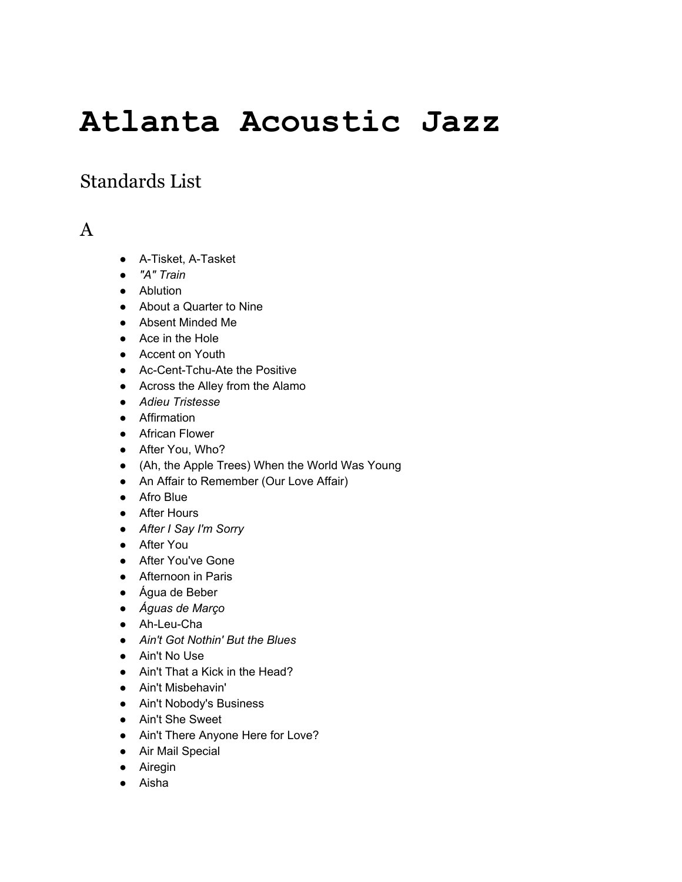# **Atlanta Acoustic Jazz**

# Standards List

# A

- [A-Tisket, A-Tasket](https://en.wikipedia.org/wiki/A-Tisket,_A-Tasket)
- *["A" Train](https://en.wikipedia.org/wiki/Take_the_%22A%22_Train)*
- [Ablution](https://en.wikipedia.org/w/index.php?title=Ablution_(song)&action=edit&redlink=1)
- [About a Quarter to Nine](https://en.wikipedia.org/wiki/About_a_Quarter_to_Nine)
- [Absent Minded Me](https://en.wikipedia.org/w/index.php?title=Absent_Minded_Me&action=edit&redlink=1)
- [Ace in the Hole](https://en.wikipedia.org/wiki/Ace_in_the_Hole_(Cole_Porter_song))
- [Accent on Youth](https://en.wikipedia.org/wiki/Accent_on_Youth)
- [Ac-Cent-Tchu-Ate the Positive](https://en.wikipedia.org/wiki/Ac-Cent-Tchu-Ate_the_Positive)
- [Across the Alley from the Alamo](https://en.wikipedia.org/wiki/Across_the_Alley_from_the_Alamo)
- *[Adieu Tristesse](https://en.wikipedia.org/w/index.php?title=A_Felicidade&action=edit&redlink=1)*
- [Affirmation](https://en.wikipedia.org/wiki/Affirmation_(George_Benson_song))
- [African Flower](https://en.wikipedia.org/wiki/African_Flower)
- [After You, Who?](https://en.wikipedia.org/wiki/After_You,_Who%3F)
- [\(Ah, the Apple Trees\) When the World Was Young](https://en.wikipedia.org/wiki/(Ah,_the_Apple_Trees)_When_the_World_Was_Young)
- [An Affair to Remember \(Our Love Affair\)](https://en.wikipedia.org/wiki/An_Affair_to_Remember_(Our_Love_Affair))
- [Afro Blue](https://en.wikipedia.org/wiki/Afro_Blue)
- [After Hours](https://en.wikipedia.org/wiki/After_Hours_(Avery_Parrish_song))
- *[After I Say I'm Sorry](https://en.wikipedia.org/wiki/After_I_Say_I%27m_Sorry)*
- [After You](https://en.wikipedia.org/wiki/After_You,_Who%3F)
- [After You've Gone](https://en.wikipedia.org/wiki/After_You%27ve_Gone_(song))
- [Afternoon in Paris](https://en.wikipedia.org/wiki/Afternoon_in_Paris)
- [Água de Beber](https://en.wikipedia.org/wiki/%C3%81gua_de_Beber)
- *[Águas de Março](https://en.wikipedia.org/wiki/Waters_of_March)*
- [Ah-Leu-Cha](https://en.wikipedia.org/wiki/Ah-Leu-Cha)
- *[Ain't Got Nothin' But the Blues](https://en.wikipedia.org/wiki/I_Ain%27t_Got_Nothin%27_But_the_Blues)*
- [Ain't No Use](https://en.wikipedia.org/wiki/Ain%27t_No_Use)
- [Ain't That a Kick in the Head?](https://en.wikipedia.org/wiki/Ain%27t_That_a_Kick_in_the_Head%3F)
- [Ain't Misbehavin'](https://en.wikipedia.org/wiki/Ain%27t_Misbehavin%27_(song))
- [Ain't Nobody's Business](https://en.wikipedia.org/wiki/Ain%27t_Nobody%27s_Business)
- [Ain't She Sweet](https://en.wikipedia.org/wiki/Ain%27t_She_Sweet)
- [Ain't There Anyone Here for Love?](https://en.wikipedia.org/w/index.php?title=Ain%27t_There_Anyone_Here_for_Love%3F&action=edit&redlink=1)
- [Air Mail Special](https://en.wikipedia.org/wiki/Air_Mail_Special)
- [Airegin](https://en.wikipedia.org/wiki/Airegin)
- [Aisha](https://en.wikipedia.org/w/index.php?title=Aisha_(John_Coltrane_song)&action=edit&redlink=1)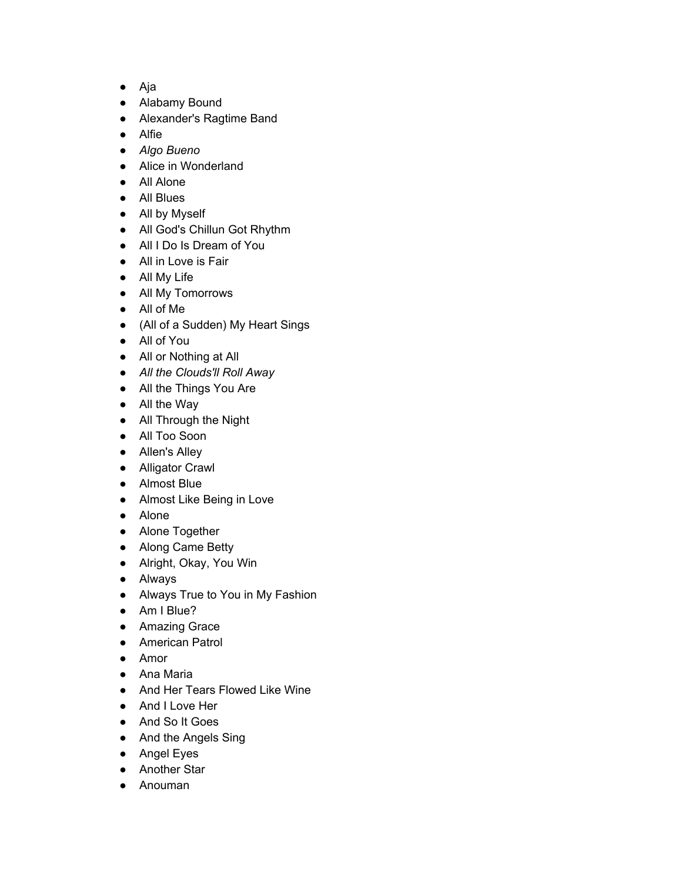- [Aja](https://en.wikipedia.org/wiki/Aja_(song))
- [Alabamy Bound](https://en.wikipedia.org/wiki/Alabamy_Bound)
- [Alexander's Ragtime Band](https://en.wikipedia.org/wiki/Alexander%27s_Ragtime_Band)
- [Alfie](https://en.wikipedia.org/wiki/Alfie_(song))
- *[Algo Bueno](https://en.wikipedia.org/wiki/Woody_%27n%27_You)*
- [Alice in Wonderland](https://en.wikipedia.org/wiki/Alice_in_Wonderland_(song))
- [All Alone](https://en.wikipedia.org/wiki/All_Alone_(1924_song))
- [All Blues](https://en.wikipedia.org/wiki/All_Blues)
- [All by Myself](https://en.wikipedia.org/wiki/All_by_Myself_(Irving_Berlin_song))
- [All God's Chillun Got Rhythm](https://en.wikipedia.org/wiki/All_God%27s_Chillun_Got_Rhythm)
- [All I Do Is Dream of You](https://en.wikipedia.org/wiki/All_I_Do_Is_Dream_of_You)
- [All in Love is Fair](https://en.wikipedia.org/w/index.php?title=All_in_Love_is_Fair&action=edit&redlink=1)
- [All My Life](https://en.wikipedia.org/wiki/All_My_Life_(Irving_Berlin_song))
- [All My Tomorrows](https://en.wikipedia.org/wiki/All_My_Tomorrows_(song))
- [All of Me](https://en.wikipedia.org/wiki/All_of_Me_(Ruth_Etting_song))
- [\(All of a Sudden\) My Heart Sings](https://en.wikipedia.org/w/index.php?title=(All_of_a_Sudden)_My_Heart_Sings&action=edit&redlink=1)
- [All of You](https://en.wikipedia.org/wiki/All_of_You_(Cole_Porter_song))
- [All or Nothing at All](https://en.wikipedia.org/wiki/All_or_Nothing_at_All)
- *[All the Clouds'll Roll Away](https://en.wikipedia.org/wiki/Liza_(All_the_Clouds%27ll_Roll_Away))*
- [All the Things You Are](https://en.wikipedia.org/wiki/All_the_Things_You_Are)
- [All the Way](https://en.wikipedia.org/wiki/All_the_Way_(Frank_Sinatra_song))
- [All Through the Night](https://en.wikipedia.org/wiki/All_Through_the_Night_(Cole_Porter_song))
- [All Too Soon](https://en.wikipedia.org/wiki/All_Too_Soon)
- [Allen's Alley](https://en.wikipedia.org/wiki/Allen%27s_Alley)
- [Alligator Crawl](https://en.wikipedia.org/w/index.php?title=Alligator_Crawl&action=edit&redlink=1)
- [Almost Blue](https://en.wikipedia.org/wiki/Almost_Blue_(song))
- [Almost Like Being in Love](https://en.wikipedia.org/wiki/Almost_Like_Being_in_Love)
- [Alone](https://en.wikipedia.org/wiki/Alone_(1935_song))
- [Alone Together](https://en.wikipedia.org/wiki/Alone_Together_(song))
- [Along Came Betty](https://en.wikipedia.org/w/index.php?title=Along_Came_Betty_(song)&action=edit&redlink=1)
- [Alright, Okay, You Win](https://en.wikipedia.org/wiki/Alright,_Okay,_You_Win_(song))
- [Always](https://en.wikipedia.org/wiki/Always_(1925_song))
- [Always True to You in My Fashion](https://en.wikipedia.org/wiki/Always_True_to_You_in_My_Fashion)
- [Am I Blue?](https://en.wikipedia.org/wiki/Am_I_Blue%3F)
- [Amazing Grace](https://en.wikipedia.org/wiki/Amazing_Grace)
- [American Patrol](https://en.wikipedia.org/wiki/American_Patrol)
- [Amor](https://en.wikipedia.org/wiki/Amor_(1943_song))
- [Ana Maria](https://en.wikipedia.org/w/index.php?title=Ana_Maria_(song)&action=edit&redlink=1)
- [And Her Tears Flowed Like Wine](https://en.wikipedia.org/wiki/And_Her_Tears_Flowed_Like_Wine)
- [And I Love Her](https://en.wikipedia.org/wiki/And_I_Love_Her)
- [And So It Goes](https://en.wikipedia.org/wiki/And_So_It_Goes)
- [And the Angels Sing](https://en.wikipedia.org/wiki/And_the_Angels_Sing)
- [Angel Eyes](https://en.wikipedia.org/wiki/Angel_Eyes_(1946_song))
- [Another Star](https://en.wikipedia.org/wiki/Another_Star)
- [Anouman](https://en.wikipedia.org/w/index.php?title=Anouman&action=edit&redlink=1)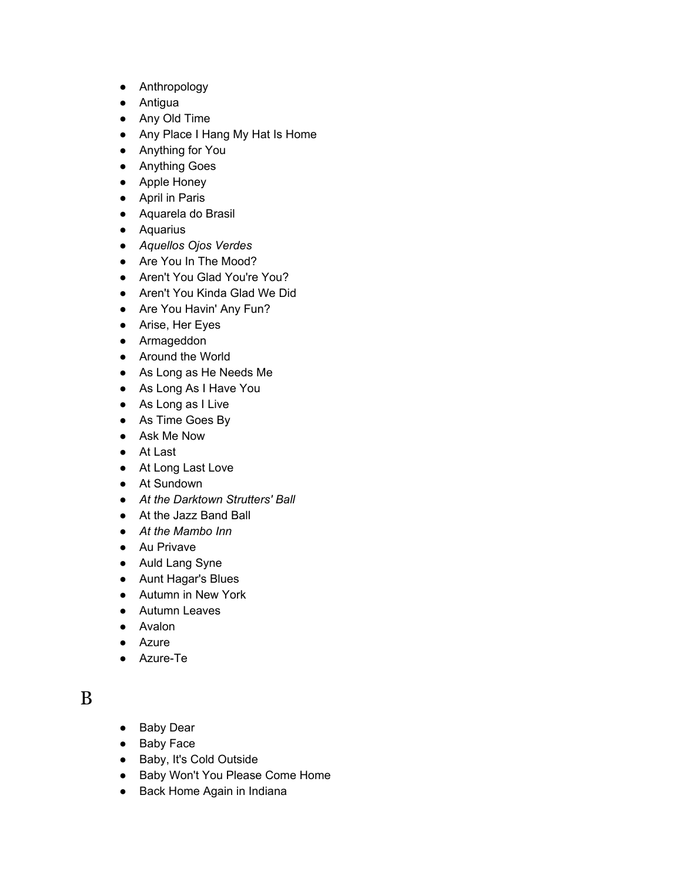- [Anthropology](https://en.wikipedia.org/wiki/Anthropology_(composition))
- [Antigua](https://en.wikipedia.org/w/index.php?title=Antigua_(song)&action=edit&redlink=1)
- [Any Old Time](https://en.wikipedia.org/w/index.php?title=Any_Old_Time_(1929_song)&action=edit&redlink=1)
- [Any Place I Hang My Hat Is Home](https://en.wikipedia.org/wiki/Any_Place_I_Hang_My_Hat_Is_Home)
- [Anything for You](https://en.wikipedia.org/wiki/Anything_for_You_(Alex_Hill_and_Claude_Hopkins_song))
- [Anything Goes](https://en.wikipedia.org/wiki/Anything_Goes_(Cole_Porter_song))
- [Apple Honey](https://en.wikipedia.org/w/index.php?title=Apple_Honey&action=edit&redlink=1)
- [April in Paris](https://en.wikipedia.org/wiki/April_in_Paris_(song))
- [Aquarela do Brasil](https://en.wikipedia.org/wiki/Aquarela_do_Brasil)
- [Aquarius](https://en.wikipedia.org/wiki/Aquarius_(song))
- *[Aquellos Ojos Verdes](https://en.wikipedia.org/wiki/Aquellos_Ojos_Verdes)*
- [Are You In The Mood?](https://en.wikipedia.org/w/index.php?title=Are_You_In_The_Mood%3F&action=edit&redlink=1)
- [Aren't You Glad You're You?](https://en.wikipedia.org/wiki/Aren%27t_You_Glad_You%27re_You%3F_(song))
- [Aren't You Kinda Glad We Did](https://en.wikipedia.org/w/index.php?title=Aren%27t_You_Kinda_Glad_We_Did&action=edit&redlink=1)
- [Are You Havin' Any Fun?](https://en.wikipedia.org/wiki/Are_You_Havin%27_Any_Fun%3F)
- [Arise, Her Eyes](https://en.wikipedia.org/w/index.php?title=Arise,_Her_Eyes&action=edit&redlink=1)
- [Armageddon](https://en.wikipedia.org/wiki/Night_Dreamer)
- [Around the World](https://en.wikipedia.org/wiki/Around_the_World_(1956_song))
- [As Long as He Needs Me](https://en.wikipedia.org/wiki/As_Long_as_He_Needs_Me)
- [As Long As I Have You](https://en.wikipedia.org/wiki/As_Long_As_I_Have_You)
- [As Long as I Live](https://en.wikipedia.org/wiki/As_Long_as_I_Live)
- [As Time Goes By](https://en.wikipedia.org/wiki/As_Time_Goes_By_(song))
- [Ask Me Now](https://en.wikipedia.org/wiki/Ask_Me_Now)
- [At Last](https://en.wikipedia.org/wiki/At_Last)
- [At Long Last Love](https://en.wikipedia.org/wiki/At_Long_Last_Love_(song))
- [At Sundown](https://en.wikipedia.org/wiki/At_Sundown)
- *[At the Darktown Strutters' Ball](https://en.wikipedia.org/wiki/Darktown_Strutters%27_Ball)*
- [At the Jazz Band Ball](https://en.wikipedia.org/wiki/At_the_Jazz_Band_Ball)
- *[At the Mambo Inn](https://en.wikipedia.org/w/index.php?title=Mambo_Inn&action=edit&redlink=1)*
- [Au Privave](https://en.wikipedia.org/wiki/Au_Privave)
- [Auld Lang Syne](https://en.wikipedia.org/wiki/Auld_Lang_Syne)
- [Aunt Hagar's Blues](https://en.wikipedia.org/wiki/Aunt_Hagar%27s_Blues)
- [Autumn in New York](https://en.wikipedia.org/wiki/Autumn_in_New_York_(song))
- [Autumn Leaves](https://en.wikipedia.org/wiki/Autumn_Leaves_(1945_song))
- [Avalon](https://en.wikipedia.org/wiki/Avalon_(Al_Jolson_song))
- [Azure](https://en.wikipedia.org/wiki/Azure_(song))
- [Azure-Te](https://en.wikipedia.org/w/index.php?title=Azure-Te&action=edit&redlink=1)

# B

- [Baby Dear](https://en.wikipedia.org/wiki/Baby_Dear)
- [Baby Face](https://en.wikipedia.org/wiki/Baby_Face_(1926_song))
- [Baby, It's Cold Outside](https://en.wikipedia.org/wiki/Baby,_It%27s_Cold_Outside)
- [Baby Won't You Please Come Home](https://en.wikipedia.org/wiki/Baby_Won%27t_You_Please_Come_Home)
- [Back Home Again in Indiana](https://en.wikipedia.org/wiki/Back_Home_Again_in_Indiana)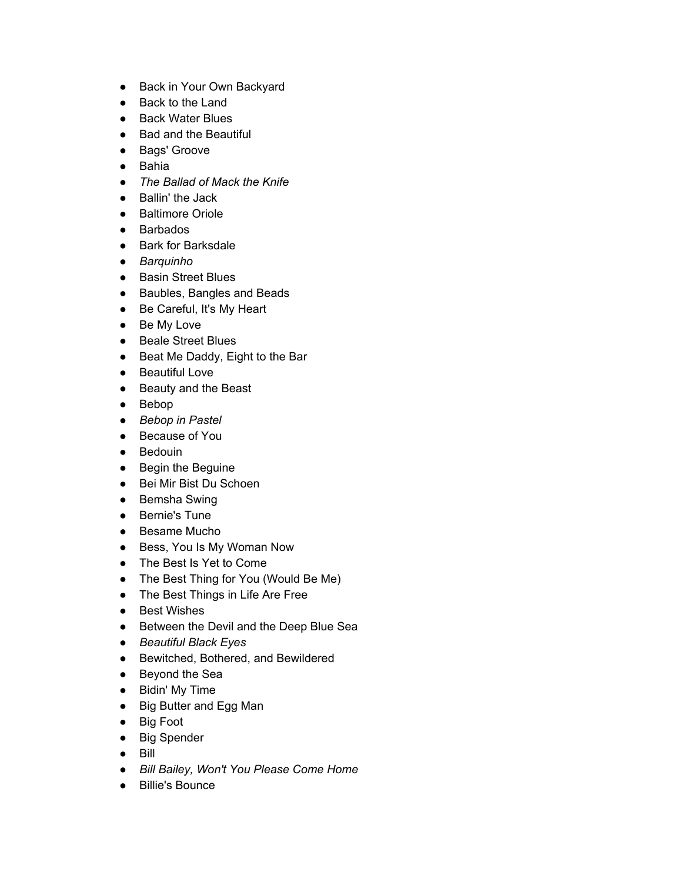- [Back in Your Own Backyard](https://en.wikipedia.org/wiki/Back_in_Your_Own_Backyard)
- [Back to the Land](https://en.wikipedia.org/w/index.php?title=Back_to_the_Land_(composition)&action=edit&redlink=1)
- [Back Water Blues](https://en.wikipedia.org/wiki/Back_Water_Blues)
- [Bad and the Beautiful](https://en.wikipedia.org/wiki/Bad_and_the_Beautiful)
- [Bags' Groove](https://en.wikipedia.org/wiki/Bags%27_Groove_(composition))
- [Bahia](https://en.wikipedia.org/wiki/Bahia_(song))
- *[The Ballad of Mack the Knife](https://en.wikipedia.org/wiki/The_Ballad_of_Mack_the_Knife)*
- [Ballin' the Jack](https://en.wikipedia.org/wiki/Ballin%27_the_Jack)
- [Baltimore Oriole](https://en.wikipedia.org/wiki/Baltimore_Oriole_(song))
- [Barbados](https://en.wikipedia.org/wiki/Barbados_(composition))
- [Bark for Barksdale](https://en.wikipedia.org/w/index.php?title=Bark_for_Barksdale&action=edit&redlink=1)
- *[Barquinho](https://en.wikipedia.org/w/index.php?title=Little_Boat&action=edit&redlink=1)*
- [Basin Street Blues](https://en.wikipedia.org/wiki/Basin_Street_Blues)
- [Baubles, Bangles and Beads](https://en.wikipedia.org/wiki/Baubles,_Bangles_and_Beads)
- [Be Careful, It's My Heart](https://en.wikipedia.org/w/index.php?title=Be_Careful,_It%27s_My_Heart&action=edit&redlink=1)
- [Be My Love](https://en.wikipedia.org/wiki/Be_My_Love)
- [Beale Street Blues](https://en.wikipedia.org/wiki/Beale_Street_Blues)
- [Beat Me Daddy, Eight to the Bar](https://en.wikipedia.org/wiki/Beat_Me_Daddy,_Eight_to_the_Bar)
- [Beautiful Love](https://en.wikipedia.org/wiki/Beautiful_Love_(1931_song))
- [Beauty and the Beast](https://en.wikipedia.org/wiki/Native_Dancer_(album))
- [Bebop](https://en.wikipedia.org/w/index.php?title=Bebop_(composition)&action=edit&redlink=1)
- *[Bebop in Pastel](https://en.wikipedia.org/wiki/Bebop_in_Pastel)*
- [Because of You](https://en.wikipedia.org/wiki/Because_of_You_(1940_song))
- [Bedouin](https://en.wikipedia.org/w/index.php?title=Bedouin_(composition)&action=edit&redlink=1)
- [Begin the Beguine](https://en.wikipedia.org/wiki/Begin_the_Beguine)
- [Bei Mir Bist Du Schoen](https://en.wikipedia.org/wiki/Bei_Mir_Bist_Du_Schoen)
- [Bemsha Swing](https://en.wikipedia.org/wiki/Bemsha_Swing)
- [Bernie's Tune](https://en.wikipedia.org/wiki/Bernie%27s_Tune)
- [Besame Mucho](https://en.wikipedia.org/wiki/Besame_Mucho)
- [Bess, You Is My Woman Now](https://en.wikipedia.org/wiki/Bess,_You_Is_My_Woman_Now)
- [The Best Is Yet to Come](https://en.wikipedia.org/wiki/The_Best_Is_Yet_to_Come_(song))
- [The Best Thing for You \(Would Be Me\)](https://en.wikipedia.org/wiki/The_Best_Thing_for_You_(Would_Be_Me))
- [The Best Things in Life Are Free](https://en.wikipedia.org/wiki/The_Best_Things_in_Life_Are_Free_(1927_song))
- [Best Wishes](https://en.wikipedia.org/wiki/Best_Wishes_(Duke_Ellington_song))
- [Between the Devil and the Deep Blue Sea](https://en.wikipedia.org/wiki/Between_the_Devil_and_the_Deep_Blue_Sea_(song))
- *[Beautiful Black Eyes](https://en.wikipedia.org/wiki/Beautiful_Black_Eyes)*
- [Bewitched, Bothered, and Bewildered](https://en.wikipedia.org/wiki/Bewitched,_Bothered,_and_Bewildered)
- [Beyond the Sea](https://en.wikipedia.org/wiki/Beyond_the_Sea_(song))
- [Bidin' My Time](https://en.wikipedia.org/wiki/Bidin%27_My_Time)
- [Big Butter and Egg Man](https://en.wikipedia.org/wiki/Big_Butter_and_Egg_Man)
- [Big Foot](https://en.wikipedia.org/wiki/Big_Foot_(Charlie_Parker_composition))
- [Big Spender](https://en.wikipedia.org/wiki/Big_Spender)
- [Bill](https://en.wikipedia.org/wiki/Bill_(song))
- *[Bill Bailey, Won't You Please Come Home](https://en.wikipedia.org/wiki/Bill_Bailey,_Won%27t_You_Please_Come_Home)*
- [Billie's Bounce](https://en.wikipedia.org/wiki/Billie%27s_Bounce)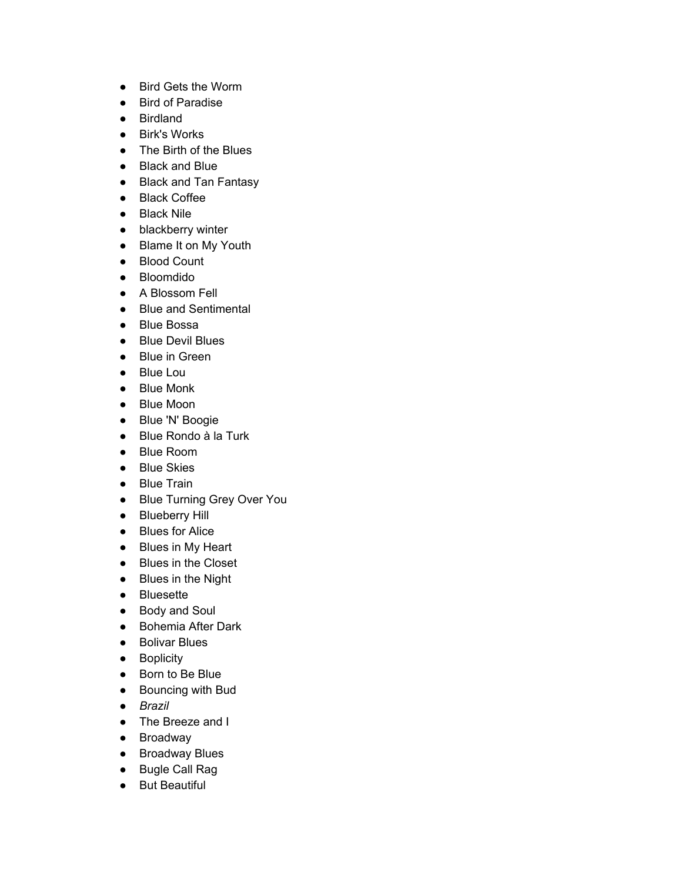- [Bird Gets the Worm](https://en.wikipedia.org/wiki/Bird_Gets_the_Worm)
- [Bird of Paradise](https://en.wikipedia.org/w/index.php?title=Bird_of_Paradise_(composition)&action=edit&redlink=1)
- [Birdland](https://en.wikipedia.org/wiki/Birdland_(composition))
- [Birk's Works](https://en.wikipedia.org/wiki/Birk%27s_Works)
- [The Birth of the Blues](https://en.wikipedia.org/wiki/The_Birth_of_the_Blues)
- [Black and Blue](https://en.wikipedia.org/wiki/Black_and_Blue_(Fats_Waller_song))
- [Black and Tan Fantasy](https://en.wikipedia.org/wiki/Black_and_Tan_Fantasy)
- [Black Coffee](https://en.wikipedia.org/wiki/Black_Coffee_(1948_song))
- [Black Nile](https://en.wikipedia.org/wiki/Black_Nile)
- [blackberry winter](https://en.wikipedia.org/wiki/Blackberry_winter)
- [Blame It on My Youth](https://en.wikipedia.org/wiki/Blame_It_on_My_Youth)
- [Blood Count](https://en.wikipedia.org/wiki/Blood_Count)
- [Bloomdido](https://en.wikipedia.org/wiki/Bloomdido)
- [A Blossom Fell](https://en.wikipedia.org/wiki/A_Blossom_Fell)
- [Blue and Sentimental](https://en.wikipedia.org/wiki/Blue_and_Sentimental)
- [Blue Bossa](https://en.wikipedia.org/wiki/Blue_Bossa)
- [Blue Devil Blues](https://en.wikipedia.org/wiki/Blue_Devil_Blues)
- [Blue in Green](https://en.wikipedia.org/wiki/Blue_in_Green)
- [Blue Lou](https://en.wikipedia.org/wiki/Blue_Lou)
- [Blue Monk](https://en.wikipedia.org/wiki/Blue_Monk)
- [Blue Moon](https://en.wikipedia.org/wiki/Blue_Moon_(song))
- [Blue 'N' Boogie](https://en.wikipedia.org/wiki/Blue_%27N%27_Boogie)
- [Blue Rondo à la Turk](https://en.wikipedia.org/wiki/Blue_Rondo_%C3%A0_la_Turk)
- [Blue Room](https://en.wikipedia.org/wiki/Blue_Room_(1926_song))
- [Blue Skies](https://en.wikipedia.org/wiki/Blue_Skies_(1926_song))
- [Blue Train](https://en.wikipedia.org/wiki/Blue_Train_(composition))
- [Blue Turning Grey Over You](https://en.wikipedia.org/wiki/Blue_Turning_Grey_Over_You)
- [Blueberry Hill](https://en.wikipedia.org/wiki/Blueberry_Hill_(song))
- [Blues for Alice](https://en.wikipedia.org/wiki/Blues_for_Alice)
- [Blues in My Heart](https://en.wikipedia.org/wiki/Blues_in_My_Heart)
- [Blues in the Closet](https://en.wikipedia.org/w/index.php?title=Blues_in_the_Closet_(song)&action=edit&redlink=1)
- [Blues in the Night](https://en.wikipedia.org/wiki/Blues_in_the_Night)
- [Bluesette](https://en.wikipedia.org/wiki/Bluesette)
- [Body and Soul](https://en.wikipedia.org/wiki/Body_and_Soul_(song))
- [Bohemia After Dark](https://en.wikipedia.org/wiki/Bohemia_After_Dark)
- [Bolivar Blues](https://en.wikipedia.org/w/index.php?title=Bolivar_Blues&action=edit&redlink=1)
- [Boplicity](https://en.wikipedia.org/wiki/Boplicity)
- [Born to Be Blue](https://en.wikipedia.org/wiki/Born_to_Be_Blue_(Mel_Torm%C3%A9_song))
- [Bouncing with Bud](https://en.wikipedia.org/wiki/Bouncing_with_Bud)
- *[Brazil](https://en.wikipedia.org/wiki/Aquarela_do_Brasil)*
- [The Breeze and I](https://en.wikipedia.org/wiki/The_Breeze_and_I)
- [Broadway](https://en.wikipedia.org/wiki/Broadway_(1940_song))
- [Broadway Blues](https://en.wikipedia.org/wiki/Broadway_Blues)
- [Bugle Call Rag](https://en.wikipedia.org/wiki/Bugle_Call_Rag)
- [But Beautiful](https://en.wikipedia.org/wiki/But_Beautiful_(song))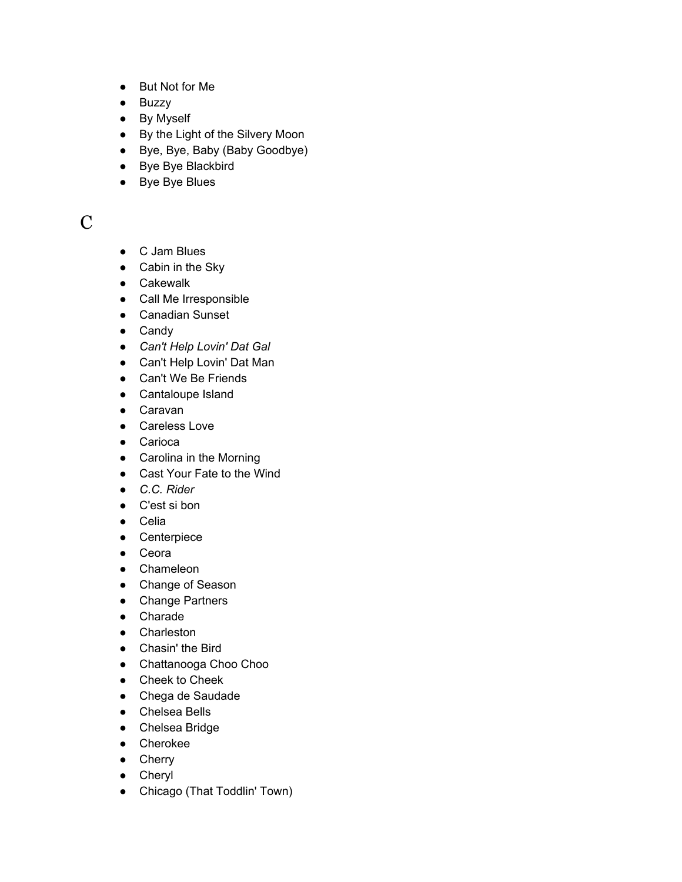- [But Not for Me](https://en.wikipedia.org/wiki/But_Not_for_Me_(song))
- [Buzzy](https://en.wikipedia.org/w/index.php?title=Buzzy_(Charlie_Parker_song)&action=edit&redlink=1)
- [By Myself](https://en.wikipedia.org/wiki/By_Myself_(1937_song))
- [By the Light of the Silvery Moon](https://en.wikipedia.org/wiki/By_the_Light_of_the_Silvery_Moon_(song))
- [Bye, Bye, Baby \(Baby Goodbye\)](https://en.wikipedia.org/wiki/Bye,_Bye,_Baby_(Baby_Goodbye))
- [Bye Bye Blackbird](https://en.wikipedia.org/wiki/Bye_Bye_Blackbird)
- [Bye Bye Blues](https://en.wikipedia.org/wiki/Bye_Bye_Blues_(song))

### $\mathcal{C}$

- [C Jam Blues](https://en.wikipedia.org/wiki/C_Jam_Blues)
- [Cabin in the Sky](https://en.wikipedia.org/wiki/Cabin_in_the_Sky_(play)#Musical_numbers)
- [Cakewalk](https://en.wikipedia.org/wiki/Cakewalk_(Oscar_Peterson_composition))
- [Call Me Irresponsible](https://en.wikipedia.org/wiki/Call_Me_Irresponsible)
- [Canadian Sunset](https://en.wikipedia.org/wiki/Canadian_Sunset)
- [Candy](https://en.wikipedia.org/wiki/Candy_(1944_song))
- *[Can't Help Lovin' Dat Gal](https://en.wikipedia.org/wiki/Can%27t_Help_Lovin%27_Dat_Gal)*
- [Can't Help Lovin' Dat Man](https://en.wikipedia.org/wiki/Can%27t_Help_Lovin%27_Dat_Man)
- [Can't We Be Friends](https://en.wikipedia.org/wiki/Can%27t_We_Be_Friends)
- [Cantaloupe Island](https://en.wikipedia.org/wiki/Cantaloupe_Island)
- [Caravan](https://en.wikipedia.org/wiki/Caravan_(1937_song))
- [Careless Love](https://en.wikipedia.org/wiki/Careless_Love)
- [Carioca](https://en.wikipedia.org/wiki/Carioca_(song))
- [Carolina in the Morning](https://en.wikipedia.org/wiki/Carolina_in_the_Morning)
- [Cast Your Fate to the Wind](https://en.wikipedia.org/wiki/Cast_Your_Fate_to_the_Wind)
- *[C.C. Rider](https://en.wikipedia.org/wiki/See_See_Rider)*
- [C'est si bon](https://en.wikipedia.org/wiki/C%27est_si_bon)
- [Celia](https://en.wikipedia.org/w/index.php?title=Celia_(Bud_Powell_song)&action=edit&redlink=1)
- [Centerpiece](https://en.wikipedia.org/wiki/Centerpiece_(song))
- [Ceora](https://en.wikipedia.org/w/index.php?title=Ceora&action=edit&redlink=1)
- [Chameleon](https://en.wikipedia.org/wiki/Chameleon_(composition))
- [Change of Season](https://en.wikipedia.org/wiki/Change_of_Season)
- [Change Partners](https://en.wikipedia.org/wiki/Change_Partners)
- [Charade](https://en.wikipedia.org/wiki/Charade_(1963_song))
- [Charleston](https://en.wikipedia.org/wiki/Charleston_(song))
- [Chasin' the Bird](https://en.wikipedia.org/wiki/Chasin%27_the_Bird_(song))
- [Chattanooga Choo Choo](https://en.wikipedia.org/wiki/Chattanooga_Choo_Choo)
- [Cheek to Cheek](https://en.wikipedia.org/wiki/Cheek_to_Cheek)
- [Chega de Saudade](https://en.wikipedia.org/wiki/Chega_de_Saudade)
- [Chelsea Bells](https://en.wikipedia.org/w/index.php?title=Chelsea_Bells&action=edit&redlink=1)
- [Chelsea Bridge](https://en.wikipedia.org/wiki/Chelsea_Bridge_(song))
- [Cherokee](https://en.wikipedia.org/wiki/Cherokee_(Ray_Noble_song))
- [Cherry](https://en.wikipedia.org/wiki/Cherry_(jazz_standard))
- [Cheryl](https://en.wikipedia.org/wiki/Cheryl_(composition))
- [Chicago \(That Toddlin' Town\)](https://en.wikipedia.org/wiki/Chicago_(That_Toddlin%27_Town))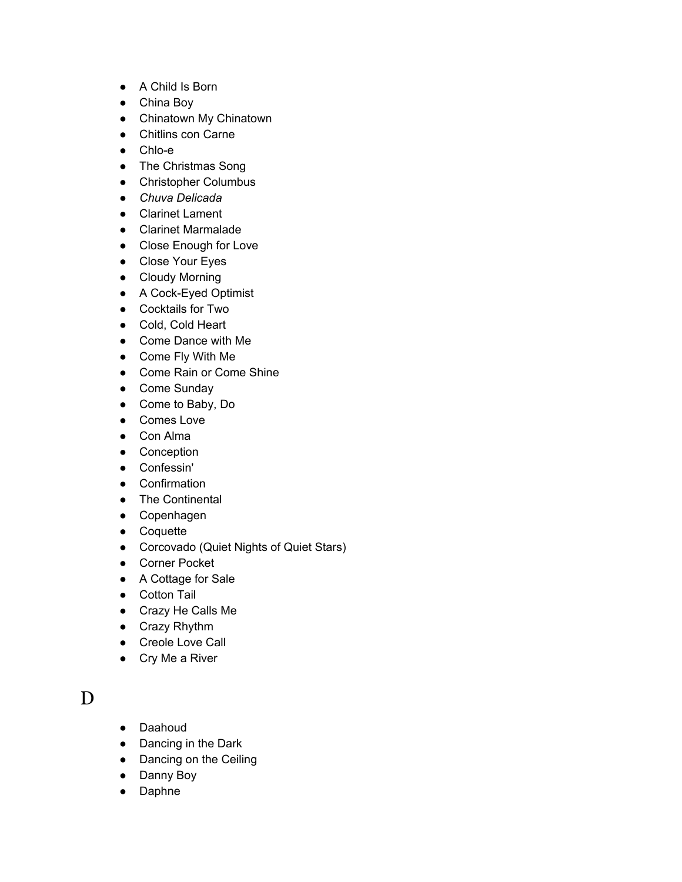- [A Child Is Born](https://en.wikipedia.org/wiki/A_Child_Is_Born_(jazz_standard))
- [China Boy](https://en.wikipedia.org/wiki/China_Boy)
- [Chinatown My Chinatown](https://en.wikipedia.org/wiki/Chinatown_My_Chinatown)
- [Chitlins con Carne](https://en.wikipedia.org/wiki/Chitlins_con_Carne)
- [Chlo-e](https://en.wikipedia.org/wiki/Chlo-e_(Song_of_the_Swamp))
- [The Christmas Song](https://en.wikipedia.org/wiki/The_Christmas_Song)
- [Christopher Columbus](https://en.wikipedia.org/wiki/Christopher_Columbus_(jazz_song))
- *[Chuva Delicada](https://en.wikipedia.org/wiki/The_Gentle_Rain)*
- [Clarinet Lament](https://en.wikipedia.org/w/index.php?title=Clarinet_Lament&action=edit&redlink=1)
- [Clarinet Marmalade](https://en.wikipedia.org/wiki/Clarinet_Marmalade)
- [Close Enough for Love](https://en.wikipedia.org/wiki/Close_Enough_for_Love_(Johnny_Mandel_song))
- [Close Your Eyes](https://en.wikipedia.org/wiki/Close_Your_Eyes_(1933_song))
- [Cloudy Morning](https://en.wikipedia.org/w/index.php?title=Cloudy_Morning&action=edit&redlink=1)
- [A Cock-Eyed Optimist](https://en.wikipedia.org/w/index.php?title=A_Cock-Eyed_Optimist&action=edit&redlink=1)
- [Cocktails for Two](https://en.wikipedia.org/wiki/Cocktails_for_Two)
- [Cold, Cold Heart](https://en.wikipedia.org/wiki/Cold,_Cold_Heart)
- [Come Dance with Me](https://en.wikipedia.org/wiki/Come_Dance_with_Me_(song))
- [Come Fly With Me](https://en.wikipedia.org/wiki/Come_Fly_with_Me_(1957_song))
- [Come Rain or Come Shine](https://en.wikipedia.org/wiki/Come_Rain_or_Come_Shine)
- [Come Sunday](https://en.wikipedia.org/wiki/Come_Sunday)
- [Come to Baby, Do](https://en.wikipedia.org/w/index.php?title=Come_to_Baby,_Do&action=edit&redlink=1)
- [Comes Love](https://en.wikipedia.org/wiki/Comes_Love)
- [Con Alma](https://en.wikipedia.org/wiki/Con_Alma)
- [Conception](https://en.wikipedia.org/wiki/Conception_(George_Shearing_song))
- [Confessin'](https://en.wikipedia.org/wiki/Confessin%27)
- [Confirmation](https://en.wikipedia.org/wiki/Confirmation_(composition))
- [The Continental](https://en.wikipedia.org/wiki/The_Continental_(song))
- [Copenhagen](https://en.wikipedia.org/wiki/Copenhagen_(song))
- [Coquette](https://en.wikipedia.org/wiki/Coquette_(song))
- [Corcovado \(Quiet Nights of Quiet Stars\)](https://en.wikipedia.org/wiki/Corcovado_(Quiet_Nights_of_Quiet_Stars))
- [Corner Pocket](https://en.wikipedia.org/wiki/Corner_Pocket_(song))
- [A Cottage for Sale](https://en.wikipedia.org/wiki/A_Cottage_for_Sale)
- [Cotton Tail](https://en.wikipedia.org/wiki/Cotton_Tail)
- [Crazy He Calls Me](https://en.wikipedia.org/wiki/Crazy_He_Calls_Me)
- [Crazy Rhythm](https://en.wikipedia.org/wiki/Crazy_Rhythm)
- [Creole Love Call](https://en.wikipedia.org/wiki/Creole_Love_Call)
- [Cry Me a River](https://en.wikipedia.org/wiki/Cry_Me_a_River_(1953_song))

# D

- [Daahoud](https://en.wikipedia.org/wiki/Daahoud)
- [Dancing in the Dark](https://en.wikipedia.org/wiki/Dancing_in_the_Dark_(Howard_Dietz_and_Arthur_Schwartz_song))
- [Dancing on the Ceiling](https://en.wikipedia.org/wiki/Dancing_on_the_Ceiling_(1930_song))
- [Danny Boy](https://en.wikipedia.org/wiki/Danny_Boy)
- [Daphne](https://en.wikipedia.org/w/index.php?title=Daphne_(song)&action=edit&redlink=1)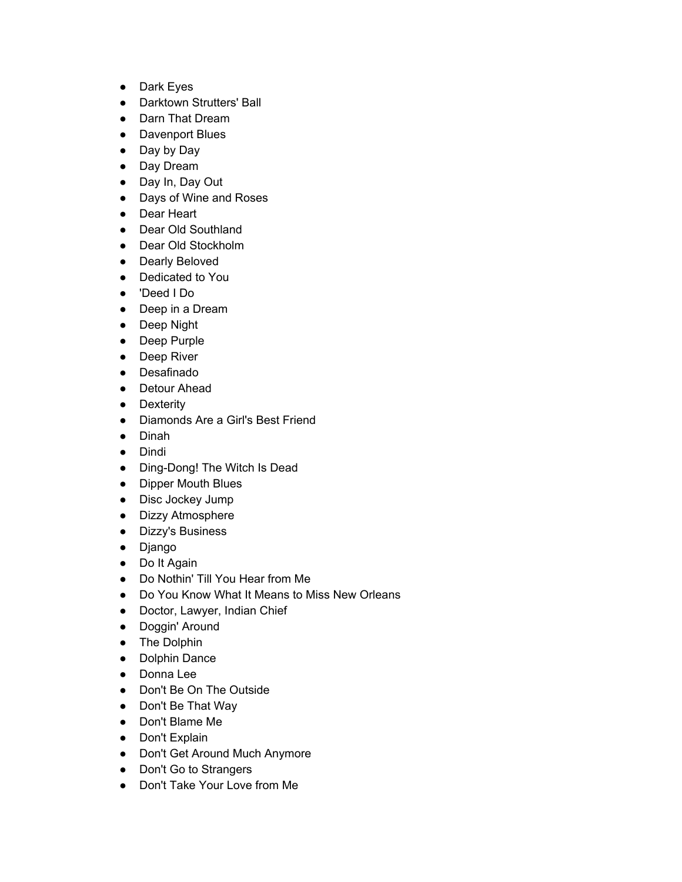- [Dark Eyes](https://en.wikipedia.org/wiki/Dark_Eyes_(song))
- [Darktown Strutters' Ball](https://en.wikipedia.org/wiki/Darktown_Strutters%27_Ball)
- [Darn That Dream](https://en.wikipedia.org/wiki/Darn_That_Dream)
- [Davenport Blues](https://en.wikipedia.org/wiki/Davenport_Blues)
- [Day by Day](https://en.wikipedia.org/wiki/Day_by_Day_(song))
- [Day Dream](https://en.wikipedia.org/wiki/Day_Dream)
- [Day In, Day Out](https://en.wikipedia.org/wiki/Day_In,_Day_Out_(1939_song))
- [Days of Wine and Roses](https://en.wikipedia.org/wiki/Days_of_Wine_and_Roses_(song))
- [Dear Heart](https://en.wikipedia.org/wiki/Dear_Heart_(song))
- [Dear Old Southland](https://en.wikipedia.org/wiki/Dear_Old_Southland)
- [Dear Old Stockholm](https://en.wikipedia.org/wiki/Dear_Old_Stockholm)
- [Dearly Beloved](https://en.wikipedia.org/w/index.php?title=Dearly_Beloved_(1942_song)&action=edit&redlink=1)
- [Dedicated to You](https://en.wikipedia.org/w/index.php?title=Dedicated_to_You_(song)&action=edit&redlink=1)
- ['Deed I Do](https://en.wikipedia.org/wiki/%27Deed_I_Do)
- [Deep in a Dream](https://en.wikipedia.org/wiki/Deep_in_a_Dream)
- [Deep Night](https://en.wikipedia.org/wiki/Deep_Night)
- [Deep Purple](https://en.wikipedia.org/wiki/Deep_Purple_(song))
- [Deep River](https://en.wikipedia.org/wiki/Deep_River_(song))
- [Desafinado](https://en.wikipedia.org/wiki/Desafinado)
- [Detour Ahead](https://en.wikipedia.org/wiki/Detour_Ahead)
- [Dexterity](https://en.wikipedia.org/wiki/Dexterity_(song))
- [Diamonds Are a Girl's Best Friend](https://en.wikipedia.org/wiki/Diamonds_Are_a_Girl%27s_Best_Friend)
- [Dinah](https://en.wikipedia.org/wiki/Dinah_(song))
- [Dindi](https://en.wikipedia.org/wiki/Dindi_(song))
- [Ding-Dong! The Witch Is Dead](https://en.wikipedia.org/wiki/Ding-Dong!_The_Witch_Is_Dead)
- [Dipper Mouth Blues](https://en.wikipedia.org/w/index.php?title=Dipper_Mouth_Blues&action=edit&redlink=1)
- [Disc Jockey Jump](https://en.wikipedia.org/w/index.php?title=Disc_Jockey_Jump&action=edit&redlink=1)
- [Dizzy Atmosphere](https://en.wikipedia.org/wiki/Dizzy_Atmosphere)
- [Dizzy's Business](https://en.wikipedia.org/w/index.php?title=Dizzy%27s_Business&action=edit&redlink=1)
- [Django](https://en.wikipedia.org/w/index.php?title=Django_(John_Lewis_song)&action=edit&redlink=1)
- [Do It Again](https://en.wikipedia.org/wiki/Do_It_Again_(George_Gershwin_and_Buddy_DeSylva_song))
- [Do Nothin' Till You Hear from Me](https://en.wikipedia.org/wiki/Do_Nothin%27_Till_You_Hear_from_Me)
- [Do You Know What It Means to Miss New Orleans](https://en.wikipedia.org/wiki/Do_You_Know_What_It_Means_to_Miss_New_Orleans)
- [Doctor, Lawyer, Indian Chief](https://en.wikipedia.org/wiki/Doctor,_Lawyer,_Indian_Chief)
- [Doggin' Around](https://en.wikipedia.org/wiki/Doggin%27_Around)
- [The Dolphin](https://en.wikipedia.org/w/index.php?title=The_Dolphin_(Luiz_E%C3%A7a_song)&action=edit&redlink=1)
- [Dolphin Dance](https://en.wikipedia.org/wiki/Dolphin_Dance)
- [Donna Lee](https://en.wikipedia.org/wiki/Donna_Lee)
- [Don't Be On The Outside](https://en.wikipedia.org/w/index.php?title=Don%27t_Be_On_The_Outside&action=edit&redlink=1)
- [Don't Be That Way](https://en.wikipedia.org/w/index.php?title=Don%27t_Be_That_Way&action=edit&redlink=1)
- [Don't Blame Me](https://en.wikipedia.org/wiki/Don%27t_Blame_Me_(song))
- [Don't Explain](https://en.wikipedia.org/wiki/Don%27t_Explain_(song))
- [Don't Get Around Much Anymore](https://en.wikipedia.org/wiki/Don%27t_Get_Around_Much_Anymore)
- [Don't Go to Strangers](https://en.wikipedia.org/w/index.php?title=Don%27t_Go_to_Strangers_(1954_song)&action=edit&redlink=1)
- [Don't Take Your Love from Me](https://en.wikipedia.org/wiki/Don%27t_Take_Your_Love_from_Me)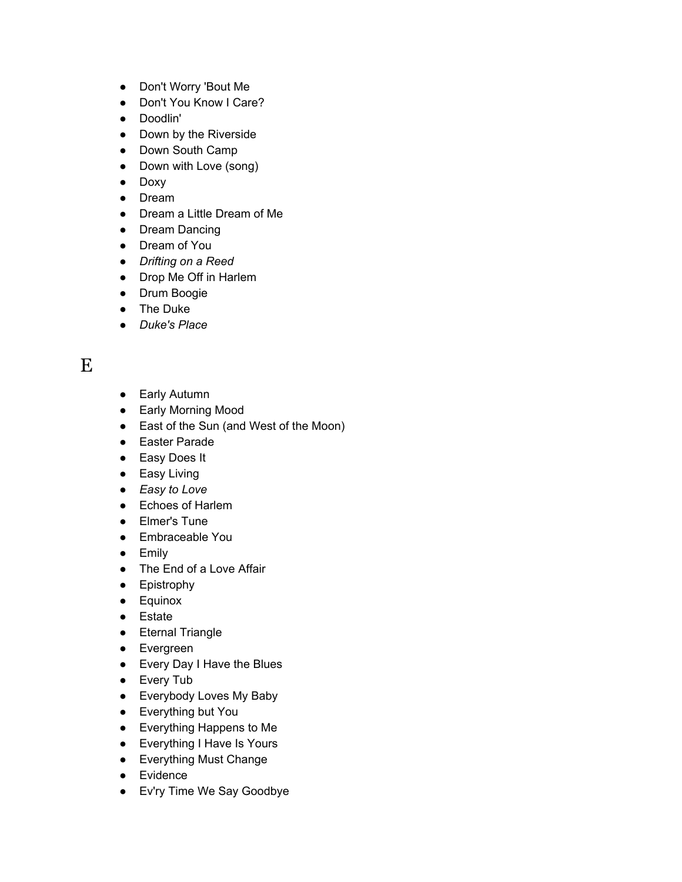- [Don't Worry 'Bout Me](https://en.wikipedia.org/wiki/Don%27t_Worry_%27Bout_Me)
- [Don't You Know I Care?](https://en.wikipedia.org/w/index.php?title=Don%27t_You_Know_I_Care%3F&action=edit&redlink=1)
- [Doodlin'](https://en.wikipedia.org/wiki/Doodlin%27_(Horace_Silver_song))
- [Down by the Riverside](https://en.wikipedia.org/wiki/Down_by_the_Riverside)
- [Down South Camp](https://en.wikipedia.org/w/index.php?title=Down_South_Camp&action=edit&redlink=1)
- [Down with Love \(song\)](https://en.wikipedia.org/wiki/Down_with_Love_(song))
- [Doxy](https://en.wikipedia.org/wiki/Doxy_(song))
- [Dream](https://en.wikipedia.org/wiki/Dream_(song))
- [Dream a Little Dream of Me](https://en.wikipedia.org/wiki/Dream_a_Little_Dream_of_Me)
- [Dream Dancing](https://en.wikipedia.org/wiki/Dream_Dancing)
- [Dream of You](https://en.wikipedia.org/w/index.php?title=Dream_of_You_(1934_song)&action=edit&redlink=1)
- *[Drifting on a Reed](https://en.wikipedia.org/wiki/Drifting_on_a_Reed)*
- [Drop Me Off in Harlem](https://en.wikipedia.org/wiki/Drop_Me_Off_in_Harlem)
- [Drum Boogie](https://en.wikipedia.org/wiki/Drum_Boogie)
- [The Duke](https://en.wikipedia.org/w/index.php?title=The_Duke_(Dave_Brubeck_song)&action=edit&redlink=1)
- *[Duke's Place](https://en.wikipedia.org/wiki/Duke%27s_Place)*

# E

- [Early Autumn](https://en.wikipedia.org/wiki/Early_Autumn_(song))
- [Early Morning Mood](https://en.wikipedia.org/w/index.php?title=Early_Morning_Mood&action=edit&redlink=1)
- [East of the Sun \(and West of the Moon\)](https://en.wikipedia.org/wiki/East_of_the_Sun_(and_West_of_the_Moon))
- [Easter Parade](https://en.wikipedia.org/wiki/Easter_Parade_(song))
- [Easy Does It](https://en.wikipedia.org/w/index.php?title=Easy_Does_It_(Sy_Oliver_and_Trummy_Young_song)&action=edit&redlink=1)
- [Easy Living](https://en.wikipedia.org/wiki/Easy_Living_(song))
- *[Easy to Love](https://en.wikipedia.org/wiki/You%27d_Be_So_Easy_to_Love)*
- [Echoes of Harlem](https://en.wikipedia.org/wiki/Echoes_of_Harlem)
- [Elmer's Tune](https://en.wikipedia.org/wiki/Elmer%27s_Tune)
- [Embraceable You](https://en.wikipedia.org/wiki/Embraceable_You)
- [Emily](https://en.wikipedia.org/wiki/Emily_(1964_song))
- [The End of a Love Affair](https://en.wikipedia.org/w/index.php?title=The_End_of_a_Love_Affair&action=edit&redlink=1)
- [Epistrophy](https://en.wikipedia.org/wiki/Epistrophy)
- [Equinox](https://en.wikipedia.org/wiki/Equinox_(standard))
- [Estate](https://en.wikipedia.org/wiki/Estate_(song))
- Eternal Triangle
- [Evergreen](https://en.wikipedia.org/wiki/Evergreen_(Love_Theme_from_A_Star_Is_Born))
- [Every Day I Have the Blues](https://en.wikipedia.org/wiki/Every_Day_I_Have_the_Blues)
- [Every Tub](https://en.wikipedia.org/w/index.php?title=Every_Tub&action=edit&redlink=1)
- [Everybody Loves My Baby](https://en.wikipedia.org/wiki/Everybody_Loves_My_Baby)
- [Everything but You](https://en.wikipedia.org/wiki/Everything_but_You)
- [Everything Happens to Me](https://en.wikipedia.org/wiki/Everything_Happens_to_Me_(song))
- [Everything I Have Is Yours](https://en.wikipedia.org/wiki/Everything_I_Have_Is_Yours_(song))
- [Everything Must Change](https://en.wikipedia.org/wiki/Everything_Must_Change)
- [Evidence](https://en.wikipedia.org/w/index.php?title=Evidence_(Thelonious_Monk_song)&action=edit&redlink=1)
- [Ev'ry Time We Say Goodbye](https://en.wikipedia.org/wiki/Ev%27ry_Time_We_Say_Goodbye)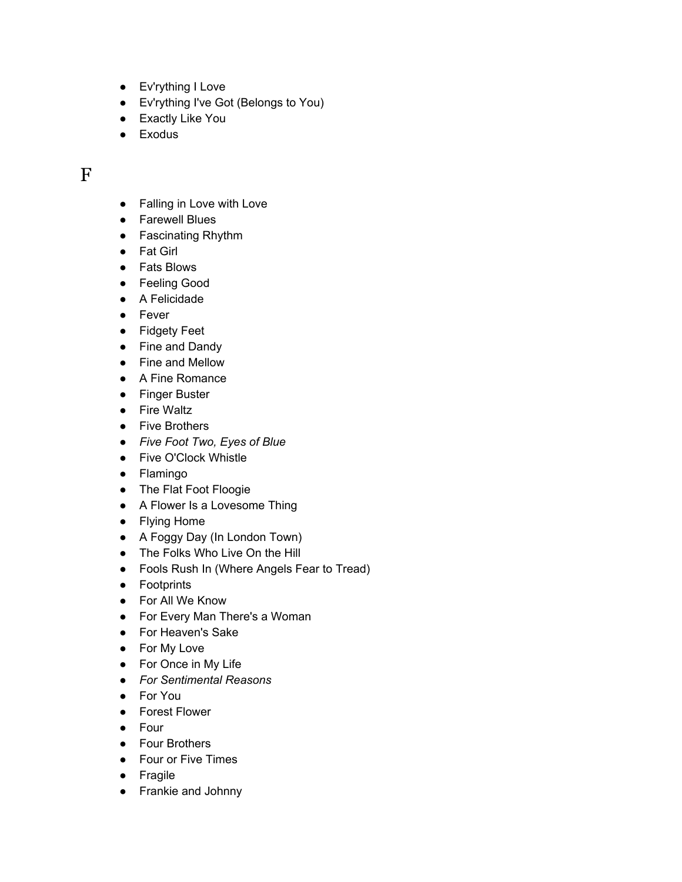- [Ev'rything I Love](https://en.wikipedia.org/w/index.php?title=Ev%27rything_I_Love&action=edit&redlink=1)
- [Ev'rything I've Got \(Belongs to You\)](https://en.wikipedia.org/w/index.php?title=Ev%27rything_I%27ve_Got_(Belongs_to_You)&action=edit&redlink=1)
- [Exactly Like You](https://en.wikipedia.org/wiki/Exactly_Like_You_(song))
- [Exodus](https://en.wikipedia.org/wiki/Exodus_(soundtrack))

### F

- [Falling in Love with Love](https://en.wikipedia.org/wiki/Falling_in_Love_with_Love)
- [Farewell Blues](https://en.wikipedia.org/wiki/Farewell_Blues)
- [Fascinating Rhythm](https://en.wikipedia.org/wiki/Fascinating_Rhythm)
- [Fat Girl](https://en.wikipedia.org/wiki/Fat_Girl_(composition))
- [Fats Blows](https://en.wikipedia.org/w/index.php?title=Fats_Blows&action=edit&redlink=1)
- [Feeling Good](https://en.wikipedia.org/wiki/Feeling_Good)
- [A Felicidade](https://en.wikipedia.org/w/index.php?title=A_Felicidade&action=edit&redlink=1)
- [Fever](https://en.wikipedia.org/wiki/Fever_(Little_Willie_John_song))
- [Fidgety Feet](https://en.wikipedia.org/w/index.php?title=Fidgety_Feet&action=edit&redlink=1)
- [Fine and Dandy](https://en.wikipedia.org/wiki/Fine_and_Dandy_(song))
- [Fine and Mellow](https://en.wikipedia.org/wiki/Fine_and_Mellow)
- [A Fine Romance](https://en.wikipedia.org/wiki/A_Fine_Romance_(song))
- [Finger Buster](https://en.wikipedia.org/w/index.php?title=Finger_Buster&action=edit&redlink=1)
- [Fire Waltz](https://en.wikipedia.org/wiki/Fire_Waltz)
- [Five Brothers](https://en.wikipedia.org/w/index.php?title=Five_Brothers_(song)&action=edit&redlink=1)
- *[Five Foot Two, Eyes of Blue](https://en.wikipedia.org/wiki/Five_Foot_Two,_Eyes_of_Blue)*
- [Five O'Clock Whistle](https://en.wikipedia.org/w/index.php?title=Five_O%27Clock_Whistle&action=edit&redlink=1)
- [Flamingo](https://en.wikipedia.org/wiki/Flamingo_(song))
- [The Flat Foot Floogie](https://en.wikipedia.org/wiki/Flat_Foot_Floogie_(with_a_Floy_Floy))
- [A Flower Is a Lovesome Thing](https://en.wikipedia.org/wiki/A_Flower_Is_a_Lovesome_Thing)
- [Flying Home](https://en.wikipedia.org/wiki/Flying_Home)
- [A Foggy Day \(In London Town\)](https://en.wikipedia.org/wiki/A_Foggy_Day_(In_London_Town))
- [The Folks Who Live On the Hill](https://en.wikipedia.org/wiki/The_Folks_Who_Live_On_the_Hill)
- [Fools Rush In \(Where Angels Fear to Tread\)](https://en.wikipedia.org/wiki/Fools_Rush_In_(Where_Angels_Fear_to_Tread))
- [Footprints](https://en.wikipedia.org/wiki/Footprints_(composition))
- [For All We Know](https://en.wikipedia.org/wiki/For_All_We_Know_(1934_song))
- [For Every Man There's a Woman](https://en.wikipedia.org/w/index.php?title=For_Every_Man_There%27s_a_Woman&action=edit&redlink=1)
- [For Heaven's Sake](https://en.wikipedia.org/w/index.php?title=For_Heaven%27s_Sake_(1958_song)&action=edit&redlink=1)
- [For My Love](https://en.wikipedia.org/w/index.php?title=For_My_Love&action=edit&redlink=1)
- [For Once in My Life](https://en.wikipedia.org/wiki/For_Once_in_My_Life)
- *[For Sentimental Reasons](https://en.wikipedia.org/wiki/(I_Love_You)_For_Sentimental_Reasons)*
- [For You](https://en.wikipedia.org/wiki/For_You_(Ricky_Nelson_song))
- [Forest Flower](https://en.wikipedia.org/wiki/Forest_Flower)
- [Four](https://en.wikipedia.org/wiki/Four_(composition))
- [Four Brothers](https://en.wikipedia.org/wiki/Four_Brothers_(jazz_standard))
- [Four or Five Times](https://en.wikipedia.org/w/index.php?title=Four_or_Five_Times&action=edit&redlink=1)
- [Fragile](https://en.wikipedia.org/wiki/Fragile_(song))
- [Frankie and Johnny](https://en.wikipedia.org/wiki/Frankie_and_Johnny_(song))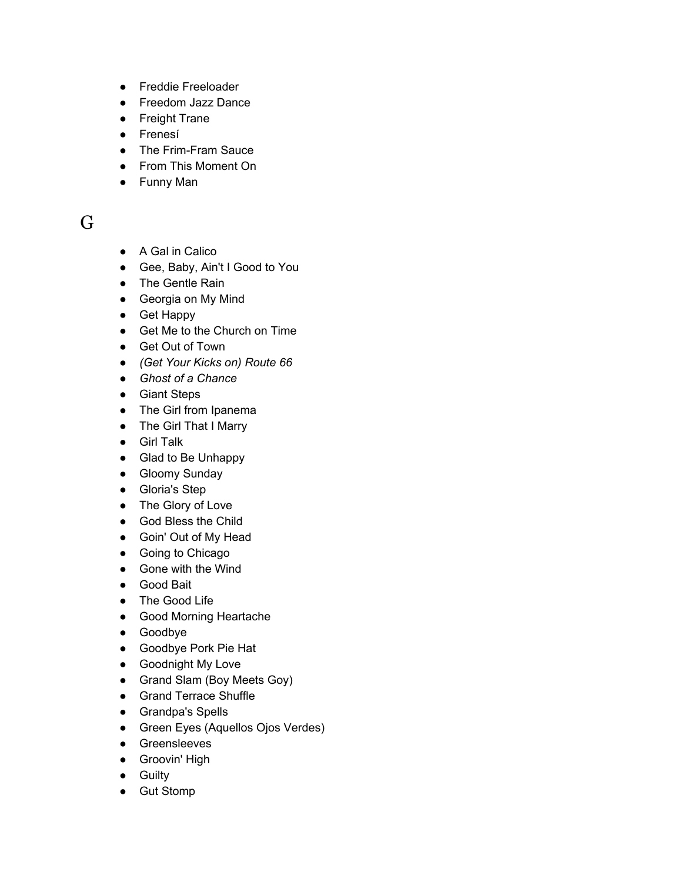- [Freddie Freeloader](https://en.wikipedia.org/wiki/Freddie_Freeloader)
- [Freedom Jazz Dance](https://en.wikipedia.org/wiki/Freedom_Jazz_Dance)
- [Freight Trane](https://en.wikipedia.org/w/index.php?title=Freight_Trane&action=edit&redlink=1)
- [Frenesí](https://en.wikipedia.org/wiki/Frenes%C3%AD)
- [The Frim-Fram Sauce](https://en.wikipedia.org/wiki/The_Frim-Fram_Sauce)
- [From This Moment On](https://en.wikipedia.org/wiki/From_This_Moment_On_(Cole_Porter_song))
- [Funny Man](https://en.wikipedia.org/w/index.php?title=Funny_Man_(Bill_Evans_song)&action=edit&redlink=1)

# G

- [A Gal in Calico](https://en.wikipedia.org/wiki/A_Gal_in_Calico)
- [Gee, Baby, Ain't I Good to You](https://en.wikipedia.org/wiki/Gee,_Baby,_Ain%27t_I_Good_to_You)
- [The Gentle Rain](https://en.wikipedia.org/wiki/The_Gentle_Rain)
- [Georgia on My Mind](https://en.wikipedia.org/wiki/Georgia_on_My_Mind)
- [Get Happy](https://en.wikipedia.org/wiki/Get_Happy_(song))
- [Get Me to the Church on Time](https://en.wikipedia.org/wiki/Get_Me_to_the_Church_on_Time)
- [Get Out of Town](https://en.wikipedia.org/wiki/Get_Out_of_Town)
- *[\(Get Your Kicks on\) Route 66](https://en.wikipedia.org/wiki/(Get_Your_Kicks_on)_Route_66)*
- *[Ghost of a Chance](https://en.wikipedia.org/wiki/I_Don%27t_Stand_a_Ghost_of_a_Chance_with_You)*
- [Giant Steps](https://en.wikipedia.org/wiki/Giant_Steps_(composition))
- [The Girl from Ipanema](https://en.wikipedia.org/wiki/The_Girl_from_Ipanema)
- [The Girl That I Marry](https://en.wikipedia.org/wiki/The_Girl_That_I_Marry)
- [Girl Talk](https://en.wikipedia.org/wiki/Girl_Talk_(Neal_Hefti_song))
- [Glad to Be Unhappy](https://en.wikipedia.org/wiki/Glad_to_Be_Unhappy)
- [Gloomy Sunday](https://en.wikipedia.org/wiki/Gloomy_Sunday)
- [Gloria's Step](https://en.wikipedia.org/w/index.php?title=Gloria%27s_Step&action=edit&redlink=1)
- [The Glory of Love](https://en.wikipedia.org/wiki/The_Glory_of_Love_(song))
- [God Bless the Child](https://en.wikipedia.org/wiki/God_Bless_the_Child_(Billie_Holiday_song))
- [Goin' Out of My Head](https://en.wikipedia.org/wiki/Goin%27_Out_of_My_Head)
- [Going to Chicago](https://en.wikipedia.org/w/index.php?title=Going_to_Chicago&action=edit&redlink=1)
- [Gone with the Wind](https://en.wikipedia.org/wiki/Gone_with_the_Wind_(song))
- [Good Bait](https://en.wikipedia.org/wiki/Good_Bait)
- [The Good Life](https://en.wikipedia.org/wiki/The_Good_Life_(1962_song))
- [Good Morning Heartache](https://en.wikipedia.org/wiki/Good_Morning_Heartache)
- [Goodbye](https://en.wikipedia.org/wiki/Goodbye_(Gordon_Jenkins_song))
- [Goodbye Pork Pie Hat](https://en.wikipedia.org/wiki/Goodbye_Pork_Pie_Hat)
- [Goodnight My Love](https://en.wikipedia.org/wiki/Goodnight_My_Love_(1936_song))
- [Grand Slam \(Boy Meets Goy\)](https://en.wikipedia.org/w/index.php?title=Grand_Slam_(Boy_Meets_Goy)&action=edit&redlink=1)
- [Grand Terrace Shuffle](https://en.wikipedia.org/w/index.php?title=Grand_Terrace_Shuffle&action=edit&redlink=1)
- [Grandpa's Spells](https://en.wikipedia.org/w/index.php?title=Grandpa%27s_Spells&action=edit&redlink=1)
- [Green Eyes \(Aquellos Ojos Verdes\)](https://en.wikipedia.org/wiki/Green_Eyes_(Aquellos_Ojos_Verdes))
- [Greensleeves](https://en.wikipedia.org/wiki/Greensleeves)
- **•** [Groovin' High](https://en.wikipedia.org/wiki/Groovin%27_High)
- [Guilty](https://en.wikipedia.org/wiki/Guilty_(1931_song))
- [Gut Stomp](https://en.wikipedia.org/wiki/Gut_Stomp)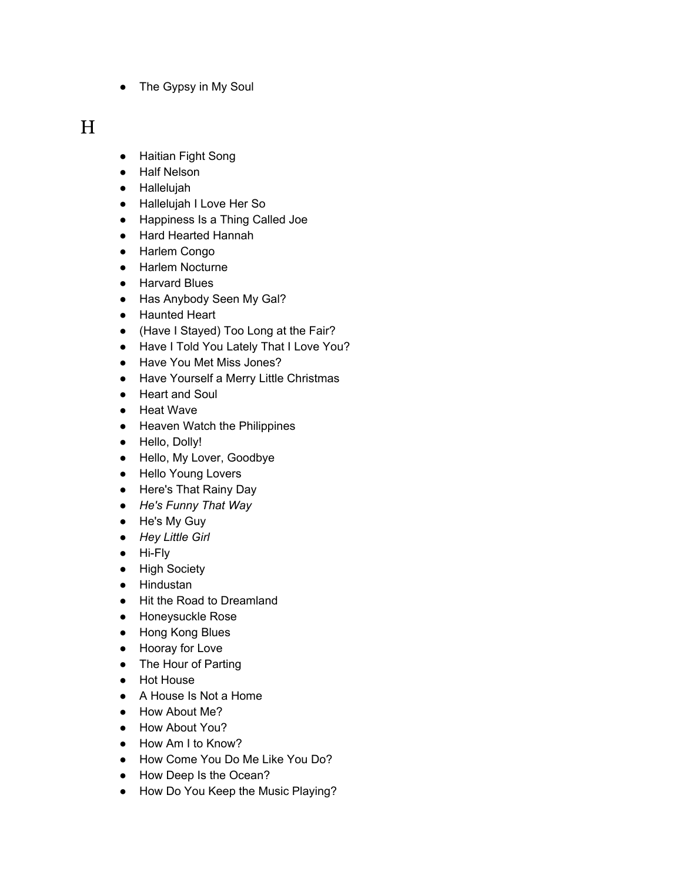• [The Gypsy in My Soul](https://en.wikipedia.org/wiki/The_Gypsy_in_My_Soul)

# H

- [Haitian Fight Song](https://en.wikipedia.org/wiki/Haitian_Fight_Song)
- [Half Nelson](https://en.wikipedia.org/wiki/Half_Nelson_(song))
- [Hallelujah](https://en.wikipedia.org/w/index.php?title=Hallelujah_(jazz_standard)&action=edit&redlink=1)
- [Hallelujah I Love Her So](https://en.wikipedia.org/wiki/Hallelujah_I_Love_Her_So)
- [Happiness Is a Thing Called Joe](https://en.wikipedia.org/wiki/Happiness_Is_a_Thing_Called_Joe)
- [Hard Hearted Hannah](https://en.wikipedia.org/wiki/Hard_Hearted_Hannah_(The_Vamp_of_Savannah))
- [Harlem Congo](https://en.wikipedia.org/w/index.php?title=Harlem_Congo&action=edit&redlink=1)
- [Harlem Nocturne](https://en.wikipedia.org/wiki/Harlem_Nocturne)
- [Harvard Blues](https://en.wikipedia.org/w/index.php?title=Harvard_Blues&action=edit&redlink=1)
- [Has Anybody Seen My Gal?](https://en.wikipedia.org/wiki/Has_Anybody_Seen_My_Gal%3F_(song))
- [Haunted Heart](https://en.wikipedia.org/w/index.php?title=Haunted_Heart_(Howard_Dietz_song)&action=edit&redlink=1)
- [\(Have I Stayed\) Too Long at the Fair?](https://en.wikipedia.org/w/index.php?title=(Have_I_Stayed)_Too_Long_at_the_Fair%3F&action=edit&redlink=1)
- [Have I Told You Lately That I Love You?](https://en.wikipedia.org/wiki/Have_I_Told_You_Lately_That_I_Love_You%3F)
- [Have You Met Miss Jones?](https://en.wikipedia.org/wiki/Have_You_Met_Miss_Jones%3F)
- [Have Yourself a Merry Little Christmas](https://en.wikipedia.org/wiki/Have_Yourself_a_Merry_Little_Christmas)
- [Heart and Soul](https://en.wikipedia.org/wiki/Heart_and_Soul_(1938_song))
- [Heat Wave](https://en.wikipedia.org/wiki/Heat_Wave_(Irving_Berlin_song))
- [Heaven Watch the Philippines](https://en.wikipedia.org/wiki/Heaven_Watch_the_Philippines)
- [Hello, Dolly!](https://en.wikipedia.org/wiki/Hello,_Dolly!_(song))
- [Hello, My Lover, Goodbye](https://en.wikipedia.org/wiki/Hello,_My_Lover,_Goodbye)
- [Hello Young Lovers](https://en.wikipedia.org/wiki/Hello,_Young_Lovers_(song))
- [Here's That Rainy Day](https://en.wikipedia.org/wiki/Here%27s_That_Rainy_Day)
- *[He's Funny That Way](https://en.wikipedia.org/wiki/She%27s_Funny_That_Way)*
- [He's My Guy](https://en.wikipedia.org/wiki/He%27s_My_Guy)
- *[Hey Little Girl](https://en.wikipedia.org/wiki/Wives_and_Lovers)*
- [Hi-Fly](https://en.wikipedia.org/wiki/Hi-Fly_(Randy_Weston_song))
- [High Society](https://en.wikipedia.org/wiki/High_Society_(composition))
- [Hindustan](https://en.wikipedia.org/w/index.php?title=Hindustan_(song)&action=edit&redlink=1)
- [Hit the Road to Dreamland](https://en.wikipedia.org/wiki/Hit_the_Road_to_Dreamland)
- [Honeysuckle Rose](https://en.wikipedia.org/wiki/Honeysuckle_Rose_(song))
- [Hong Kong Blues](https://en.wikipedia.org/wiki/Hong_Kong_Blues)
- [Hooray for Love](https://en.wikipedia.org/wiki/Hooray_for_Love_(song))
- [The Hour of Parting](https://en.wikipedia.org/w/index.php?title=The_Hour_of_Parting&action=edit&redlink=1)
- [Hot House](https://en.wikipedia.org/wiki/Hot_House_(composition))
- [A House Is Not a Home](https://en.wikipedia.org/wiki/A_House_Is_Not_a_Home_(song))
- [How About Me?](https://en.wikipedia.org/wiki/How_About_Me%3F)
- [How About You?](https://en.wikipedia.org/wiki/How_About_You%3F)
- [How Am I to Know?](https://en.wikipedia.org/w/index.php?title=How_Am_I_to_Know%3F&action=edit&redlink=1)
- [How Come You Do Me Like You Do?](https://en.wikipedia.org/wiki/How_Come_You_Do_Me_Like_You_Do%3F)
- [How Deep Is the Ocean?](https://en.wikipedia.org/wiki/How_Deep_Is_the_Ocean%3F)
- [How Do You Keep the Music Playing?](https://en.wikipedia.org/wiki/How_Do_You_Keep_the_Music_Playing%3F)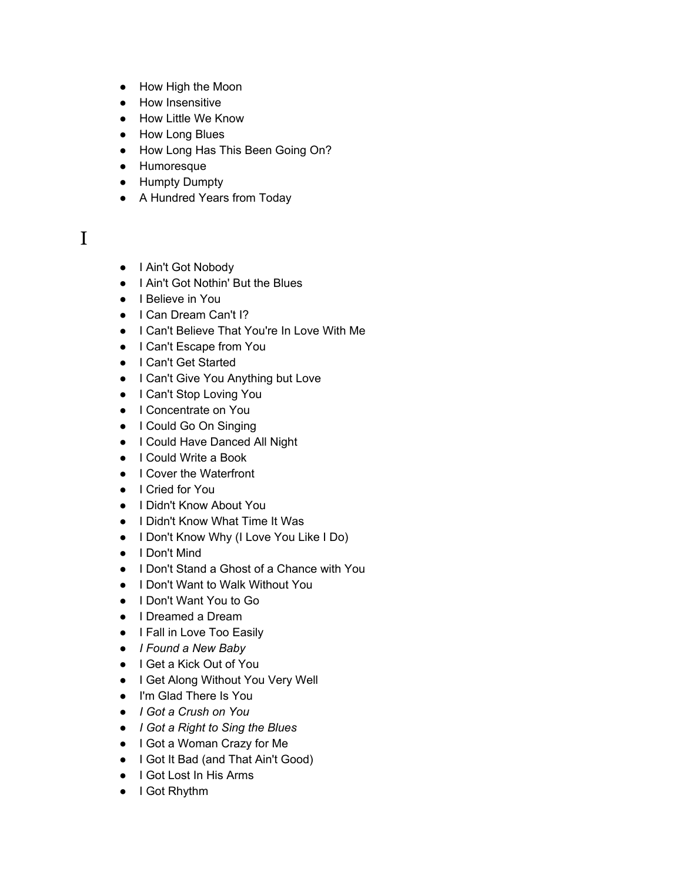- [How High the Moon](https://en.wikipedia.org/wiki/How_High_the_Moon)
- [How Insensitive](https://en.wikipedia.org/wiki/How_Insensitive)
- [How Little We Know](https://en.wikipedia.org/wiki/How_Little_We_Know)
- [How Long Blues](https://en.wikipedia.org/wiki/How_Long,_How_Long_Blues)
- [How Long Has This Been Going On?](https://en.wikipedia.org/wiki/How_Long_Has_This_Been_Going_On%3F)
- [Humoresque](https://en.wikipedia.org/wiki/Humoresque)
- [Humpty Dumpty](https://en.wikipedia.org/w/index.php?title=Humpty_Dumpty_(Chick_Corea_song)&action=edit&redlink=1)
- [A Hundred Years from Today](https://en.wikipedia.org/wiki/A_Hundred_Years_from_Today)

I

- [I Ain't Got Nobody](https://en.wikipedia.org/wiki/I_Ain%27t_Got_Nobody)
- [I Ain't Got Nothin' But the Blues](https://en.wikipedia.org/wiki/I_Ain%27t_Got_Nothin%27_But_the_Blues)
- [I Believe in You](https://en.wikipedia.org/wiki/I_Believe_in_You_(Frank_Loesser_song))
- [I Can Dream Can't I?](https://en.wikipedia.org/w/index.php?title=I_Can_Dream_Can%27t_I%3F&action=edit&redlink=1)
- [I Can't Believe That You're In Love With Me](https://en.wikipedia.org/wiki/I_Can%27t_Believe_That_You%27re_In_Love_With_Me)
- [I Can't Escape from You](https://en.wikipedia.org/wiki/I_Can%27t_Escape_from_You)
- [I Can't Get Started](https://en.wikipedia.org/wiki/I_Can%27t_Get_Started)
- [I Can't Give You Anything but Love](https://en.wikipedia.org/wiki/I_Can%27t_Give_You_Anything_but_Love)
- [I Can't Stop Loving You](https://en.wikipedia.org/wiki/I_Can%27t_Stop_Loving_You)
- [I Concentrate on You](https://en.wikipedia.org/wiki/I_Concentrate_on_You)
- [I Could Go On Singing](https://en.wikipedia.org/wiki/I_Could_Go_On_Singing)
- [I Could Have Danced All Night](https://en.wikipedia.org/wiki/I_Could_Have_Danced_All_Night)
- [I Could Write a Book](https://en.wikipedia.org/wiki/I_Could_Write_a_Book)
- [I Cover the Waterfront](https://en.wikipedia.org/wiki/I_Cover_the_Waterfront_(song))
- [I Cried for You](https://en.wikipedia.org/wiki/I_Cried_for_You)
- [I Didn't Know About You](https://en.wikipedia.org/wiki/I_Didn%27t_Know_About_You)
- [I Didn't Know What Time It Was](https://en.wikipedia.org/wiki/I_Didn%27t_Know_What_Time_It_Was)
- [I Don't Know Why \(I Love You Like I Do\)](https://en.wikipedia.org/wiki/I_Don%27t_Know_Why_(I_Love_You_Like_I_Do))
- [I Don't Mind](https://en.wikipedia.org/w/index.php?title=I_Don%27t_Mind_(Duke_Ellington_song)&action=edit&redlink=1)
- [I Don't Stand a Ghost of a Chance with You](https://en.wikipedia.org/wiki/I_Don%27t_Stand_a_Ghost_of_a_Chance_with_You)
- [I Don't Want to Walk Without You](https://en.wikipedia.org/wiki/I_Don%27t_Want_to_Walk_Without_You)
- [I Don't Want You to Go](https://en.wikipedia.org/wiki/I_Don%27t_Want_You_to_Go_(Lani_Hall_song))
- [I Dreamed a Dream](https://en.wikipedia.org/wiki/I_Dreamed_a_Dream)
- [I Fall in Love Too Easily](https://en.wikipedia.org/wiki/I_Fall_in_Love_Too_Easily)
- *[I Found a New Baby](https://en.wikipedia.org/wiki/I_Found_a_New_Baby)*
- [I Get a Kick Out of You](https://en.wikipedia.org/wiki/I_Get_a_Kick_Out_of_You)
- [I Get Along Without You Very Well](https://en.wikipedia.org/wiki/I_Get_Along_Without_You_Very_Well)
- [I'm Glad There Is You](https://en.wikipedia.org/wiki/I%27m_Glad_There_Is_You)
- *[I Got a Crush on You](https://en.wikipedia.org/wiki/I_Got_a_Crush_on_You)*
- *[I Got a Right to Sing the Blues](https://en.wikipedia.org/wiki/I_Got_a_Right_to_Sing_the_Blues)*
- [I Got a Woman Crazy for Me](https://en.wikipedia.org/w/index.php?title=I_Got_a_Woman_Crazy_for_Me&action=edit&redlink=1)
- [I Got It Bad \(and That Ain't Good\)](https://en.wikipedia.org/wiki/I_Got_It_Bad_(and_That_Ain%27t_Good))
- [I Got Lost In His Arms](https://en.wikipedia.org/wiki/I_Got_Lost_In_His_Arms)
- [I Got Rhythm](https://en.wikipedia.org/wiki/I_Got_Rhythm)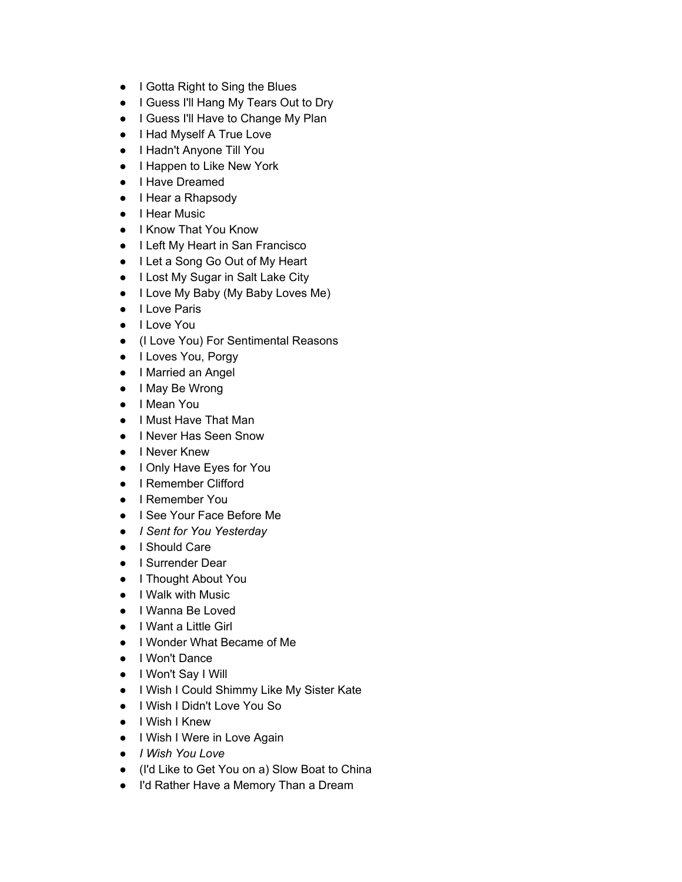- [I Gotta Right to Sing the Blues](https://en.wikipedia.org/wiki/I_Gotta_Right_to_Sing_the_Blues)
- [I Guess I'll Hang My Tears Out to Dry](https://en.wikipedia.org/wiki/I_Guess_I%27ll_Hang_My_Tears_Out_to_Dry)
- [I Guess I'll Have to Change My Plan](https://en.wikipedia.org/wiki/I_Guess_I%27ll_Have_to_Change_My_Plan)
- [I Had Myself A True Love](https://en.wikipedia.org/w/index.php?title=I_Had_Myself_A_True_Love&action=edit&redlink=1)
- [I Hadn't Anyone Till You](https://en.wikipedia.org/wiki/I_Hadn%27t_Anyone_Till_You)
- [I Happen to Like New York](https://en.wikipedia.org/wiki/I_Happen_to_Like_New_York)
- [I Have Dreamed](https://en.wikipedia.org/wiki/I_Have_Dreamed_(song))
- [I Hear a Rhapsody](https://en.wikipedia.org/wiki/I_Hear_a_Rhapsody)
- [I Hear Music](https://en.wikipedia.org/wiki/I_Hear_Music)
- [I Know That You Know](https://en.wikipedia.org/w/index.php?title=I_Know_That_You_Know&action=edit&redlink=1)
- [I Left My Heart in San Francisco](https://en.wikipedia.org/wiki/I_Left_My_Heart_in_San_Francisco)
- [I Let a Song Go Out of My Heart](https://en.wikipedia.org/wiki/I_Let_a_Song_Go_Out_of_My_Heart)
- [I Lost My Sugar in Salt Lake City](https://en.wikipedia.org/w/index.php?title=I_Lost_My_Sugar_in_Salt_Lake_City&action=edit&redlink=1)
- [I Love My Baby \(My Baby Loves Me\)](https://en.wikipedia.org/w/index.php?title=I_Love_My_Baby&action=edit&redlink=1)
- [I Love Paris](https://en.wikipedia.org/wiki/I_Love_Paris)
- [I Love You](https://en.wikipedia.org/wiki/I_Love_You_(Cole_Porter_song))
- [\(I Love You\) For Sentimental Reasons](https://en.wikipedia.org/wiki/(I_Love_You)_For_Sentimental_Reasons)
- [I Loves You, Porgy](https://en.wikipedia.org/wiki/I_Loves_You,_Porgy)
- [I Married an Angel](https://en.wikipedia.org/wiki/I_Married_an_Angel)
- [I May Be Wrong](https://en.wikipedia.org/w/index.php?title=I_May_Be_Wrong&action=edit&redlink=1)
- [I Mean You](https://en.wikipedia.org/wiki/I_Mean_You)
- [I Must Have That Man](https://en.wikipedia.org/w/index.php?title=I_Must_Have_That_Man&action=edit&redlink=1)
- [I Never Has Seen Snow](https://en.wikipedia.org/w/index.php?title=I_Never_Has_Seen_Snow&action=edit&redlink=1)
- [I Never Knew](https://en.wikipedia.org/w/index.php?title=I_Never_Knew&action=edit&redlink=1)
- [I Only Have Eyes for You](https://en.wikipedia.org/wiki/I_Only_Have_Eyes_for_You)
- [I Remember Clifford](https://en.wikipedia.org/wiki/I_Remember_Clifford_(song))
- [I Remember You](https://en.wikipedia.org/wiki/I_Remember_You_(1941_song))
- [I See Your Face Before Me](https://en.wikipedia.org/wiki/I_See_Your_Face_Before_Me)
- *[I Sent for You Yesterday](https://en.wikipedia.org/w/index.php?title=Sent_for_You_Yesterday_(song)&action=edit&redlink=1)*
- [I Should Care](https://en.wikipedia.org/wiki/I_Should_Care)
- [I Surrender Dear](https://en.wikipedia.org/wiki/I_Surrender_Dear)
- [I Thought About You](https://en.wikipedia.org/wiki/I_Thought_About_You)
- [I Walk with Music](https://en.wikipedia.org/w/index.php?title=I_Walk_with_Music&action=edit&redlink=1)
- [I Wanna Be Loved](https://en.wikipedia.org/wiki/I_Wanna_Be_Loved)
- [I Want a Little Girl](https://en.wikipedia.org/w/index.php?title=I_Want_a_Little_Girl&action=edit&redlink=1)
- [I Wonder What Became of Me](https://en.wikipedia.org/w/index.php?title=I_Wonder_What_Became_of_Me&action=edit&redlink=1)
- [I Won't Dance](https://en.wikipedia.org/wiki/I_Won%27t_Dance)
- [I Won't Say I Will](https://en.wikipedia.org/w/index.php?title=I_Won%27t_Say_I_Will&action=edit&redlink=1)
- [I Wish I Could Shimmy Like My Sister Kate](https://en.wikipedia.org/wiki/I_Wish_I_Could_Shimmy_Like_My_Sister_Kate)
- [I Wish I Didn't Love You So](https://en.wikipedia.org/w/index.php?title=I_Wish_I_Didn%27t_Love_You_So&action=edit&redlink=1)
- [I Wish I Knew](https://en.wikipedia.org/wiki/I_Wish_I_Knew)
- [I Wish I Were in Love Again](https://en.wikipedia.org/wiki/I_Wish_I_Were_in_Love_Again)
- *[I Wish You Love](https://en.wikipedia.org/wiki/I_Wish_You_Love_(song))*
- [\(I'd Like to Get You on a\) Slow Boat to China](https://en.wikipedia.org/wiki/(I%27d_Like_to_Get_You_on_a)_Slow_Boat_to_China)
- [I'd Rather Have a Memory Than a Dream](https://en.wikipedia.org/w/index.php?title=I%27d_Rather_Have_a_Memory_Than_a_Dream&action=edit&redlink=1)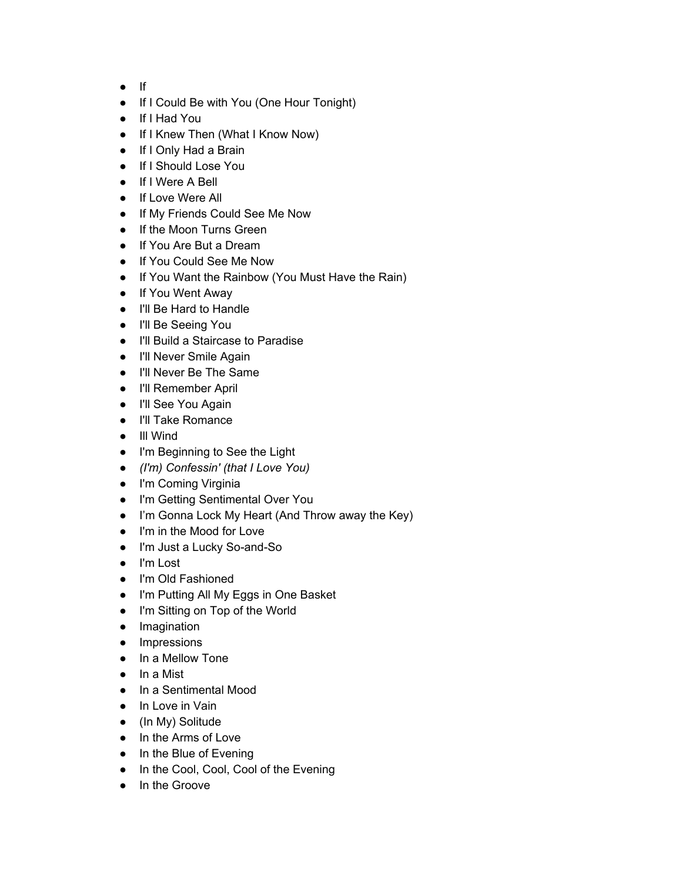- [If](https://en.wikipedia.org/wiki/If_(Bread_song))
- [If I Could Be with You \(One Hour Tonight\)](https://en.wikipedia.org/wiki/If_I_Could_Be_with_You_(One_Hour_Tonight))
- [If I Had You](https://en.wikipedia.org/wiki/If_I_Had_You_(1928_song))
- [If I Knew Then \(What I Know Now\)](https://en.wikipedia.org/w/index.php?title=If_I_Knew_Then_(What_I_Know_Now)&action=edit&redlink=1)
- [If I Only Had a Brain](https://en.wikipedia.org/wiki/If_I_Only_Had_a_Brain)
- [If I Should Lose You](https://en.wikipedia.org/wiki/If_I_Should_Lose_You)
- [If I Were A Bell](https://en.wikipedia.org/wiki/If_I_Were_A_Bell)
- [If Love Were All](https://en.wikipedia.org/wiki/If_Love_Were_All)
- [If My Friends Could See Me Now](https://en.wikipedia.org/wiki/If_My_Friends_Could_See_Me_Now)
- [If the Moon Turns Green](https://en.wikipedia.org/w/index.php?title=If_the_Moon_Turns_Green&action=edit&redlink=1)
- [If You Are But a Dream](https://en.wikipedia.org/wiki/If_You_Are_But_a_Dream)
- [If You Could See Me Now](https://en.wikipedia.org/wiki/If_You_Could_See_Me_Now_(song))
- [If You Want the Rainbow \(You Must Have the Rain\)](https://en.wikipedia.org/w/index.php?title=If_You_Want_the_Rainbow_(You_Must_Have_the_Rain)&action=edit&redlink=1)
- [If You Went Away](https://en.wikipedia.org/w/index.php?title=If_You_Went_Away&action=edit&redlink=1)
- [I'll Be Hard to Handle](https://en.wikipedia.org/wiki/I%27ll_Be_Hard_to_Handle)
- [I'll Be Seeing You](https://en.wikipedia.org/wiki/I%27ll_Be_Seeing_You_(song))
- [I'll Build a Staircase to Paradise](https://en.wikipedia.org/w/index.php?title=I%27ll_Build_a_Staircase_to_Paradise&action=edit&redlink=1)
- [I'll Never Smile Again](https://en.wikipedia.org/wiki/I%27ll_Never_Smile_Again)
- [I'll Never Be The Same](https://en.wikipedia.org/wiki/I%27ll_Never_Be_The_Same)
- [I'll Remember April](https://en.wikipedia.org/wiki/I%27ll_Remember_April_(song))
- [I'll See You Again](https://en.wikipedia.org/wiki/I%27ll_See_You_Again)
- [I'll Take Romance](https://en.wikipedia.org/wiki/I%27ll_Take_Romance)
- [Ill Wind](https://en.wikipedia.org/wiki/Ill_Wind)
- [I'm Beginning to See the Light](https://en.wikipedia.org/wiki/I%27m_Beginning_to_See_the_Light)
- *[\(I'm\) Confessin' \(that I Love You\)](https://en.wikipedia.org/wiki/(I%27m)_Confessin%27_(that_I_Love_You))*
- [I'm Coming Virginia](https://en.wikipedia.org/wiki/I%27m_Coming_Virginia)
- [I'm Getting Sentimental Over You](https://en.wikipedia.org/wiki/I%27m_Getting_Sentimental_Over_You)
- [I'm Gonna Lock My Heart \(And Throw away the Key\)](https://en.wikipedia.org/w/index.php?title=I%E2%80%99m_Gonna_Lock_My_Heart&action=edit&redlink=1)
- [I'm in the Mood for Love](https://en.wikipedia.org/wiki/I%27m_in_the_Mood_for_Love)
- [I'm Just a Lucky So-and-So](https://en.wikipedia.org/wiki/I%27m_Just_a_Lucky_So-and-So)
- [I'm Lost](https://en.wikipedia.org/wiki/I%27m_Lost)
- [I'm Old Fashioned](https://en.wikipedia.org/wiki/I%27m_Old_Fashioned)
- [I'm Putting All My Eggs in One Basket](https://en.wikipedia.org/wiki/I%27m_Putting_All_My_Eggs_in_One_Basket)
- [I'm Sitting on Top of the World](https://en.wikipedia.org/wiki/I%27m_Sitting_on_Top_of_the_World)
- [Imagination](https://en.wikipedia.org/wiki/Imagination_(1940_song))
- [Impressions](https://en.wikipedia.org/wiki/Impressions_(composition))
- [In a Mellow Tone](https://en.wikipedia.org/wiki/In_a_Mellow_Tone)
- [In a Mist](https://en.wikipedia.org/wiki/In_a_Mist)
- [In a Sentimental Mood](https://en.wikipedia.org/wiki/In_a_Sentimental_Mood)
- [In Love in Vain](https://en.wikipedia.org/w/index.php?title=In_Love_in_Vain&action=edit&redlink=1)
- [\(In My\) Solitude](https://en.wikipedia.org/wiki/(In_My)_Solitude)
- [In the Arms of Love](https://en.wikipedia.org/wiki/In_the_Arms_of_Love)
- [In the Blue of Evening](https://en.wikipedia.org/wiki/In_the_Blue_of_Evening)
- [In the Cool, Cool, Cool of the Evening](https://en.wikipedia.org/wiki/In_the_Cool,_Cool,_Cool_of_the_Evening)
- [In the Groove](https://en.wikipedia.org/wiki/In_the_Groove_(composition))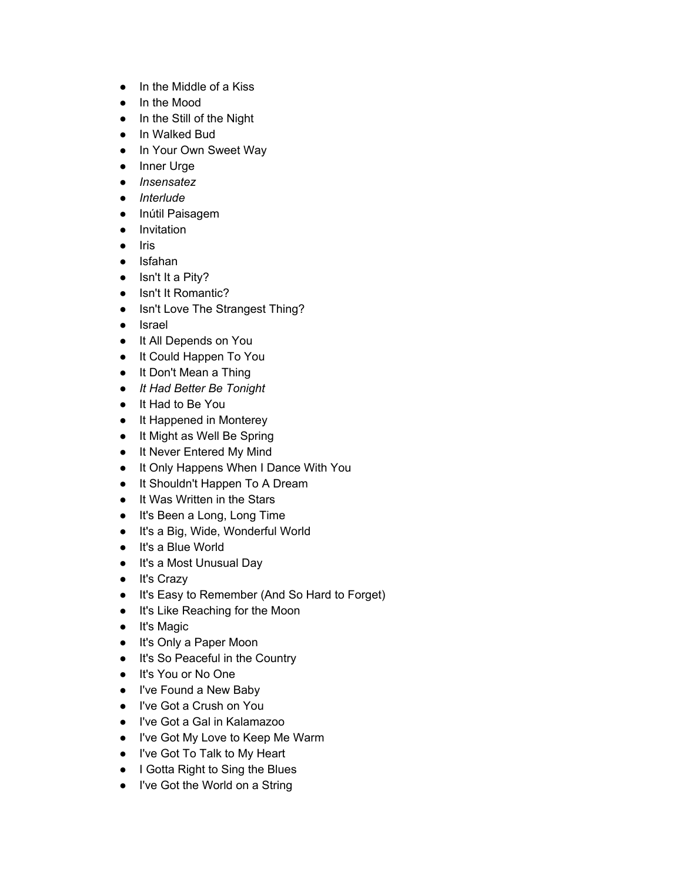- [In the Middle of a Kiss](https://en.wikipedia.org/w/index.php?title=In_the_Middle_of_a_Kiss&action=edit&redlink=1)
- [In the Mood](https://en.wikipedia.org/wiki/In_the_Mood)
- [In the Still of the Night](https://en.wikipedia.org/wiki/In_the_Still_of_the_Night_(Cole_Porter_song))
- [In Walked Bud](https://en.wikipedia.org/wiki/In_Walked_Bud)
- [In Your Own Sweet Way](https://en.wikipedia.org/wiki/In_Your_Own_Sweet_Way)
- [Inner Urge](https://en.wikipedia.org/wiki/Inner_Urge)
- *[Insensatez](https://en.wikipedia.org/wiki/Insensatez)*
- *[Interlude](https://en.wikipedia.org/wiki/A_Night_in_Tunisia)*
- [Inútil Paisagem](https://en.wikipedia.org/wiki/In%C3%BAtil_Paisagem)
- [Invitation](https://en.wikipedia.org/wiki/Invitation_(song))
- [Iris](https://en.wikipedia.org/w/index.php?title=Iris_(Wayne_Shorter_song)&action=edit&redlink=1)
- [Isfahan](https://en.wikipedia.org/wiki/Isfahan_(song))
- [Isn't It a Pity?](https://en.wikipedia.org/wiki/Isn%27t_It_a_Pity%3F)
- [Isn't It Romantic?](https://en.wikipedia.org/wiki/Isn%27t_It_Romantic%3F)
- [Isn't Love The Strangest Thing?](https://en.wikipedia.org/w/index.php?title=Isn%27t_Love_The_Strangest_Thing%3F&action=edit&redlink=1)
- [Israel](https://en.wikipedia.org/wiki/Israel_(composition))
- [It All Depends on You](https://en.wikipedia.org/wiki/It_All_Depends_on_You)
- [It Could Happen To You](https://en.wikipedia.org/wiki/It_Could_Happen_to_You_(song))
- [It Don't Mean a Thing](https://en.wikipedia.org/wiki/It_Don%27t_Mean_a_Thing_(If_It_Ain%27t_Got_That_Swing))
- *[It Had Better Be Tonight](https://en.wikipedia.org/wiki/Meglio_stasera)*
- [It Had to Be You](https://en.wikipedia.org/wiki/It_Had_to_Be_You_(song))
- [It Happened in Monterey](https://en.wikipedia.org/wiki/It_Happened_in_Monterey)
- [It Might as Well Be Spring](https://en.wikipedia.org/wiki/It_Might_as_Well_Be_Spring)
- [It Never Entered My Mind](https://en.wikipedia.org/wiki/It_Never_Entered_My_Mind)
- [It Only Happens When I Dance With You](https://en.wikipedia.org/w/index.php?title=It_Only_Happens_When_I_Dance_With_You&action=edit&redlink=1)
- [It Shouldn't Happen To A Dream](https://en.wikipedia.org/w/index.php?title=It_Shouldn%27t_Happen_To_A_Dream&action=edit&redlink=1)
- [It Was Written in the Stars](https://en.wikipedia.org/wiki/It_Was_Written_in_the_Stars)
- [It's Been a Long, Long Time](https://en.wikipedia.org/wiki/It%27s_Been_a_Long,_Long_Time)
- [It's a Big, Wide, Wonderful World](https://en.wikipedia.org/wiki/It%27s_a_Big,_Wide,_Wonderful_World)
- [It's a Blue World](https://en.wikipedia.org/w/index.php?title=It%27s_a_Blue_World_(song)&action=edit&redlink=1)
- [It's a Most Unusual Day](https://en.wikipedia.org/w/index.php?title=It%27s_a_Most_Unusual_Day&action=edit&redlink=1)
- [It's Crazy](https://en.wikipedia.org/w/index.php?title=It%27s_Crazy&action=edit&redlink=1)
- [It's Easy to Remember \(And So Hard to Forget\)](https://en.wikipedia.org/wiki/It%27s_Easy_to_Remember_(And_So_Hard_to_Forget))
- [It's Like Reaching for the Moon](https://en.wikipedia.org/w/index.php?title=It%27s_Like_Reaching_for_the_Moon&action=edit&redlink=1)
- [It's Magic](https://en.wikipedia.org/wiki/It%27s_Magic)
- [It's Only a Paper Moon](https://en.wikipedia.org/wiki/It%27s_Only_a_Paper_Moon_(song))
- [It's So Peaceful in the Country](https://en.wikipedia.org/w/index.php?title=It%27s_So_Peaceful_in_the_Country&action=edit&redlink=1)
- [It's You or No One](https://en.wikipedia.org/w/index.php?title=It%27s_You_or_No_One_(song)&action=edit&redlink=1)
- [I've Found a New Baby](https://en.wikipedia.org/wiki/I%27ve_Found_a_New_Baby)
- [I've Got a Crush on You](https://en.wikipedia.org/wiki/I%27ve_Got_a_Crush_on_You)
- [I've Got a Gal in Kalamazoo](https://en.wikipedia.org/wiki/I%27ve_Got_a_Gal_in_Kalamazoo)
- [I've Got My Love to Keep Me Warm](https://en.wikipedia.org/wiki/I%27ve_Got_My_Love_to_Keep_Me_Warm)
- [I've Got To Talk to My Heart](https://en.wikipedia.org/w/index.php?title=I%27ve_Got_To_Talk_to_My_Heart&action=edit&redlink=1)
- [I Gotta Right to Sing the Blues](https://en.wikipedia.org/wiki/I_Gotta_Right_to_Sing_the_Blues)
- [I've Got the World on a String](https://en.wikipedia.org/wiki/I%27ve_Got_the_World_on_a_String)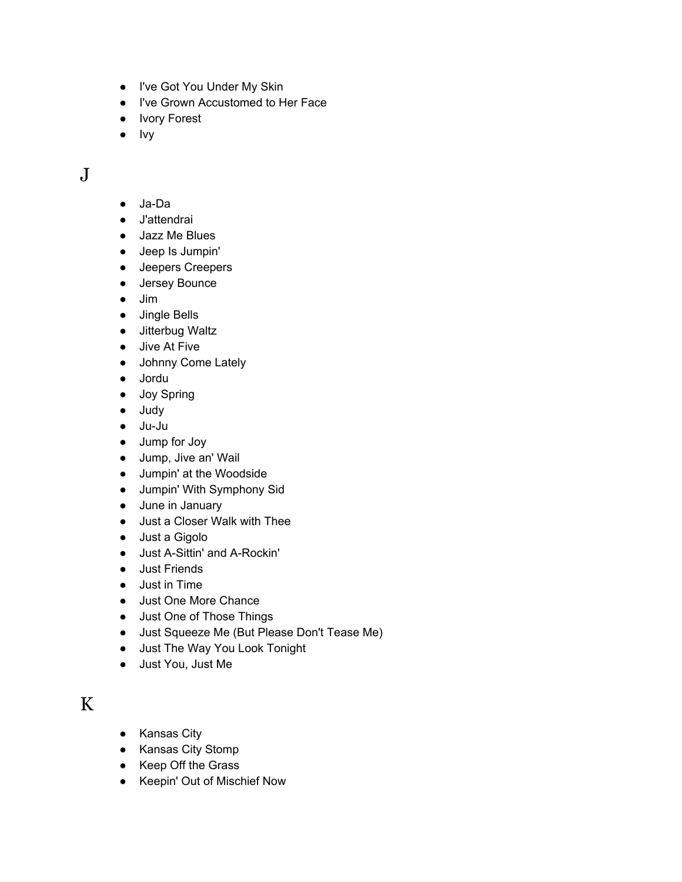- [I've Got You Under My Skin](https://en.wikipedia.org/wiki/I%27ve_Got_You_Under_My_Skin)
- [I've Grown Accustomed to Her Face](https://en.wikipedia.org/wiki/I%27ve_Grown_Accustomed_to_Her_Face)
- [Ivory Forest](https://en.wikipedia.org/wiki/Ivory_Forest)
- Ivy

# J

- [Ja-Da](https://en.wikipedia.org/wiki/Ja-Da)
- [J'attendrai](https://en.wikipedia.org/wiki/J%27attendrai)
- [Jazz Me Blues](https://en.wikipedia.org/w/index.php?title=Jazz_Me_Blues&action=edit&redlink=1)
- [Jeep Is Jumpin'](https://en.wikipedia.org/w/index.php?title=Jeep_Is_Jumpin%27&action=edit&redlink=1)
- [Jeepers Creepers](https://en.wikipedia.org/wiki/Jeepers_Creepers_(song))
- [Jersey Bounce](https://en.wikipedia.org/wiki/Jersey_Bounce)
- [Jim](https://en.wikipedia.org/wiki/Jim_(song))
- [Jingle Bells](https://en.wikipedia.org/wiki/Jingle_Bells)
- [Jitterbug Waltz](https://en.wikipedia.org/wiki/Jitterbug_Waltz)
- [Jive At Five](https://en.wikipedia.org/w/index.php?title=Jive_At_Five&action=edit&redlink=1)
- [Johnny Come Lately](https://en.wikipedia.org/wiki/Johnny_Come_Lately)
- [Jordu](https://en.wikipedia.org/wiki/Jordu)
- [Joy Spring](https://en.wikipedia.org/w/index.php?title=Joy_Spring_(song)&action=edit&redlink=1)
- [Judy](https://en.wikipedia.org/w/index.php?title=Judy_(Hoagy_Carmichael_song)&action=edit&redlink=1)
- [Ju-Ju](https://en.wikipedia.org/w/index.php?title=Ju-Ju&action=edit&redlink=1)
- [Jump for Joy](https://en.wikipedia.org/w/index.php?title=Jump_for_Joy_(song)&action=edit&redlink=1)
- [Jump, Jive an' Wail](https://en.wikipedia.org/wiki/Jump,_Jive_an%27_Wail)
- [Jumpin' at the Woodside](https://en.wikipedia.org/wiki/Jumpin%27_at_the_Woodside)
- [Jumpin' With Symphony Sid](https://en.wikipedia.org/wiki/Jumpin%27_With_Symphony_Sid)
- [June in January](https://en.wikipedia.org/wiki/June_in_January)
- [Just a Closer Walk with Thee](https://en.wikipedia.org/wiki/Just_a_Closer_Walk_with_Thee)
- [Just a Gigolo](https://en.wikipedia.org/wiki/Just_a_Gigolo_(song))
- [Just A-Sittin' and A-Rockin'](https://en.wikipedia.org/wiki/Just_A-Sittin%27_and_A-Rockin%27)
- [Just Friends](https://en.wikipedia.org/wiki/Just_Friends_(1931_song))
- [Just in Time](https://en.wikipedia.org/wiki/Just_in_Time_(song))
- [Just One More Chance](https://en.wikipedia.org/w/index.php?title=Just_One_More_Chance&action=edit&redlink=1)
- [Just One of Those Things](https://en.wikipedia.org/wiki/Just_One_of_Those_Things_(song))
- [Just Squeeze Me \(But Please Don't Tease Me\)](https://en.wikipedia.org/wiki/Just_Squeeze_Me_(But_Please_Don%27t_Tease_Me))
- [Just The Way You Look Tonight](https://en.wikipedia.org/wiki/The_Way_You_Look_Tonight)
- [Just You, Just Me](https://en.wikipedia.org/wiki/Just_You,_Just_Me)

# K

- [Kansas City](https://en.wikipedia.org/wiki/Kansas_City_(Jerry_Leiber_and_Mike_Stoller_song))
- [Kansas City Stomp](https://en.wikipedia.org/wiki/Kansas_City_Stomp)
- [Keep Off the Grass](https://en.wikipedia.org/wiki/Keep_Off_the_Grass)
- [Keepin' Out of Mischief Now](https://en.wikipedia.org/w/index.php?title=Keepin%27_Out_of_Mischief_Now&action=edit&redlink=1)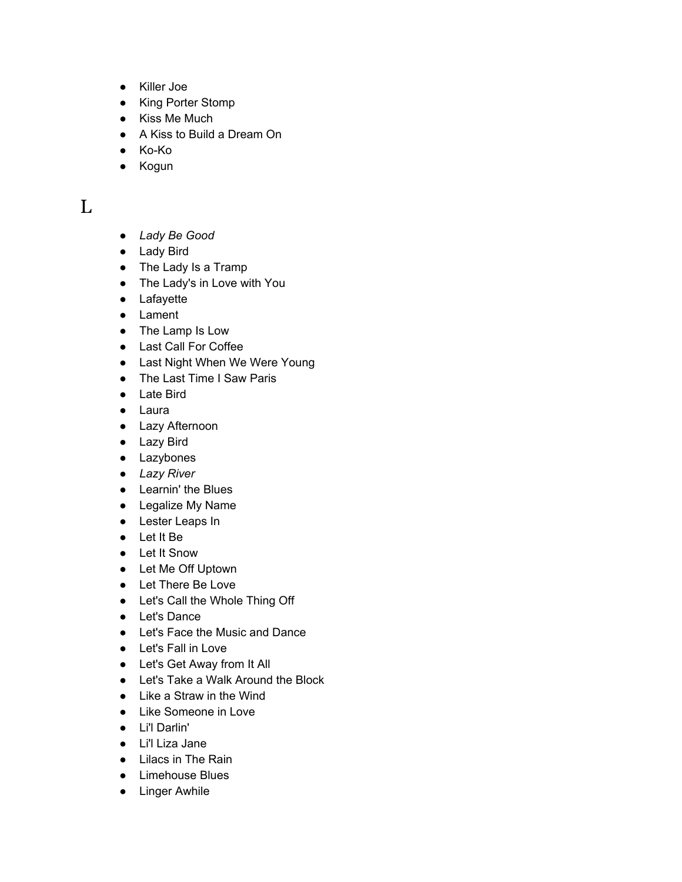- [Killer Joe](https://en.wikipedia.org/w/index.php?title=Killer_Joe_(song)&action=edit&redlink=1)
- [King Porter Stomp](https://en.wikipedia.org/wiki/King_Porter_Stomp)
- [Kiss Me Much](https://en.wikipedia.org/w/index.php?title=Kiss_Me_Much&action=edit&redlink=1)
- [A Kiss to Build a Dream On](https://en.wikipedia.org/wiki/A_Kiss_to_Build_a_Dream_On)
- $\bullet$  [Ko-Ko](https://en.wikipedia.org/wiki/Ko-Ko)
- [Kogun](https://en.wikipedia.org/wiki/Kogun)

# L

- *[Lady Be Good](https://en.wikipedia.org/wiki/Oh,_Lady_Be_Good!)*
- [Lady Bird](https://en.wikipedia.org/wiki/Lady_Bird_(composition))
- [The Lady Is a Tramp](https://en.wikipedia.org/wiki/The_Lady_Is_a_Tramp)
- [The Lady's in Love with You](https://en.wikipedia.org/wiki/The_Lady%27s_in_Love_with_You)
- [Lafayette](https://en.wikipedia.org/w/index.php?title=Lafayette_(song)&action=edit&redlink=1)
- [Lament](https://en.wikipedia.org/w/index.php?title=Lament_(J._J._Johnson_song)&action=edit&redlink=1)
- [The Lamp Is Low](https://en.wikipedia.org/wiki/The_Lamp_Is_Low)
- [Last Call For Coffee](https://en.wikipedia.org/w/index.php?title=Last_Call_For_Coffee&action=edit&redlink=1)
- [Last Night When We Were Young](https://en.wikipedia.org/wiki/Last_Night_When_We_Were_Young)
- [The Last Time I Saw Paris](https://en.wikipedia.org/wiki/The_Last_Time_I_Saw_Paris_(song))
- [Late Bird](https://en.wikipedia.org/w/index.php?title=Late_Bird&action=edit&redlink=1)
- [Laura](https://en.wikipedia.org/wiki/Laura_(1945_song))
- [Lazy Afternoon](https://en.wikipedia.org/w/index.php?title=Lazy_Afternoon_(song)&action=edit&redlink=1)
- [Lazy Bird](https://en.wikipedia.org/wiki/Lazy_Bird)
- [Lazybones](https://en.wikipedia.org/wiki/Lazybones_(song))
- *[Lazy River](https://en.wikipedia.org/wiki/(Up_A)_Lazy_River)*
- [Learnin' the Blues](https://en.wikipedia.org/wiki/Learnin%27_the_Blues)
- [Legalize My Name](https://en.wikipedia.org/w/index.php?title=Legalize_My_Name&action=edit&redlink=1)
- [Lester Leaps In](https://en.wikipedia.org/wiki/Lester_Leaps_In)
- [Let It Be](https://en.wikipedia.org/wiki/Let_It_Be)
- [Let It Snow](https://en.wikipedia.org/wiki/Let_It_Snow)
- [Let Me Off Uptown](https://en.wikipedia.org/w/index.php?title=Let_Me_Off_Uptown&action=edit&redlink=1)
- [Let There Be Love](https://en.wikipedia.org/wiki/Let_There_Be_Love_(1940_song))
- [Let's Call the Whole Thing Off](https://en.wikipedia.org/wiki/Let%27s_Call_the_Whole_Thing_Off)
- [Let's Dance](https://en.wikipedia.org/w/index.php?title=Let%27s_Dance_(Benny_Goodman_song)&action=edit&redlink=1)
- [Let's Face the Music and Dance](https://en.wikipedia.org/wiki/Let%27s_Face_the_Music_and_Dance)
- [Let's Fall in Love](https://en.wikipedia.org/wiki/Let%27s_Fall_in_Love)
- [Let's Get Away from It All](https://en.wikipedia.org/wiki/Let%27s_Get_Away_from_It_All)
- [Let's Take a Walk Around the Block](https://en.wikipedia.org/wiki/Let%27s_Take_a_Walk_Around_the_Block)
- [Like a Straw in the Wind](https://en.wikipedia.org/w/index.php?title=Like_a_Straw_in_the_Wind&action=edit&redlink=1)
- [Like Someone in Love](https://en.wikipedia.org/wiki/Like_Someone_in_Love)
- [Li'l Darlin'](https://en.wikipedia.org/wiki/Li%27l_Darlin%27)
- [Li'l Liza Jane](https://en.wikipedia.org/wiki/Li%27l_Liza_Jane)
- [Lilacs in The Rain](https://en.wikipedia.org/w/index.php?title=Lilacs_in_The_Rain&action=edit&redlink=1)
- [Limehouse Blues](https://en.wikipedia.org/wiki/Limehouse_Blues_(song))
- [Linger Awhile](https://en.wikipedia.org/w/index.php?title=Linger_Awhile&action=edit&redlink=1)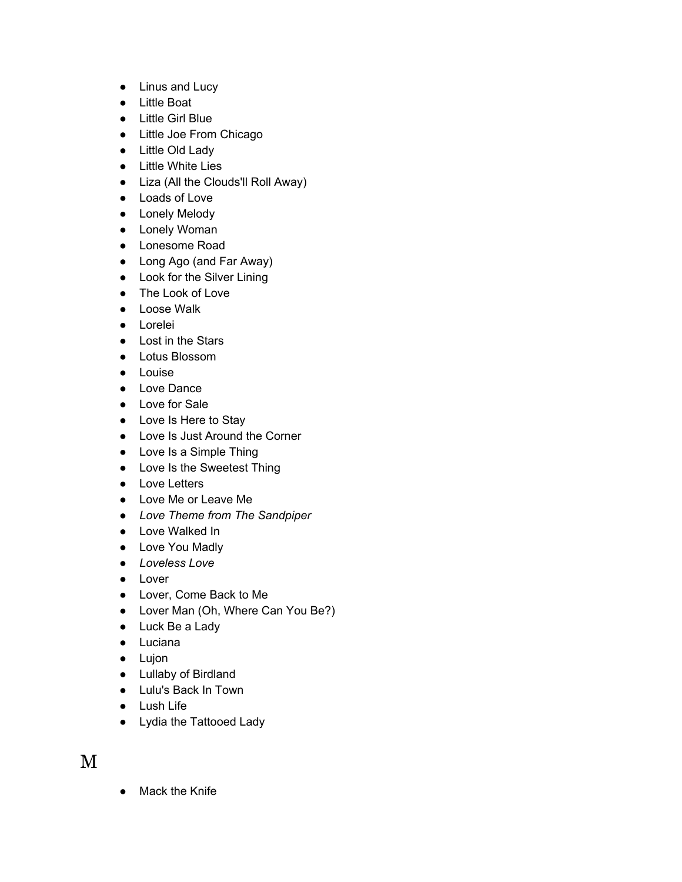- [Linus and Lucy](https://en.wikipedia.org/wiki/Linus_and_Lucy)
- [Little Boat](https://en.wikipedia.org/w/index.php?title=Little_Boat&action=edit&redlink=1)
- [Little Girl Blue](https://en.wikipedia.org/wiki/Little_Girl_Blue_(song))
- [Little Joe From Chicago](https://en.wikipedia.org/w/index.php?title=Little_Joe_From_Chicago&action=edit&redlink=1)
- [Little Old Lady](https://en.wikipedia.org/w/index.php?title=Little_Old_Lady&action=edit&redlink=1)
- [Little White Lies](https://en.wikipedia.org/wiki/Little_White_Lies_(1930_song))
- [Liza \(All the Clouds'll Roll Away\)](https://en.wikipedia.org/wiki/Liza_(All_the_Clouds%27ll_Roll_Away))
- [Loads of Love](https://en.wikipedia.org/w/index.php?title=Loads_of_Love_(song)&action=edit&redlink=1)
- [Lonely Melody](https://en.wikipedia.org/w/index.php?title=Lonely_Melody&action=edit&redlink=1)
- [Lonely Woman](https://en.wikipedia.org/wiki/Lonely_Woman_(composition))
- [Lonesome Road](https://en.wikipedia.org/wiki/Lonesome_Road)
- [Long Ago \(and Far Away\)](https://en.wikipedia.org/wiki/Long_Ago_(and_Far_Away))
- [Look for the Silver Lining](https://en.wikipedia.org/wiki/Look_for_the_Silver_Lining)
- [The Look of Love](https://en.wikipedia.org/wiki/The_Look_of_Love_(1967_song))
- [Loose Walk](https://en.wikipedia.org/w/index.php?title=Loose_Walk_(jazz_standard)&action=edit&redlink=1)
- [Lorelei](https://en.wikipedia.org/wiki/Lorelei_(song))
- [Lost in the Stars](https://en.wikipedia.org/wiki/Lost_in_the_Stars)
- [Lotus Blossom](https://en.wikipedia.org/w/index.php?title=Lotus_Blossom_(song)&action=edit&redlink=1)
- [Louise](https://en.wikipedia.org/wiki/Louise_(1929_song))
- [Love Dance](https://en.wikipedia.org/wiki/Love_Dance)
- [Love for Sale](https://en.wikipedia.org/wiki/Love_for_Sale_(song))
- [Love Is Here to Stay](https://en.wikipedia.org/wiki/Love_Is_Here_to_Stay)
- [Love Is Just Around the Corner](https://en.wikipedia.org/wiki/Love_Is_Just_Around_the_Corner)
- [Love Is a Simple Thing](https://en.wikipedia.org/w/index.php?title=Love_Is_a_Simple_Thing&action=edit&redlink=1)
- [Love Is the Sweetest Thing](https://en.wikipedia.org/wiki/Love_Is_the_Sweetest_Thing)
- [Love Letters](https://en.wikipedia.org/wiki/Love_Letters_(song))
- [Love Me or Leave Me](https://en.wikipedia.org/wiki/Love_Me_or_Leave_Me_(Donaldson_and_Kahn_song))
- *[Love Theme from The Sandpiper](https://en.wikipedia.org/wiki/The_Shadow_of_Your_Smile)*
- [Love Walked In](https://en.wikipedia.org/wiki/Love_Walked_In)
- [Love You Madly](https://en.wikipedia.org/w/index.php?title=Love_You_Madly_(Duke_Ellington_song)&action=edit&redlink=1)
- *[Loveless Love](https://en.wikipedia.org/wiki/Loveless_Love)*
- [Lover](https://en.wikipedia.org/wiki/Lover_(song))
- [Lover, Come Back to Me](https://en.wikipedia.org/wiki/Lover,_Come_Back_to_Me)
- [Lover Man \(Oh, Where Can You Be?\)](https://en.wikipedia.org/wiki/Lover_Man_(Oh,_Where_Can_You_Be%3F))
- [Luck Be a Lady](https://en.wikipedia.org/wiki/Luck_Be_a_Lady)
- [Luciana](https://en.wikipedia.org/w/index.php?title=Luciana_(Antonio_Carlos_Jobim_song)&action=edit&redlink=1)
- [Lujon](https://en.wikipedia.org/wiki/Lujon)
- [Lullaby of Birdland](https://en.wikipedia.org/wiki/Lullaby_of_Birdland)
- [Lulu's Back In Town](https://en.wikipedia.org/wiki/Lulu%27s_Back_In_Town)
- [Lush Life](https://en.wikipedia.org/wiki/Lush_Life_(jazz_song))
- [Lydia the Tattooed Lady](https://en.wikipedia.org/wiki/Lydia_the_Tattooed_Lady)

# M

● [Mack the Knife](https://en.wikipedia.org/wiki/Mack_the_Knife)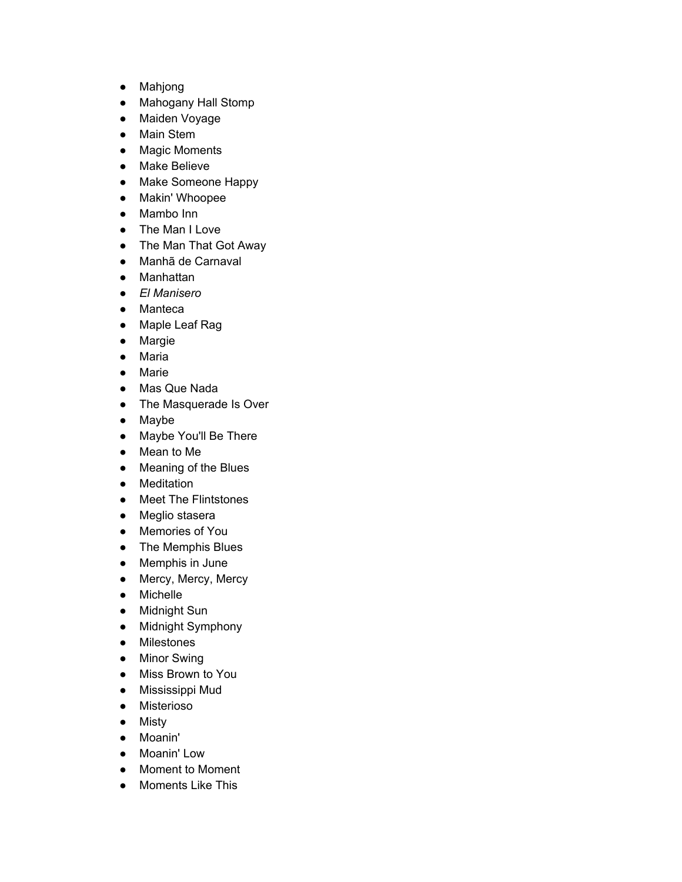- [Mahjong](https://en.wikipedia.org/w/index.php?title=Mahjong_(composition)&action=edit&redlink=1)
- [Mahogany Hall Stomp](https://en.wikipedia.org/w/index.php?title=Mahogany_Hall_Stomp&action=edit&redlink=1)
- [Maiden Voyage](https://en.wikipedia.org/wiki/Maiden_Voyage_(composition))
- [Main Stem](https://en.wikipedia.org/wiki/Main_Stem)
- [Magic Moments](https://en.wikipedia.org/wiki/Magic_Moments)
- [Make Believe](https://en.wikipedia.org/wiki/Make_Believe_(Jerome_Kern_song))
- [Make Someone Happy](https://en.wikipedia.org/wiki/Make_Someone_Happy_(song))
- [Makin' Whoopee](https://en.wikipedia.org/wiki/Makin%27_Whoopee)
- [Mambo Inn](https://en.wikipedia.org/w/index.php?title=Mambo_Inn&action=edit&redlink=1)
- [The Man I Love](https://en.wikipedia.org/wiki/The_Man_I_Love_(song))
- [The Man That Got Away](https://en.wikipedia.org/wiki/The_Man_That_Got_Away)
- [Manhã de Carnaval](https://en.wikipedia.org/wiki/Manh%C3%A3_de_Carnaval)
- [Manhattan](https://en.wikipedia.org/wiki/Manhattan_(song))
- *[El Manisero](https://en.wikipedia.org/wiki/El_Manisero)*
- [Manteca](https://en.wikipedia.org/wiki/Manteca_(song))
- [Maple Leaf Rag](https://en.wikipedia.org/wiki/Maple_Leaf_Rag)
- [Margie](https://en.wikipedia.org/wiki/Margie_(song))
- [Maria](https://en.wikipedia.org/wiki/Maria_(1956_song))
- [Marie](https://en.wikipedia.org/wiki/Marie_(Irving_Berlin_song))
- [Mas Que Nada](https://en.wikipedia.org/wiki/Mas_Que_Nada)
- [The Masquerade Is Over](https://en.wikipedia.org/w/index.php?title=The_Masquerade_Is_Over&action=edit&redlink=1)
- [Maybe](https://en.wikipedia.org/wiki/Oh,_Kay!)
- [Maybe You'll Be There](https://en.wikipedia.org/wiki/Maybe_You%27ll_Be_There)
- [Mean to Me](https://en.wikipedia.org/wiki/Mean_to_Me_(1929_song))
- [Meaning of the Blues](https://en.wikipedia.org/wiki/The_Meaning_of_the_Blues)
- [Meditation](https://en.wikipedia.org/wiki/Meditation_(Ant%C3%B4nio_Carlos_Jobim_song))
- [Meet The Flintstones](https://en.wikipedia.org/wiki/Meet_The_Flintstones)
- [Meglio stasera](https://en.wikipedia.org/wiki/Meglio_stasera)
- [Memories of You](https://en.wikipedia.org/wiki/Memories_of_You)
- [The Memphis Blues](https://en.wikipedia.org/wiki/The_Memphis_Blues)
- [Memphis in June](https://en.wikipedia.org/w/index.php?title=Memphis_in_June&action=edit&redlink=1)
- [Mercy, Mercy, Mercy](https://en.wikipedia.org/wiki/Mercy,_Mercy,_Mercy)
- [Michelle](https://en.wikipedia.org/wiki/Michelle_(song))
- [Midnight Sun](https://en.wikipedia.org/wiki/Midnight_Sun_(Lionel_Hampton_and_Sonny_Burke_song))
- [Midnight Symphony](https://en.wikipedia.org/wiki/Midnight_Symphony)
- [Milestones](https://en.wikipedia.org/wiki/Milestones_(composition))
- [Minor Swing](https://en.wikipedia.org/wiki/Minor_Swing_(composition))
- [Miss Brown to You](https://en.wikipedia.org/wiki/Miss_Brown_to_You)
- [Mississippi Mud](https://en.wikipedia.org/wiki/Mississippi_Mud)
- [Misterioso](https://en.wikipedia.org/w/index.php?title=Misterioso_(song)&action=edit&redlink=1)
- [Misty](https://en.wikipedia.org/wiki/Misty_(song))
- [Moanin'](https://en.wikipedia.org/wiki/Moanin%27_(song))
- [Moanin' Low](https://en.wikipedia.org/wiki/Moanin%27_Low)
- [Moment to Moment](https://en.wikipedia.org/wiki/Moment_to_Moment)
- [Moments Like This](https://en.wikipedia.org/wiki/Moments_Like_This_(Frank_Loesser_and_Burton_Lane_song))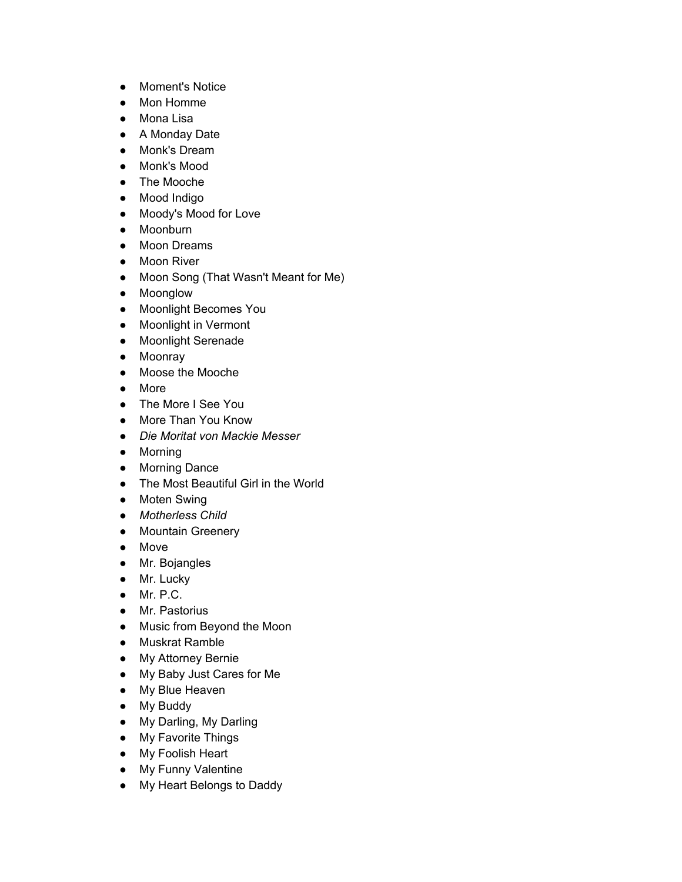- [Moment's Notice](https://en.wikipedia.org/wiki/Moment%27s_Notice)
- [Mon Homme](https://en.wikipedia.org/wiki/Mon_Homme)
- [Mona Lisa](https://en.wikipedia.org/wiki/Mona_Lisa_(Nat_King_Cole_song))
- [A Monday Date](https://en.wikipedia.org/w/index.php?title=A_Monday_Date&action=edit&redlink=1)
- [Monk's Dream](https://en.wikipedia.org/wiki/Monk%27s_Dream_(Thelonious_Monk_album))
- [Monk's Mood](https://en.wikipedia.org/w/index.php?title=Monk%27s_Mood&action=edit&redlink=1)
- [The Mooche](https://en.wikipedia.org/wiki/The_Mooche)
- [Mood Indigo](https://en.wikipedia.org/wiki/Mood_Indigo)
- [Moody's Mood for Love](https://en.wikipedia.org/wiki/Moody%27s_Mood_for_Love)
- [Moonburn](https://en.wikipedia.org/wiki/Moonburn)
- [Moon Dreams](https://en.wikipedia.org/wiki/Moon_Dreams)
- [Moon River](https://en.wikipedia.org/wiki/Moon_River)
- [Moon Song \(That Wasn't Meant for Me\)](https://en.wikipedia.org/wiki/Moon_Song_(That_Wasn%27t_Meant_for_Me))
- [Moonglow](https://en.wikipedia.org/wiki/Moonglow_(song))
- [Moonlight Becomes You](https://en.wikipedia.org/wiki/Moonlight_Becomes_You_(song))
- [Moonlight in Vermont](https://en.wikipedia.org/wiki/Moonlight_in_Vermont_(song))
- [Moonlight Serenade](https://en.wikipedia.org/wiki/Moonlight_Serenade)
- [Moonray](https://en.wikipedia.org/w/index.php?title=Moonray_(1959_song)&action=edit&redlink=1)
- [Moose the Mooche](https://en.wikipedia.org/wiki/Moose_the_Mooche)
- [More](https://en.wikipedia.org/wiki/More_(Theme_from_Mondo_Cane))
- [The More I See You](https://en.wikipedia.org/wiki/The_More_I_See_You)
- [More Than You Know](https://en.wikipedia.org/wiki/More_Than_You_Know_(1929_song))
- *[Die Moritat von Mackie Messer](https://en.wikipedia.org/wiki/Die_Moritat_von_Mackie_Messer)*
- [Morning](https://en.wikipedia.org/wiki/Morning_(Clare_Fischer_composition))
- [Morning Dance](https://en.wikipedia.org/wiki/Morning_Dance_(song))
- [The Most Beautiful Girl in the World](https://en.wikipedia.org/wiki/The_Most_Beautiful_Girl_in_the_World_(1935_song))
- [Moten Swing](https://en.wikipedia.org/wiki/Moten_Swing)
- *[Motherless Child](https://en.wikipedia.org/wiki/Motherless_Child)*
- [Mountain Greenery](https://en.wikipedia.org/wiki/Mountain_Greenery)
- [Move](https://en.wikipedia.org/wiki/Denzil_Best)
- [Mr. Bojangles](https://en.wikipedia.org/wiki/Mr._Bojangles_(song))
- [Mr. Lucky](https://en.wikipedia.org/w/index.php?title=Mr._Lucky_(song)&action=edit&redlink=1)
- [Mr. P.C.](https://en.wikipedia.org/wiki/Mr._P.C._(composition))
- [Mr. Pastorius](https://en.wikipedia.org/w/index.php?title=Mr._Pastorius&action=edit&redlink=1)
- [Music from Beyond the Moon](https://en.wikipedia.org/w/index.php?title=Music_from_Beyond_the_Moon&action=edit&redlink=1)
- [Muskrat Ramble](https://en.wikipedia.org/wiki/Muskrat_Ramble)
- [My Attorney Bernie](https://en.wikipedia.org/w/index.php?title=My_Attorney_Bernie&action=edit&redlink=1)
- [My Baby Just Cares for Me](https://en.wikipedia.org/wiki/My_Baby_Just_Cares_for_Me)
- [My Blue Heaven](https://en.wikipedia.org/wiki/My_Blue_Heaven_(song))
- [My Buddy](https://en.wikipedia.org/wiki/My_Buddy_(song))
- [My Darling, My Darling](https://en.wikipedia.org/wiki/My_Darling,_My_Darling)
- [My Favorite Things](https://en.wikipedia.org/wiki/My_Favorite_Things_(song))
- [My Foolish Heart](https://en.wikipedia.org/wiki/My_Foolish_Heart_(song))
- [My Funny Valentine](https://en.wikipedia.org/wiki/My_Funny_Valentine)
- [My Heart Belongs to Daddy](https://en.wikipedia.org/wiki/My_Heart_Belongs_to_Daddy)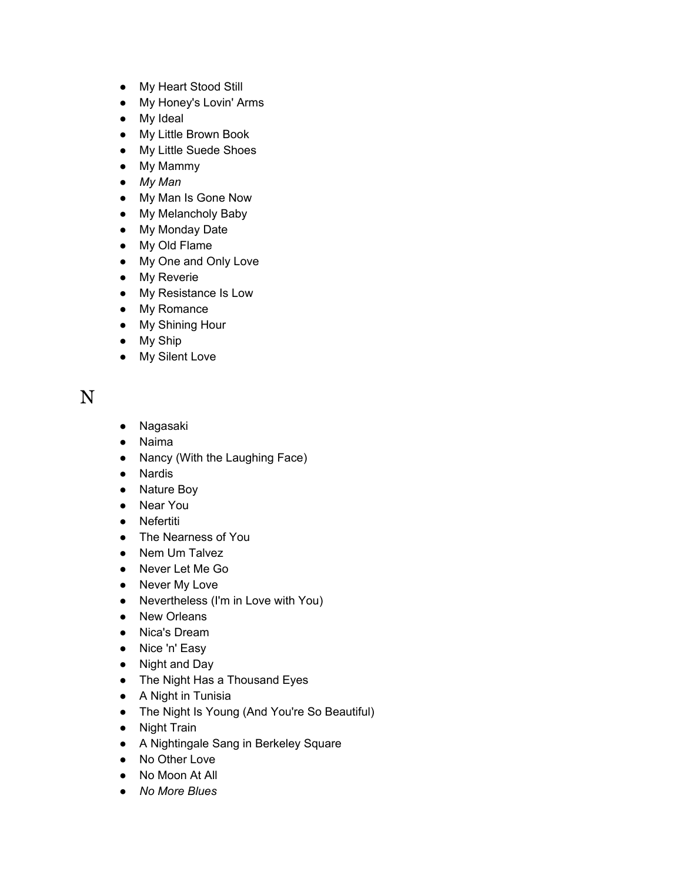- [My Heart Stood Still](https://en.wikipedia.org/wiki/My_Heart_Stood_Still)
- [My Honey's Lovin' Arms](https://en.wikipedia.org/w/index.php?title=My_Honey%27s_Lovin%27_Arms&action=edit&redlink=1)
- [My Ideal](https://en.wikipedia.org/w/index.php?title=My_Ideal&action=edit&redlink=1)
- [My Little Brown Book](https://en.wikipedia.org/w/index.php?title=My_Little_Brown_Book&action=edit&redlink=1)
- [My Little Suede Shoes](https://en.wikipedia.org/w/index.php?title=My_Little_Suede_Shoes&action=edit&redlink=1)
- [My Mammy](https://en.wikipedia.org/wiki/My_Mammy)
- *[My Man](https://en.wikipedia.org/wiki/My_Man)*
- [My Man Is Gone Now](https://en.wikipedia.org/w/index.php?title=My_Man_Is_Gone_Now&action=edit&redlink=1)
- [My Melancholy Baby](https://en.wikipedia.org/wiki/My_Melancholy_Baby)
- [My Monday Date](https://en.wikipedia.org/w/index.php?title=My_Monday_Date&action=edit&redlink=1)
- [My Old Flame](https://en.wikipedia.org/w/index.php?title=My_Old_Flame&action=edit&redlink=1)
- [My One and Only Love](https://en.wikipedia.org/wiki/My_One_and_Only_Love)
- [My Reverie](https://en.wikipedia.org/wiki/My_Reverie)
- [My Resistance Is Low](https://en.wikipedia.org/wiki/My_Resistance_Is_Low)
- [My Romance](https://en.wikipedia.org/wiki/My_Romance_(song))
- [My Shining Hour](https://en.wikipedia.org/wiki/My_Shining_Hour)
- [My Ship](https://en.wikipedia.org/wiki/My_Ship)
- [My Silent Love](https://en.wikipedia.org/w/index.php?title=My_Silent_Love&action=edit&redlink=1)

# N

- [Nagasaki](https://en.wikipedia.org/wiki/Nagasaki_(song))
- [Naima](https://en.wikipedia.org/wiki/Naima)
- [Nancy \(With the Laughing Face\)](https://en.wikipedia.org/wiki/Nancy_(With_the_Laughing_Face))
- [Nardis](https://en.wikipedia.org/wiki/Nardis_(composition))
- [Nature Boy](https://en.wikipedia.org/wiki/Nature_Boy)
- [Near You](https://en.wikipedia.org/wiki/Near_You)
- [Nefertiti](https://en.wikipedia.org/w/index.php?title=Nefertiti_(Wayne_Shorter_song)&action=edit&redlink=1)
- [The Nearness of You](https://en.wikipedia.org/wiki/The_Nearness_of_You)
- [Nem Um Talvez](https://en.wikipedia.org/wiki/Nem_Um_Talvez)
- [Never Let Me Go](https://en.wikipedia.org/w/index.php?title=Never_Let_Me_Go_(1956_song)&action=edit&redlink=1)
- [Never My Love](https://en.wikipedia.org/wiki/Never_My_Love)
- [Nevertheless \(I'm in Love with You\)](https://en.wikipedia.org/wiki/Nevertheless_(I%27m_in_Love_with_You))
- [New Orleans](https://en.wikipedia.org/wiki/New_Orleans_(Hoagy_Carmichael_song))
- [Nica's Dream](https://en.wikipedia.org/wiki/Nica%27s_Dream)
- [Nice 'n' Easy](https://en.wikipedia.org/wiki/Nice_%27n%27_Easy)
- [Night and Day](https://en.wikipedia.org/wiki/Night_and_Day_(song))
- [The Night Has a Thousand Eyes](https://en.wikipedia.org/wiki/The_Night_Has_a_Thousand_Eyes_(jazz_standard))
- [A Night in Tunisia](https://en.wikipedia.org/wiki/A_Night_in_Tunisia)
- [The Night Is Young \(And You're So Beautiful\)](https://en.wikipedia.org/w/index.php?title=The_Night_Is_Young_(And_You%27re_So_Beautiful)&action=edit&redlink=1)
- [Night Train](https://en.wikipedia.org/wiki/Night_Train_(composition))
- [A Nightingale Sang in Berkeley Square](https://en.wikipedia.org/wiki/A_Nightingale_Sang_in_Berkeley_Square_(song))
- [No Other Love](https://en.wikipedia.org/wiki/No_Other_Love_(1953_song))
- [No Moon At All](https://en.wikipedia.org/w/index.php?title=No_Moon_At_All&action=edit&redlink=1)
- *[No More Blues](https://en.wikipedia.org/wiki/Chega_de_Saudade)*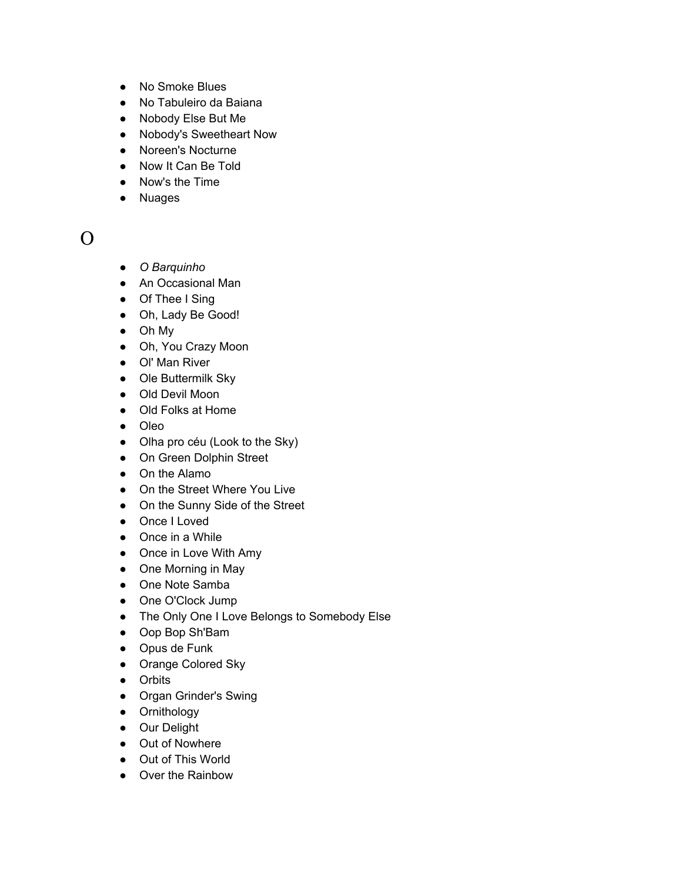- [No Smoke Blues](https://en.wikipedia.org/w/index.php?title=No_Smoke_Blues&action=edit&redlink=1)
- [No Tabuleiro da Baiana](https://en.wikipedia.org/wiki/No_Tabuleiro_da_Baiana)
- [Nobody Else But Me](https://en.wikipedia.org/wiki/Nobody_Else_But_Me)
- [Nobody's Sweetheart Now](https://en.wikipedia.org/wiki/Nobody%27s_Sweetheart_Now)
- [Noreen's Nocturne](https://en.wikipedia.org/w/index.php?title=Noreen%27s_Nocturne&action=edit&redlink=1)
- [Now It Can Be Told](https://en.wikipedia.org/wiki/Now_It_Can_Be_Told)
- [Now's the Time](https://en.wikipedia.org/wiki/Now%27s_the_Time_(Charlie_Parker_song))
- [Nuages](https://en.wikipedia.org/wiki/Nuages)

O

- *[O Barquinho](https://en.wikipedia.org/w/index.php?title=Little_Boat&action=edit&redlink=1)*
- [An Occasional Man](https://en.wikipedia.org/wiki/An_Occasional_Man)
- [Of Thee I Sing](https://en.wikipedia.org/wiki/Of_Thee_I_Sing_(song))
- [Oh, Lady Be Good!](https://en.wikipedia.org/wiki/Oh,_Lady_Be_Good!)
- [Oh My](https://en.wikipedia.org/w/index.php?title=Oh_My_(Joe_Greene_song)&action=edit&redlink=1)
- [Oh, You Crazy Moon](https://en.wikipedia.org/wiki/Oh,_You_Crazy_Moon)
- [Ol' Man River](https://en.wikipedia.org/wiki/Ol%27_Man_River)
- [Ole Buttermilk Sky](https://en.wikipedia.org/w/index.php?title=Ole_Buttermilk_Sky&action=edit&redlink=1)
- [Old Devil Moon](https://en.wikipedia.org/wiki/Old_Devil_Moon)
- [Old Folks at Home](https://en.wikipedia.org/wiki/Old_Folks_at_Home)
- [Oleo](https://en.wikipedia.org/wiki/Oleo_(song))
- [Olha pro céu](https://en.wikipedia.org/w/index.php?title=Olha_pro_c%C3%A9u&action=edit&redlink=1) (Look to the Sky)
- [On Green Dolphin Street](https://en.wikipedia.org/wiki/On_Green_Dolphin_Street_(song))
- [On the Alamo](https://en.wikipedia.org/wiki/On_the_Alamo)
- [On the Street Where You Live](https://en.wikipedia.org/wiki/On_the_Street_Where_You_Live)
- [On the Sunny Side of the Street](https://en.wikipedia.org/wiki/On_the_Sunny_Side_of_the_Street)
- [Once I Loved](https://en.wikipedia.org/wiki/Once_I_Loved)
- [Once in a While](https://en.wikipedia.org/wiki/Once_in_a_While_(1937_song))
- [Once in Love With Amy](https://en.wikipedia.org/w/index.php?title=Once_in_Love_With_Amy&action=edit&redlink=1)
- [One Morning in May](https://en.wikipedia.org/wiki/One_Morning_in_May_(song))
- [One Note Samba](https://en.wikipedia.org/wiki/One_Note_Samba)
- [One O'Clock Jump](https://en.wikipedia.org/wiki/One_O%27Clock_Jump)
- [The Only One I Love Belongs to Somebody Else](https://en.wikipedia.org/w/index.php?title=The_Only_One_I_Love_Belongs_to_Somebody_Else&action=edit&redlink=1)
- [Oop Bop Sh'Bam](https://en.wikipedia.org/wiki/Oop_Bop_Sh%27Bam)
- [Opus de Funk](https://en.wikipedia.org/wiki/Opus_de_Funk_(song))
- [Orange Colored Sky](https://en.wikipedia.org/wiki/Orange_Colored_Sky)
- [Orbits](https://en.wikipedia.org/w/index.php?title=Orbits_(song)&action=edit&redlink=1)
- [Organ Grinder's Swing](https://en.wikipedia.org/wiki/Organ_Grinder%27s_Swing)
- [Ornithology](https://en.wikipedia.org/wiki/Ornithology_(composition))
- [Our Delight](https://en.wikipedia.org/wiki/Our_Delight)
- [Out of Nowhere](https://en.wikipedia.org/wiki/Out_of_Nowhere_(Johnny_Green_song))
- [Out of This World](https://en.wikipedia.org/wiki/Out_of_This_World_(Johnny_Mercer_song))
- [Over the Rainbow](https://en.wikipedia.org/wiki/Over_the_Rainbow)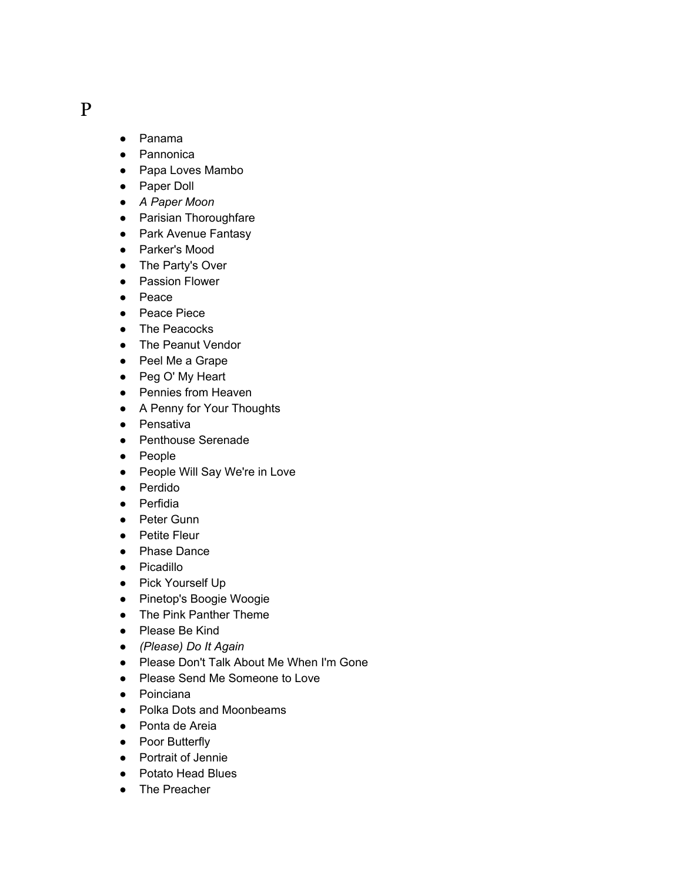- P
- [Panama](https://en.wikipedia.org/wiki/Panama_(jazz_standard))
- [Pannonica](https://en.wikipedia.org/w/index.php?title=Pannonica_(composition)&action=edit&redlink=1)
- [Papa Loves Mambo](https://en.wikipedia.org/wiki/Papa_Loves_Mambo)
- [Paper Doll](https://en.wikipedia.org/wiki/Paper_Doll_(song))
- *[A Paper Moon](https://en.wikipedia.org/wiki/It%27s_Only_a_Paper_Moon)*
- [Parisian Thoroughfare](https://en.wikipedia.org/w/index.php?title=Parisian_Thoroughfare&action=edit&redlink=1)
- [Park Avenue Fantasy](https://en.wikipedia.org/w/index.php?title=Park_Avenue_Fantasy&action=edit&redlink=1)
- [Parker's Mood](https://en.wikipedia.org/w/index.php?title=Parker%27s_Mood&action=edit&redlink=1)
- [The Party's Over](https://en.wikipedia.org/wiki/The_Party%27s_Over_(1956_song))
- [Passion Flower](https://en.wikipedia.org/w/index.php?title=Passion_Flower_(composition)&action=edit&redlink=1)
- [Peace](https://en.wikipedia.org/wiki/Peace_(Horace_Silver_song))
- [Peace Piece](https://en.wikipedia.org/wiki/Peace_Piece)
- [The Peacocks](https://en.wikipedia.org/w/index.php?title=The_Peacocks_(song)&action=edit&redlink=1)
- [The Peanut Vendor](https://en.wikipedia.org/wiki/The_Peanut_Vendor)
- [Peel Me a Grape](https://en.wikipedia.org/wiki/Peel_Me_a_Grape)
- [Peg O' My Heart](https://en.wikipedia.org/wiki/Peg_O%27_My_Heart)
- [Pennies from Heaven](https://en.wikipedia.org/wiki/Pennies_from_Heaven_(song))
- [A Penny for Your Thoughts](https://en.wikipedia.org/wiki/A_Penny_for_Your_Thoughts_(song))
- [Pensativa](https://en.wikipedia.org/wiki/Pensativa)
- [Penthouse Serenade](https://en.wikipedia.org/wiki/Penthouse_Serenade)
- [People](https://en.wikipedia.org/wiki/People_(1964_song))
- [People Will Say We're in Love](https://en.wikipedia.org/wiki/People_Will_Say_We%27re_in_Love)
- [Perdido](https://en.wikipedia.org/wiki/Perdido_(song))
- [Perfidia](https://en.wikipedia.org/wiki/Perfidia)
- [Peter Gunn](https://en.wikipedia.org/wiki/Peter_Gunn_(song))
- [Petite Fleur](https://en.wikipedia.org/wiki/Petite_Fleur)
- [Phase Dance](https://en.wikipedia.org/w/index.php?title=Phase_Dance&action=edit&redlink=1)
- [Picadillo](https://en.wikipedia.org/w/index.php?title=Picadillo_(song)&action=edit&redlink=1)
- [Pick Yourself Up](https://en.wikipedia.org/wiki/Pick_Yourself_Up)
- [Pinetop's Boogie Woogie](https://en.wikipedia.org/wiki/Pinetop%27s_Boogie_Woogie)
- [The Pink Panther Theme](https://en.wikipedia.org/wiki/The_Pink_Panther_Theme)
- [Please Be Kind](https://en.wikipedia.org/wiki/Please_Be_Kind)
- *[\(Please\) Do It Again](https://en.wikipedia.org/wiki/(Please)_Do_It_Again)*
- [Please Don't Talk About Me When I'm Gone](https://en.wikipedia.org/wiki/Please_Don%27t_Talk_About_Me_When_I%27m_Gone)
- [Please Send Me Someone to Love](https://en.wikipedia.org/wiki/Please_Send_Me_Someone_to_Love)
- [Poinciana](https://en.wikipedia.org/wiki/Poinciana_(song))
- [Polka Dots and Moonbeams](https://en.wikipedia.org/wiki/Polka_Dots_and_Moonbeams)
- [Ponta de Areia](https://en.wikipedia.org/w/index.php?title=Ponta_de_Areia&action=edit&redlink=1)
- [Poor Butterfly](https://en.wikipedia.org/wiki/Poor_Butterfly)
- [Portrait of Jennie](https://en.wikipedia.org/wiki/Portrait_of_Jennie_(song))
- [Potato Head Blues](https://en.wikipedia.org/wiki/Potato_Head_Blues)
- [The Preacher](https://en.wikipedia.org/wiki/The_Preacher_(Horace_Silver_song))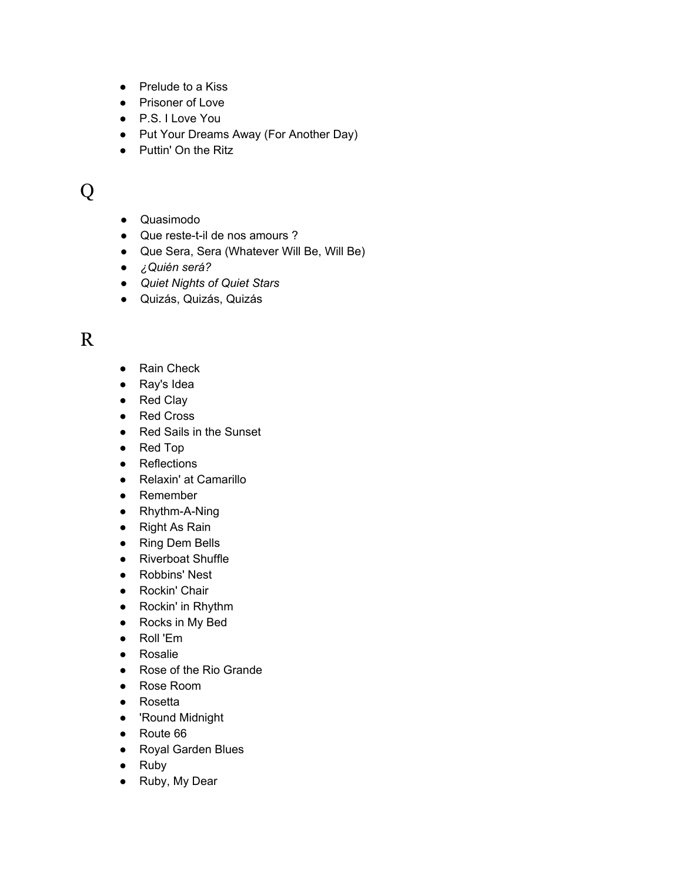- [Prelude to a Kiss](https://en.wikipedia.org/wiki/Prelude_to_a_Kiss_(song))
- [Prisoner of Love](https://en.wikipedia.org/wiki/Prisoner_of_Love_(1931_song))
- [P.S. I Love You](https://en.wikipedia.org/wiki/P.S._I_Love_You_(1934_song))
- [Put Your Dreams Away \(For Another Day\)](https://en.wikipedia.org/wiki/Put_Your_Dreams_Away_(For_Another_Day))
- [Puttin' On the Ritz](https://en.wikipedia.org/wiki/Puttin%27_On_the_Ritz)

# Q

- [Quasimodo](https://en.wikipedia.org/w/index.php?title=Quasimodo_(song)&action=edit&redlink=1)
- [Que reste-t-il de nos amours ?](https://en.wikipedia.org/wiki/Que_reste-t-il_de_nos_amours_%3F)
- [Que Sera, Sera \(Whatever Will Be, Will Be\)](https://en.wikipedia.org/wiki/Que_Sera,_Sera_(Whatever_Will_Be,_Will_Be))
- *[¿Quién será?](https://en.wikipedia.org/wiki/Sway_(song))*
- *[Quiet Nights of Quiet Stars](https://en.wikipedia.org/wiki/Corcovado_(song))*
- [Quizás, Quizás, Quizás](https://en.wikipedia.org/wiki/Quiz%C3%A1s,_Quiz%C3%A1s,_Quiz%C3%A1s)

# R

- [Rain Check](https://en.wikipedia.org/w/index.php?title=Rain_Check_(Billy_Strayhorn_song)&action=edit&redlink=1)
- [Ray's Idea](https://en.wikipedia.org/w/index.php?title=Ray%27s_Idea&action=edit&redlink=1)
- [Red Clay](https://en.wikipedia.org/wiki/Red_Clay)
- [Red Cross](https://en.wikipedia.org/w/index.php?title=Red_Cross_(composition)&action=edit&redlink=1)
- [Red Sails in the Sunset](https://en.wikipedia.org/wiki/Red_Sails_in_the_Sunset_(song))
- [Red Top](https://en.wikipedia.org/w/index.php?title=Red_Top_(song)&action=edit&redlink=1)
- [Reflections](https://en.wikipedia.org/wiki/Reflections_(Thelonious_Monk_song))
- [Relaxin' at Camarillo](https://en.wikipedia.org/w/index.php?title=Relaxin%27_at_Camarillo_(song)&action=edit&redlink=1)
- [Remember](https://en.wikipedia.org/wiki/Remember_(1925_song))
- [Rhythm-A-Ning](https://en.wikipedia.org/wiki/Rhythm-A-Ning)
- [Right As Rain](https://en.wikipedia.org/w/index.php?title=Right_As_Rain&action=edit&redlink=1)
- [Ring Dem Bells](https://en.wikipedia.org/w/index.php?title=Ring_Dem_Bells_(song)&action=edit&redlink=1)
- [Riverboat Shuffle](https://en.wikipedia.org/wiki/Riverboat_Shuffle)
- [Robbins' Nest](https://en.wikipedia.org/w/index.php?title=Robbins%27_Nest&action=edit&redlink=1)
- [Rockin' Chair](https://en.wikipedia.org/wiki/Rockin%27_Chair_(1929_song))
- [Rockin' in Rhythm](https://en.wikipedia.org/wiki/Rockin%27_in_Rhythm)
- [Rocks in My Bed](https://en.wikipedia.org/wiki/Rocks_in_My_Bed)
- [Roll 'Em](https://en.wikipedia.org/w/index.php?title=Roll_%27Em&action=edit&redlink=1)
- [Rosalie](https://en.wikipedia.org/w/index.php?title=Rosalie_(Cole_Porter_song)&action=edit&redlink=1)
- [Rose of the Rio Grande](https://en.wikipedia.org/wiki/Rose_of_the_Rio_Grande)
- [Rose Room](https://en.wikipedia.org/wiki/Rose_Room)
- [Rosetta](https://en.wikipedia.org/w/index.php?title=Rosetta_(song)&action=edit&redlink=1)
- ['Round Midnight](https://en.wikipedia.org/wiki/%27Round_Midnight_(song))
- [Route 66](https://en.wikipedia.org/wiki/Route_66_(song))
- [Royal Garden Blues](https://en.wikipedia.org/wiki/Royal_Garden_Blues)
- [Ruby](https://en.wikipedia.org/wiki/Ruby_(1952_song))
- [Ruby, My Dear](https://en.wikipedia.org/wiki/Ruby,_My_Dear)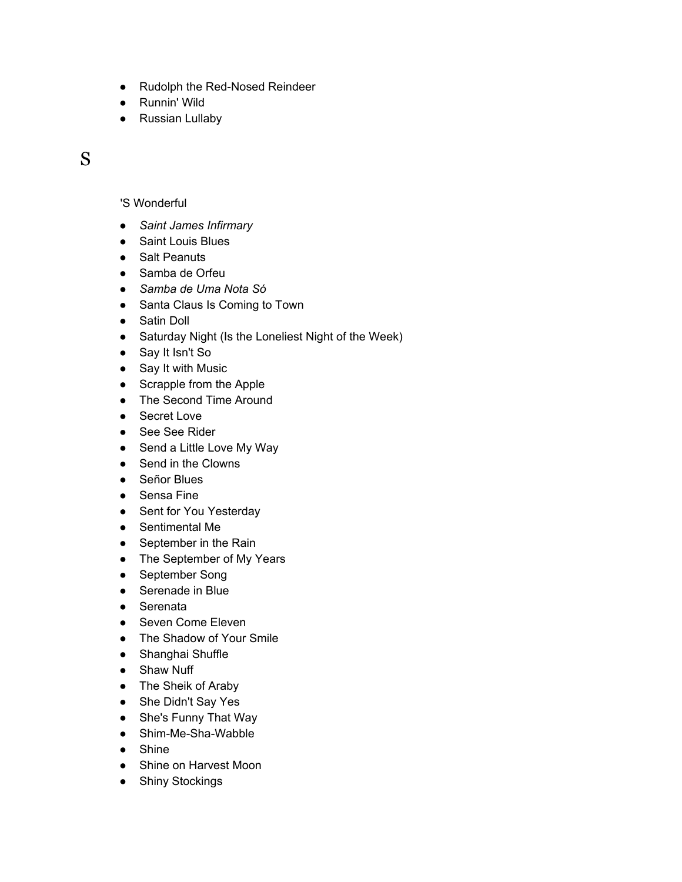- [Rudolph the Red-Nosed Reindeer](https://en.wikipedia.org/wiki/Rudolph_the_Red-Nosed_Reindeer_(song))
- [Runnin' Wild](https://en.wikipedia.org/wiki/Runnin%27_Wild_(1922_song))
- [Russian Lullaby](https://en.wikipedia.org/wiki/Russian_Lullaby)

### S

#### ['S Wonderful](https://en.wikipedia.org/wiki/%27S_Wonderful)

- *[Saint James Infirmary](https://en.wikipedia.org/wiki/St._James_Infirmary_(song))*
- [Saint Louis Blues](https://en.wikipedia.org/wiki/Saint_Louis_Blues_(song))
- [Salt Peanuts](https://en.wikipedia.org/wiki/Salt_Peanuts)
- [Samba de Orfeu](https://en.wikipedia.org/w/index.php?title=Samba_de_Orfeu&action=edit&redlink=1)
- *[Samba de Uma Nota Só](https://en.wikipedia.org/wiki/One_Note_Samba)*
- [Santa Claus Is Coming to Town](https://en.wikipedia.org/wiki/Santa_Claus_Is_Coming_to_Town)
- [Satin Doll](https://en.wikipedia.org/wiki/Satin_Doll)
- [Saturday Night \(Is the Loneliest Night of the Week\)](https://en.wikipedia.org/wiki/Saturday_Night_(Is_the_Loneliest_Night_of_the_Week))
- [Say It Isn't So](https://en.wikipedia.org/wiki/Say_It_Isn%27t_So_(Irving_Berlin_song))
- [Say It with Music](https://en.wikipedia.org/wiki/Say_It_with_Music)
- [Scrapple from the Apple](https://en.wikipedia.org/wiki/Scrapple_from_the_Apple)
- [The Second Time Around](https://en.wikipedia.org/wiki/The_Second_Time_Around)
- [Secret Love](https://en.wikipedia.org/wiki/Secret_Love_(Doris_Day_song))
- [See See Rider](https://en.wikipedia.org/wiki/See_See_Rider)
- [Send a Little Love My Way](https://en.wikipedia.org/wiki/Send_a_Little_Love_My_Way)
- [Send in the Clowns](https://en.wikipedia.org/wiki/Send_in_the_Clowns)
- [Señor Blues](https://en.wikipedia.org/wiki/Se%C3%B1or_Blues_(song))
- [Sensa Fine](https://en.wikipedia.org/w/index.php?title=Sensa_Fine&action=edit&redlink=1)
- [Sent for You Yesterday](https://en.wikipedia.org/w/index.php?title=Sent_for_You_Yesterday_(song)&action=edit&redlink=1)
- [Sentimental Me](https://en.wikipedia.org/wiki/Sentimental_Me)
- [September in the Rain](https://en.wikipedia.org/wiki/September_in_the_Rain)
- [The September of My Years](https://en.wikipedia.org/wiki/The_September_of_My_Years)
- [September Song](https://en.wikipedia.org/wiki/September_Song)
- [Serenade in Blue](https://en.wikipedia.org/wiki/Serenade_in_Blue)
- [Serenata](https://en.wikipedia.org/w/index.php?title=Serenata_(song)&action=edit&redlink=1)
- [Seven Come Eleven](https://en.wikipedia.org/w/index.php?title=Seven_Come_Eleven&action=edit&redlink=1)
- [The Shadow of Your Smile](https://en.wikipedia.org/wiki/The_Shadow_of_Your_Smile)
- [Shanghai Shuffle](https://en.wikipedia.org/wiki/Shanghai_Shuffle)
- [Shaw Nuff](https://en.wikipedia.org/w/index.php?title=Shaw_Nuff&action=edit&redlink=1)
- [The Sheik of Araby](https://en.wikipedia.org/wiki/The_Sheik_of_Araby)
- [She Didn't Say Yes](https://en.wikipedia.org/wiki/She_Didn%27t_Say_Yes)
- [She's Funny That Way](https://en.wikipedia.org/wiki/She%27s_Funny_That_Way)
- [Shim-Me-Sha-Wabble](https://en.wikipedia.org/w/index.php?title=Shim-Me-Sha-Wabble&action=edit&redlink=1)
- [Shine](https://en.wikipedia.org/wiki/Shine_(1910_song))
- [Shine on Harvest Moon](https://en.wikipedia.org/wiki/Shine_on_Harvest_Moon)
- [Shiny Stockings](https://en.wikipedia.org/w/index.php?title=Shiny_Stockings&action=edit&redlink=1)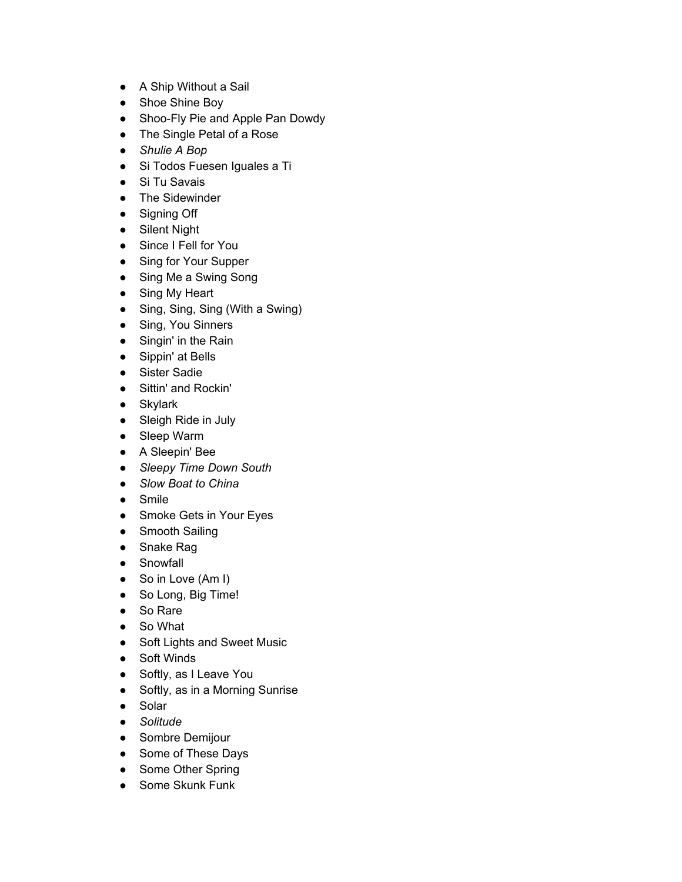- [A Ship Without a Sail](https://en.wikipedia.org/wiki/A_Ship_Without_a_Sail)
- [Shoe Shine Boy](https://en.wikipedia.org/w/index.php?title=Shoe_Shine_Boy&action=edit&redlink=1)
- [Shoo-Fly Pie and Apple Pan Dowdy](https://en.wikipedia.org/wiki/Shoo-Fly_Pie_and_Apple_Pan_Dowdy)
- [The Single Petal of a Rose](https://en.wikipedia.org/w/index.php?title=The_Single_Petal_of_a_Rose&action=edit&redlink=1)
- *[Shulie A Bop](https://en.wikipedia.org/wiki/Summertime_(George_Gershwin_song))*
- [Si Todos Fuesen Iguales a Ti](https://en.wikipedia.org/wiki/Si_Todos_Fuesen_Iguales_a_Ti)
- [Si Tu Savais](https://en.wikipedia.org/w/index.php?title=Si_Tu_Savais&action=edit&redlink=1)
- [The Sidewinder](https://en.wikipedia.org/wiki/The_Sidewinder_(song))
- [Signing Off](https://en.wikipedia.org/wiki/Signing_Off)
- [Silent Night](https://en.wikipedia.org/wiki/Silent_Night)
- [Since I Fell for You](https://en.wikipedia.org/wiki/Since_I_Fell_for_You)
- [Sing for Your Supper](https://en.wikipedia.org/wiki/Sing_for_Your_Supper)
- [Sing Me a Swing Song](https://en.wikipedia.org/w/index.php?title=Sing_Me_a_Swing_Song&action=edit&redlink=1)
- [Sing My Heart](https://en.wikipedia.org/wiki/Sing_My_Heart)
- [Sing, Sing, Sing \(With a Swing\)](https://en.wikipedia.org/wiki/Sing,_Sing,_Sing_(With_a_Swing))
- [Sing, You Sinners](https://en.wikipedia.org/wiki/Sing,_You_Sinners_(song))
- [Singin' in the Rain](https://en.wikipedia.org/wiki/Singin%27_in_the_Rain_(song))
- [Sippin' at Bells](https://en.wikipedia.org/w/index.php?title=Sippin%27_at_Bells&action=edit&redlink=1)
- [Sister Sadie](https://en.wikipedia.org/wiki/Sister_Sadie)
- [Sittin' and Rockin'](https://en.wikipedia.org/w/index.php?title=Sittin%27_and_Rockin%27&action=edit&redlink=1)
- [Skylark](https://en.wikipedia.org/wiki/Skylark_(song))
- [Sleigh Ride in July](https://en.wikipedia.org/w/index.php?title=Sleigh_Ride_in_July&action=edit&redlink=1)
- [Sleep Warm](https://en.wikipedia.org/wiki/Sleep_Warm)
- [A Sleepin' Bee](https://en.wikipedia.org/wiki/A_Sleepin%27_Bee)
- *[Sleepy Time Down South](https://en.wikipedia.org/wiki/When_It%27s_Sleepy_Time_Down_South)*
- *[Slow Boat to China](https://en.wikipedia.org/wiki/(I%27d_Like_to_Get_You_on_a)_Slow_Boat_to_China)*
- [Smile](https://en.wikipedia.org/wiki/Smile_(Charlie_Chaplin_song))
- [Smoke Gets in Your Eyes](https://en.wikipedia.org/wiki/Smoke_Gets_in_Your_Eyes)
- [Smooth Sailing](https://en.wikipedia.org/wiki/Smooth_Sailing)
- [Snake Rag](https://en.wikipedia.org/wiki/Snake_Rag)
- [Snowfall](https://en.wikipedia.org/w/index.php?title=Snowfall_(song)&action=edit&redlink=1)
- [So in Love \(Am I\)](https://en.wikipedia.org/w/index.php?title=So_in_Love_(Am_I)&action=edit&redlink=1)
- [So Long, Big Time!](https://en.wikipedia.org/w/index.php?title=So_Long,_Big_Time!&action=edit&redlink=1)
- [So Rare](https://en.wikipedia.org/wiki/So_Rare)
- [So What](https://en.wikipedia.org/wiki/So_What_(composition))
- [Soft Lights and Sweet Music](https://en.wikipedia.org/wiki/Soft_Lights_and_Sweet_Music)
- [Soft Winds](https://en.wikipedia.org/wiki/Soft_Winds)
- [Softly, as I Leave You](https://en.wikipedia.org/wiki/Softly,_as_I_Leave_You_(song))
- [Softly, as in a Morning Sunrise](https://en.wikipedia.org/wiki/Softly,_as_in_a_Morning_Sunrise)
- [Solar](https://en.wikipedia.org/wiki/Solar_(composition))
- *[Solitude](https://en.wikipedia.org/wiki/(In_My)_Solitude)*
- [Sombre Demijour](https://en.wikipedia.org/w/index.php?title=Sombre_Demijour&action=edit&redlink=1)
- [Some of These Days](https://en.wikipedia.org/wiki/Some_of_These_Days)
- [Some Other Spring](https://en.wikipedia.org/w/index.php?title=Some_Other_Spring_(song)&action=edit&redlink=1)
- [Some Skunk Funk](https://en.wikipedia.org/wiki/Some_Skunk_Funk)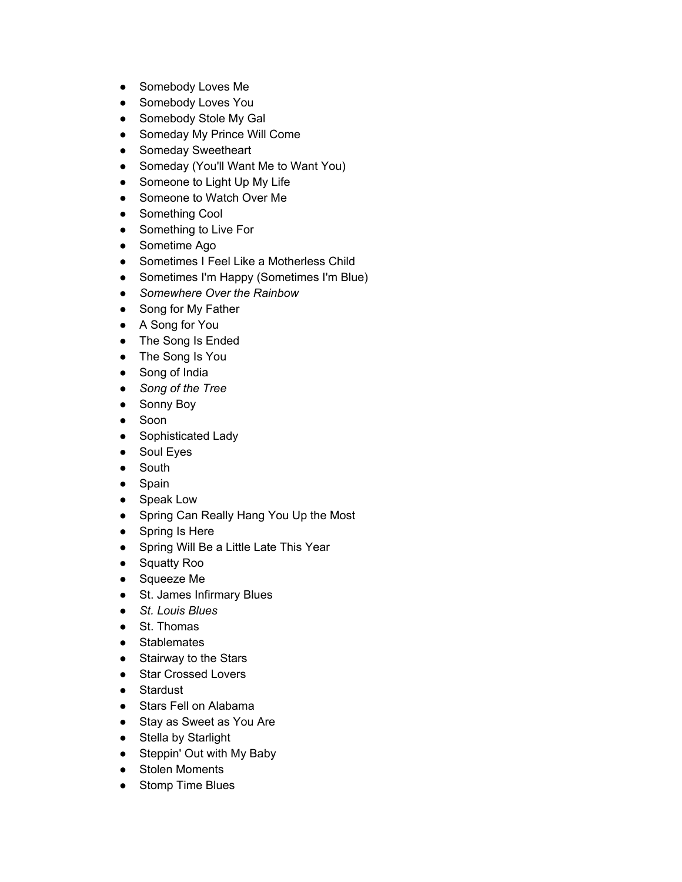- [Somebody Loves Me](https://en.wikipedia.org/wiki/Somebody_Loves_Me)
- [Somebody Loves You](https://en.wikipedia.org/wiki/Somebody_Loves_You_(1932_song))
- [Somebody Stole My Gal](https://en.wikipedia.org/wiki/Somebody_Stole_My_Gal)
- [Someday My Prince Will Come](https://en.wikipedia.org/wiki/Someday_My_Prince_Will_Come)
- [Someday Sweetheart](https://en.wikipedia.org/wiki/Someday_Sweetheart)
- [Someday \(You'll Want Me to Want You\)](https://en.wikipedia.org/wiki/Someday_(You%27ll_Want_Me_to_Want_You))
- [Someone to Light Up My Life](https://en.wikipedia.org/wiki/Someone_to_Light_Up_My_Life)
- [Someone to Watch Over Me](https://en.wikipedia.org/wiki/Someone_to_Watch_Over_Me_(song))
- [Something Cool](https://en.wikipedia.org/wiki/Something_Cool)
- [Something to Live For](https://en.wikipedia.org/wiki/Something_to_Live_For_(song))
- [Sometime Ago](https://en.wikipedia.org/w/index.php?title=Sometime_Ago&action=edit&redlink=1)
- [Sometimes I Feel Like a Motherless Child](https://en.wikipedia.org/wiki/Sometimes_I_Feel_Like_a_Motherless_Child)
- [Sometimes I'm Happy \(Sometimes I'm Blue\)](https://en.wikipedia.org/wiki/Sometimes_I%27m_Happy_(Sometimes_I%27m_Blue))
- *[Somewhere Over the Rainbow](https://en.wikipedia.org/wiki/Over_the_Rainbow)*
- [Song for My Father](https://en.wikipedia.org/wiki/Song_for_My_Father_(song))
- [A Song for You](https://en.wikipedia.org/wiki/A_Song_for_You)
- [The Song Is Ended](https://en.wikipedia.org/w/index.php?title=The_Song_Is_Ended&action=edit&redlink=1)
- [The Song Is You](https://en.wikipedia.org/wiki/The_Song_Is_You_(song))
- [Song of India](https://en.wikipedia.org/wiki/Song_of_India_(song))
- *[Song of the Tree](https://en.wikipedia.org/wiki/Poinciana_(song))*
- [Sonny Boy](https://en.wikipedia.org/wiki/Sonny_Boy_(song))
- [Soon](https://en.wikipedia.org/wiki/Soon_(1927_song))
- [Sophisticated Lady](https://en.wikipedia.org/wiki/Sophisticated_Lady)
- [Soul Eyes](https://en.wikipedia.org/wiki/Soul_Eyes)
- [South](https://en.wikipedia.org/wiki/South_(composition))
- [Spain](https://en.wikipedia.org/wiki/Spain_(composition))
- [Speak Low](https://en.wikipedia.org/wiki/Speak_Low)
- [Spring Can Really Hang You Up the Most](https://en.wikipedia.org/wiki/Spring_Can_Really_Hang_You_Up_the_Most)
- [Spring Is Here](https://en.wikipedia.org/wiki/Spring_Is_Here)
- [Spring Will Be a Little Late This Year](https://en.wikipedia.org/wiki/Spring_Will_Be_a_Little_Late_This_Year)
- [Squatty Roo](https://en.wikipedia.org/w/index.php?title=Squatty_Roo&action=edit&redlink=1)
- [Squeeze Me](https://en.wikipedia.org/wiki/Squeeze_Me)
- [St. James Infirmary Blues](https://en.wikipedia.org/wiki/St._James_Infirmary_Blues)
- *[St. Louis Blues](https://en.wikipedia.org/wiki/Saint_Louis_Blues_(song))*
- [St. Thomas](https://en.wikipedia.org/wiki/St._Thomas_(song))
- [Stablemates](https://en.wikipedia.org/w/index.php?title=Stablemates_(song)&action=edit&redlink=1)
- [Stairway to the Stars](https://en.wikipedia.org/wiki/Stairway_to_the_Stars)
- [Star Crossed Lovers](https://en.wikipedia.org/w/index.php?title=Star_Crossed_Lovers&action=edit&redlink=1)
- [Stardust](https://en.wikipedia.org/wiki/Stardust_(song))
- [Stars Fell on Alabama](https://en.wikipedia.org/wiki/Stars_Fell_on_Alabama)
- [Stay as Sweet as You Are](https://en.wikipedia.org/w/index.php?title=Stay_as_Sweet_as_You_Are&action=edit&redlink=1)
- [Stella by Starlight](https://en.wikipedia.org/wiki/Stella_by_Starlight)
- [Steppin' Out with My Baby](https://en.wikipedia.org/wiki/Steppin%27_Out_with_My_Baby)
- [Stolen Moments](https://en.wikipedia.org/wiki/Stolen_Moments_(song))
- [Stomp Time Blues](https://en.wikipedia.org/w/index.php?title=Stomp_Time_Blues&action=edit&redlink=1)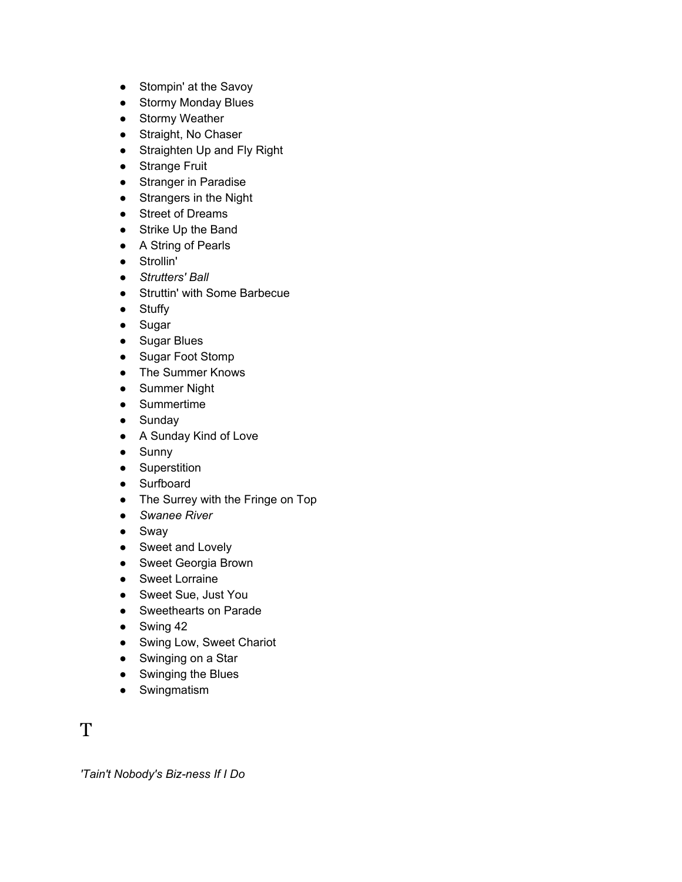- [Stompin' at the Savoy](https://en.wikipedia.org/wiki/Stompin%27_at_the_Savoy)
- [Stormy Monday Blues](https://en.wikipedia.org/wiki/Stormy_Monday_Blues)
- [Stormy Weather](https://en.wikipedia.org/wiki/Stormy_Weather_(song))
- [Straight, No Chaser](https://en.wikipedia.org/wiki/Straight,_No_Chaser_(composition))
- [Straighten Up and Fly Right](https://en.wikipedia.org/wiki/Straighten_Up_and_Fly_Right)
- [Strange Fruit](https://en.wikipedia.org/wiki/Strange_Fruit)
- [Stranger in Paradise](https://en.wikipedia.org/wiki/Stranger_in_Paradise_(song))
- [Strangers in the Night](https://en.wikipedia.org/wiki/Strangers_in_the_Night)
- [Street of Dreams](https://en.wikipedia.org/wiki/Street_of_Dreams_(1932_song))
- [Strike Up the Band](https://en.wikipedia.org/wiki/Strike_Up_the_Band_(song))
- [A String of Pearls](https://en.wikipedia.org/wiki/A_String_of_Pearls_(song))
- [Strollin'](https://en.wikipedia.org/wiki/Strollin%27)
- *[Strutters' Ball](https://en.wikipedia.org/wiki/Darktown_Strutters%27_Ball)*
- [Struttin' with Some Barbecue](https://en.wikipedia.org/w/index.php?title=Struttin%27_with_Some_Barbecue&action=edit&redlink=1)
- [Stuffy](https://en.wikipedia.org/w/index.php?title=Stuffy_(composition)&action=edit&redlink=1)
- [Sugar](https://en.wikipedia.org/wiki/Sugar_(Maceo_Pinkard_song))
- [Sugar Blues](https://en.wikipedia.org/wiki/Sugar_Blues_(song))
- [Sugar Foot Stomp](https://en.wikipedia.org/w/index.php?title=Sugar_Foot_Stomp&action=edit&redlink=1)
- [The Summer Knows](https://en.wikipedia.org/wiki/The_Summer_Knows)
- [Summer Night](https://en.wikipedia.org/w/index.php?title=Summer_Night_(song)&action=edit&redlink=1)
- [Summertime](https://en.wikipedia.org/wiki/Summertime_(George_Gershwin_song))
- [Sunday](https://en.wikipedia.org/wiki/Sunday_(jazz_standard))
- [A Sunday Kind of Love](https://en.wikipedia.org/wiki/A_Sunday_Kind_of_Love)
- [Sunny](https://en.wikipedia.org/wiki/Sunny_(song))
- **•** [Superstition](https://en.wikipedia.org/wiki/Superstition_(song))
- [Surfboard](https://en.wikipedia.org/wiki/Surfboard_(Ant%C3%B4nio_Carlos_Jobim_song))
- [The Surrey with the Fringe on Top](https://en.wikipedia.org/wiki/The_Surrey_with_the_Fringe_on_Top)
- *[Swanee River](https://en.wikipedia.org/wiki/Old_Folks_at_Home)*
- [Sway](https://en.wikipedia.org/wiki/Sway_(song))
- [Sweet and Lovely](https://en.wikipedia.org/wiki/Sweet_and_Lovely)
- [Sweet Georgia Brown](https://en.wikipedia.org/wiki/Sweet_Georgia_Brown)
- [Sweet Lorraine](https://en.wikipedia.org/wiki/Sweet_Lorraine)
- [Sweet Sue, Just You](https://en.wikipedia.org/wiki/Sweet_Sue,_Just_You)
- [Sweethearts on Parade](https://en.wikipedia.org/wiki/Sweethearts_on_Parade)
- [Swing 42](https://en.wikipedia.org/wiki/Swing_42)
- [Swing Low, Sweet Chariot](https://en.wikipedia.org/wiki/Swing_Low,_Sweet_Chariot)
- [Swinging on a Star](https://en.wikipedia.org/wiki/Swinging_on_a_Star)
- [Swinging the Blues](https://en.wikipedia.org/w/index.php?title=Swinging_the_Blues&action=edit&redlink=1)
- [Swingmatism](https://en.wikipedia.org/wiki/Swingmatism)

T

*['Tain't Nobody's Biz-ness If I Do](https://en.wikipedia.org/wiki/Ain%27t_Nobody%27s_Business)*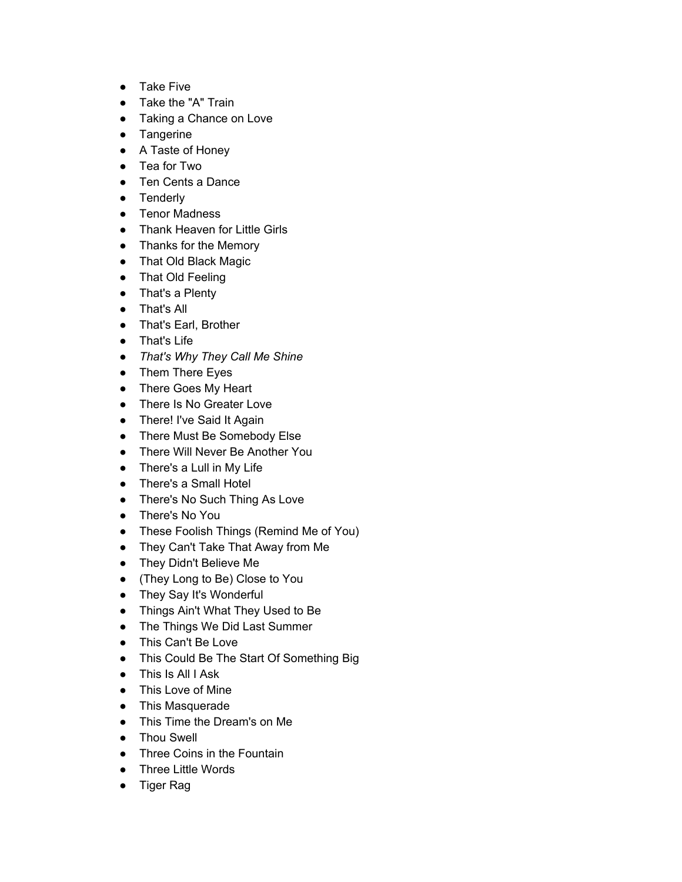- [Take Five](https://en.wikipedia.org/wiki/Take_Five)
- [Take the "A" Train](https://en.wikipedia.org/wiki/Take_the_%22A%22_Train)
- [Taking a Chance on Love](https://en.wikipedia.org/wiki/Taking_a_Chance_on_Love)
- [Tangerine](https://en.wikipedia.org/wiki/Tangerine_(1941_song))
- [A Taste of Honey](https://en.wikipedia.org/wiki/A_Taste_of_Honey_(song))
- [Tea for Two](https://en.wikipedia.org/wiki/Tea_for_Two_(song))
- [Ten Cents a Dance](https://en.wikipedia.org/wiki/Ten_Cents_a_Dance)
- [Tenderly](https://en.wikipedia.org/wiki/Tenderly)
- [Tenor Madness](https://en.wikipedia.org/wiki/Tenor_Madness)
- [Thank Heaven for Little Girls](https://en.wikipedia.org/wiki/Thank_Heaven_for_Little_Girls)
- [Thanks for the Memory](https://en.wikipedia.org/wiki/Thanks_for_the_Memory)
- [That Old Black Magic](https://en.wikipedia.org/wiki/That_Old_Black_Magic)
- [That Old Feeling](https://en.wikipedia.org/wiki/That_Old_Feeling_(song))
- [That's a Plenty](https://en.wikipedia.org/wiki/That%27s_a_Plenty)
- [That's All](https://en.wikipedia.org/wiki/That%27s_All_(1952_song))
- [That's Earl, Brother](https://en.wikipedia.org/w/index.php?title=That%27s_Earl,_Brother&action=edit&redlink=1)
- [That's Life](https://en.wikipedia.org/wiki/That%27s_Life_(song))
- *[That's Why They Call Me Shine](https://en.wikipedia.org/wiki/Shine_(1910_song))*
- [Them There Eyes](https://en.wikipedia.org/wiki/Them_There_Eyes)
- [There Goes My Heart](https://en.wikipedia.org/w/index.php?title=There_Goes_My_Heart_(1934_song)&action=edit&redlink=1)
- [There Is No Greater Love](https://en.wikipedia.org/wiki/There_Is_No_Greater_Love)
- [There! I've Said It Again](https://en.wikipedia.org/wiki/There!_I%27ve_Said_It_Again)
- [There Must Be Somebody Else](https://en.wikipedia.org/wiki/There_Must_Be_Somebody_Else)
- [There Will Never Be Another You](https://en.wikipedia.org/wiki/There_Will_Never_Be_Another_You)
- [There's a Lull in My Life](https://en.wikipedia.org/wiki/There%27s_a_Lull_in_My_Life)
- [There's a Small Hotel](https://en.wikipedia.org/wiki/There%27s_a_Small_Hotel)
- [There's No Such Thing As Love](https://en.wikipedia.org/w/index.php?title=There%27s_No_Such_Thing_As_Love&action=edit&redlink=1)
- [There's No You](https://en.wikipedia.org/wiki/There%27s_No_You)
- [These Foolish Things \(Remind Me of You\)](https://en.wikipedia.org/wiki/These_Foolish_Things_(Remind_Me_of_You))
- [They Can't Take That Away from Me](https://en.wikipedia.org/wiki/They_Can%27t_Take_That_Away_from_Me)
- [They Didn't Believe Me](https://en.wikipedia.org/wiki/They_Didn%27t_Believe_Me)
- [\(They Long to Be\) Close to You](https://en.wikipedia.org/wiki/(They_Long_to_Be)_Close_to_You)
- [They Say It's Wonderful](https://en.wikipedia.org/wiki/They_Say_It%27s_Wonderful)
- [Things Ain't What They Used to Be](https://en.wikipedia.org/wiki/Things_Ain%27t_What_They_Used_to_Be)
- [The Things We Did Last Summer](https://en.wikipedia.org/wiki/The_Things_We_Did_Last_Summer)
- [This Can't Be Love](https://en.wikipedia.org/wiki/This_Can%27t_Be_Love_(song))
- [This Could Be The Start Of Something Big](https://en.wikipedia.org/wiki/This_Could_Be_the_Start_of_Something)
- [This Is All I Ask](https://en.wikipedia.org/wiki/This_Is_All_I_Ask)
- [This Love of Mine](https://en.wikipedia.org/wiki/This_Love_of_Mine)
- [This Masquerade](https://en.wikipedia.org/wiki/This_Masquerade)
- [This Time the Dream's on Me](https://en.wikipedia.org/wiki/This_Time_the_Dream%27s_on_Me)
- [Thou Swell](https://en.wikipedia.org/wiki/Thou_Swell)
- [Three Coins in the Fountain](https://en.wikipedia.org/wiki/Three_Coins_in_the_Fountain_(song))
- [Three Little Words](https://en.wikipedia.org/wiki/Three_Little_Words_(song))
- [Tiger Rag](https://en.wikipedia.org/wiki/Tiger_Rag)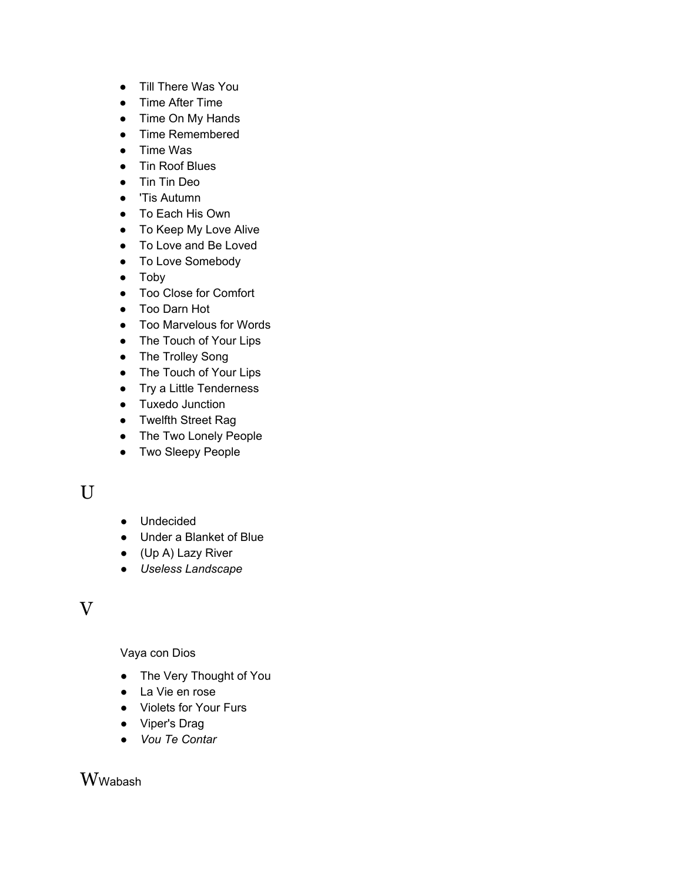- [Till There Was You](https://en.wikipedia.org/wiki/Till_There_Was_You)
- [Time After Time](https://en.wikipedia.org/wiki/Time_After_Time_(1947_song))
- [Time On My Hands](https://en.wikipedia.org/wiki/Time_on_My_Hands_(song))
- [Time Remembered](https://en.wikipedia.org/wiki/Time_Remembered)
- [Time Was](https://en.wikipedia.org/w/index.php?title=Time_Was_(jazz_standard)&action=edit&redlink=1)
- [Tin Roof Blues](https://en.wikipedia.org/wiki/Tin_Roof_Blues)
- [Tin Tin Deo](https://en.wikipedia.org/w/index.php?title=Tin_Tin_Deo&action=edit&redlink=1)
- ['Tis Autumn](https://en.wikipedia.org/wiki/%27Tis_Autumn)
- [To Each His Own](https://en.wikipedia.org/wiki/To_Each_His_Own_(Jay_Livingston_and_Ray_Evans_song))
- [To Keep My Love Alive](https://en.wikipedia.org/wiki/To_Keep_My_Love_Alive)
- [To Love and Be Loved](https://en.wikipedia.org/w/index.php?title=To_Love_and_Be_Loved&action=edit&redlink=1)
- [To Love Somebody](https://en.wikipedia.org/wiki/To_Love_Somebody_(song))
- [Toby](https://en.wikipedia.org/w/index.php?title=Toby_(song)&action=edit&redlink=1)
- [Too Close for Comfort](https://en.wikipedia.org/wiki/Too_Close_for_Comfort_(1956_song))
- [Too Darn Hot](https://en.wikipedia.org/wiki/Too_Darn_Hot)
- [Too Marvelous for Words](https://en.wikipedia.org/wiki/Too_Marvelous_for_Words)
- [The Touch of Your Lips](https://en.wikipedia.org/wiki/The_Touch_of_Your_Lips)
- [The Trolley Song](https://en.wikipedia.org/wiki/The_Trolley_Song)
- [The Touch of Your Lips](https://en.wikipedia.org/wiki/The_Touch_of_Your_Lips)
- [Try a Little Tenderness](https://en.wikipedia.org/wiki/Try_a_Little_Tenderness)
- [Tuxedo Junction](https://en.wikipedia.org/wiki/Tuxedo_Junction)
- [Twelfth Street Rag](https://en.wikipedia.org/wiki/Twelfth_Street_Rag)
- [The Two Lonely People](https://en.wikipedia.org/wiki/The_Two_Lonely_People)
- [Two Sleepy People](https://en.wikipedia.org/wiki/Two_Sleepy_People)

#### U

- [Undecided](https://en.wikipedia.org/wiki/Undecided)
- [Under a Blanket of Blue](https://en.wikipedia.org/w/index.php?title=Under_a_Blanket_of_Blue&action=edit&redlink=1)
- [\(Up A\) Lazy River](https://en.wikipedia.org/wiki/(Up_A)_Lazy_River)
- *[Useless Landscape](https://en.wikipedia.org/wiki/In%C3%BAtil_Paisagem)*

#### V

#### [Vaya con Dios](https://en.wikipedia.org/wiki/Vaya_con_Dios_(song))

- [The Very Thought of You](https://en.wikipedia.org/wiki/The_Very_Thought_of_You)
- [La Vie en rose](https://en.wikipedia.org/wiki/La_Vie_en_rose)
- [Violets for Your Furs](https://en.wikipedia.org/wiki/Violets_for_Your_Furs)
- [Viper's Drag](https://en.wikipedia.org/wiki/Viper%27s_Drag)
- *[Vou Te Contar](https://en.wikipedia.org/wiki/Wave_(Antonio_Carlos_Jobim_song))*

#### W[Wabash](https://en.wikipedia.org/w/index.php?title=Wabash_(Cannonball_Adderley_song)&action=edit&redlink=1)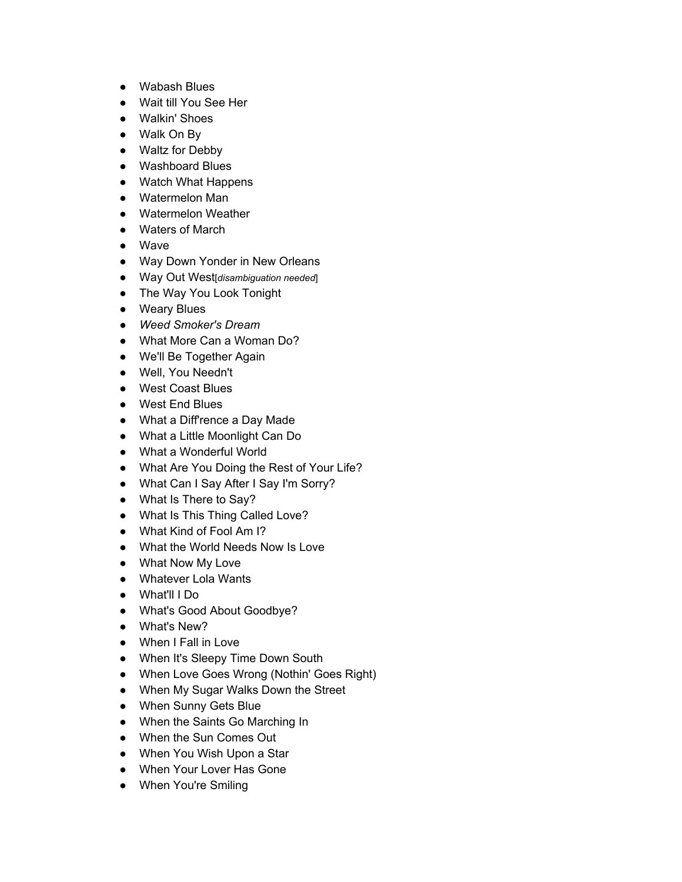- [Wabash Blues](https://en.wikipedia.org/wiki/Wabash_Blues)
- [Wait till You See Her](https://en.wikipedia.org/wiki/Wait_till_You_See_Her)
- [Walkin' Shoes](https://en.wikipedia.org/wiki/Walkin%27_Shoes)
- [Walk On By](https://en.wikipedia.org/wiki/Walk_On_By_(song))
- [Waltz for Debby](https://en.wikipedia.org/wiki/Waltz_for_Debby_(song))
- [Washboard Blues](https://en.wikipedia.org/wiki/Washboard_Blues)
- [Watch What Happens](https://en.wikipedia.org/wiki/Watch_What_Happens)
- [Watermelon Man](https://en.wikipedia.org/wiki/Watermelon_Man_(composition))
- [Watermelon Weather](https://en.wikipedia.org/w/index.php?title=Watermelon_Weather&action=edit&redlink=1)
- [Waters of March](https://en.wikipedia.org/wiki/Waters_of_March)
- [Wave](https://en.wikipedia.org/wiki/Wave_(Antonio_Carlos_Jobim_song))
- [Way Down Yonder in New Orleans](https://en.wikipedia.org/wiki/Way_Down_Yonder_in_New_Orleans)
- [Way Out West](https://en.wikipedia.org/wiki/Way_Out_West)[*[disambiguation](http://dispenser.homenet.org/~dispenser/cgi-bin/dab_solver.py?page=List_of_jazz_standards&editintro=Template:Disambiguation_needed/editintro&client=Template:Dn) needed*]
- [The Way You Look Tonight](https://en.wikipedia.org/wiki/The_Way_You_Look_Tonight)
- [Weary Blues](https://en.wikipedia.org/wiki/Weary_Blues)
- *[Weed Smoker's Dream](https://en.wikipedia.org/wiki/Why_Don%27t_You_Do_Right%3F)*
- [What More Can a Woman Do?](https://en.wikipedia.org/w/index.php?title=What_More_Can_a_Woman_Do%3F&action=edit&redlink=1)
- [We'll Be Together Again](https://en.wikipedia.org/wiki/We%27ll_Be_Together_Again)
- [Well, You Needn't](https://en.wikipedia.org/wiki/Well,_You_Needn%27t)
- [West Coast Blues](https://en.wikipedia.org/wiki/West_Coast_Blues)
- [West End Blues](https://en.wikipedia.org/wiki/West_End_Blues)
- [What a Diff'rence a Day Made](https://en.wikipedia.org/wiki/What_a_Diff%27rence_a_Day_Made)
- [What a Little Moonlight Can Do](https://en.wikipedia.org/wiki/What_a_Little_Moonlight_Can_Do)
- [What a Wonderful World](https://en.wikipedia.org/wiki/What_a_Wonderful_World)
- [What Are You Doing the Rest of Your Life?](https://en.wikipedia.org/wiki/What_Are_You_Doing_the_Rest_of_Your_Life%3F)
- [What Can I Say After I Say I'm Sorry?](https://en.wikipedia.org/wiki/What_Can_I_Say_After_I_Say_I%27m_Sorry%3F)
- [What Is There to Say?](https://en.wikipedia.org/wiki/What_Is_There_to_Say%3F)
- [What Is This Thing Called Love?](https://en.wikipedia.org/wiki/What_Is_This_Thing_Called_Love%3F)
- [What Kind of Fool Am I?](https://en.wikipedia.org/wiki/What_Kind_of_Fool_Am_I%3F)
- [What the World Needs Now Is Love](https://en.wikipedia.org/wiki/What_the_World_Needs_Now_Is_Love)
- [What Now My Love](https://en.wikipedia.org/wiki/What_Now_My_Love_(song))
- [Whatever Lola Wants](https://en.wikipedia.org/wiki/Whatever_Lola_Wants)
- [What'll I Do](https://en.wikipedia.org/wiki/What%27ll_I_Do)
- [What's Good About Goodbye?](https://en.wikipedia.org/w/index.php?title=What%27s_Good_About_Goodbye%3F&action=edit&redlink=1)
- [What's New?](https://en.wikipedia.org/wiki/What%27s_New%3F)
- [When I Fall in Love](https://en.wikipedia.org/wiki/When_I_Fall_in_Love)
- [When It's Sleepy Time Down South](https://en.wikipedia.org/wiki/When_It%27s_Sleepy_Time_Down_South)
- [When Love Goes Wrong \(Nothin' Goes Right\)](https://en.wikipedia.org/w/index.php?title=When_Love_Goes_Wrong_(Nothin%27_Goes_Right)&action=edit&redlink=1)
- [When My Sugar Walks Down the Street](https://en.wikipedia.org/wiki/When_My_Sugar_Walks_Down_the_Street)
- [When Sunny Gets Blue](https://en.wikipedia.org/wiki/When_Sunny_Gets_Blue)
- [When the Saints Go Marching In](https://en.wikipedia.org/wiki/When_the_Saints_Go_Marching_In)
- [When the Sun Comes Out](https://en.wikipedia.org/wiki/When_the_Sun_Comes_Out)
- [When You Wish Upon a Star](https://en.wikipedia.org/wiki/When_You_Wish_Upon_a_Star)
- [When Your Lover Has Gone](https://en.wikipedia.org/wiki/When_Your_Lover_Has_Gone)
- [When You're Smiling](https://en.wikipedia.org/wiki/When_You%27re_Smiling)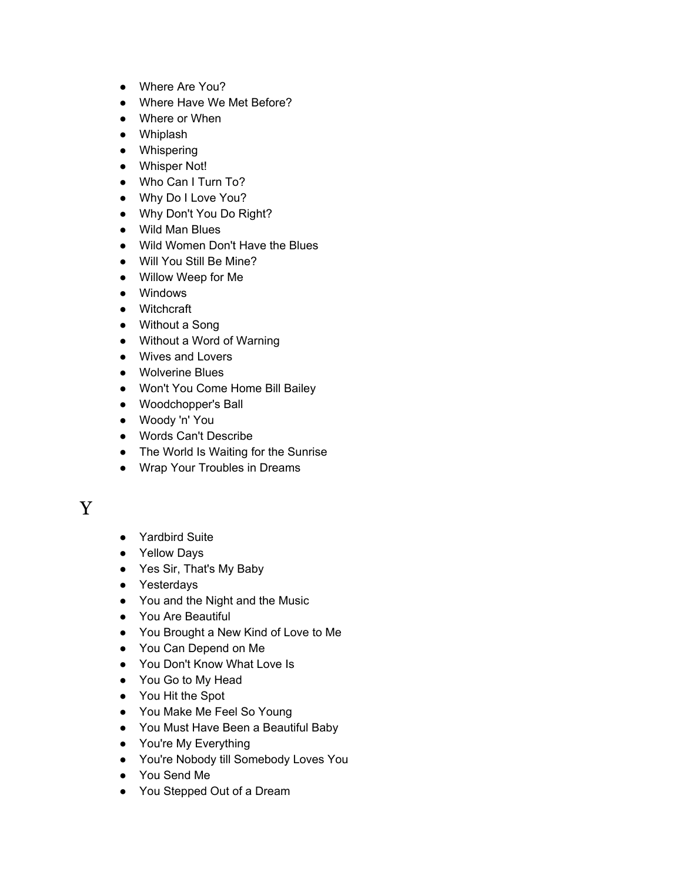- [Where Are You?](https://en.wikipedia.org/wiki/Where_Are_You%3F_(1937_song))
- [Where Have We Met Before?](https://en.wikipedia.org/w/index.php?title=Where_Have_We_Met_Before%3F&action=edit&redlink=1)
- [Where or When](https://en.wikipedia.org/wiki/Where_or_When)
- [Whiplash](https://en.wikipedia.org/wiki/Whiplash_(Don_Ellis_song))
- [Whispering](https://en.wikipedia.org/wiki/Whispering_(song))
- [Whisper Not!](https://en.wikipedia.org/w/index.php?title=Whisper_Not!&action=edit&redlink=1)
- [Who Can I Turn To?](https://en.wikipedia.org/wiki/Who_Can_I_Turn_To%3F)
- [Why Do I Love You?](https://en.wikipedia.org/w/index.php?title=Why_Do_I_Love_You%3F&action=edit&redlink=1)
- [Why Don't You Do Right?](https://en.wikipedia.org/wiki/Why_Don%27t_You_Do_Right%3F)
- [Wild Man Blues](https://en.wikipedia.org/w/index.php?title=Wild_Man_Blues_(song)&action=edit&redlink=1)
- [Wild Women Don't Have the Blues](https://en.wikipedia.org/wiki/Wild_Women_Don%27t_Have_the_Blues)
- [Will You Still Be Mine?](https://en.wikipedia.org/w/index.php?title=Will_You_Still_Be_Mine%3F&action=edit&redlink=1)
- [Willow Weep for Me](https://en.wikipedia.org/wiki/Willow_Weep_for_Me)
- [Windows](https://en.wikipedia.org/wiki/Windows_(composition))
- [Witchcraft](https://en.wikipedia.org/wiki/Witchcraft_(1957_song))
- [Without a Song](https://en.wikipedia.org/wiki/Without_a_Song)
- [Without a Word of Warning](https://en.wikipedia.org/w/index.php?title=Without_a_Word_of_Warning&action=edit&redlink=1)
- [Wives and Lovers](https://en.wikipedia.org/wiki/Wives_and_Lovers)
- [Wolverine Blues](https://en.wikipedia.org/wiki/Wolverine_Blues_(song))
- [Won't You Come Home Bill Bailey](https://en.wikipedia.org/wiki/Won%27t_You_Come_Home_Bill_Bailey)
- [Woodchopper's Ball](https://en.wikipedia.org/wiki/Woodchopper%27s_Ball)
- [Woody 'n' You](https://en.wikipedia.org/wiki/Woody_%27n%27_You)
- [Words Can't Describe](https://en.wikipedia.org/w/index.php?title=Words_Can%27t_Describe&action=edit&redlink=1)
- [The World Is Waiting for the Sunrise](https://en.wikipedia.org/wiki/The_World_Is_Waiting_for_the_Sunrise)
- [Wrap Your Troubles in Dreams](https://en.wikipedia.org/wiki/Wrap_Your_Troubles_in_Dreams_(song))

# Y

- [Yardbird Suite](https://en.wikipedia.org/wiki/Yardbird_Suite)
- [Yellow Days](https://en.wikipedia.org/wiki/Yellow_Days)
- [Yes Sir, That's My Baby](https://en.wikipedia.org/wiki/Yes_Sir,_That%27s_My_Baby_(song))
- [Yesterdays](https://en.wikipedia.org/wiki/Yesterdays_(1933_song))
- [You and the Night and the Music](https://en.wikipedia.org/wiki/You_and_the_Night_and_the_Music)
- [You Are Beautiful](https://en.wikipedia.org/w/index.php?title=You_Are_Beautiful_(song)&action=edit&redlink=1)
- [You Brought a New Kind of Love to Me](https://en.wikipedia.org/wiki/You_Brought_a_New_Kind_of_Love_to_Me)
- [You Can Depend on Me](https://en.wikipedia.org/wiki/You_Can_Depend_on_Me_(song))
- [You Don't Know What Love Is](https://en.wikipedia.org/wiki/You_Don%27t_Know_What_Love_Is)
- [You Go to My Head](https://en.wikipedia.org/wiki/You_Go_to_My_Head)
- [You Hit the Spot](https://en.wikipedia.org/w/index.php?title=You_Hit_the_Spot&action=edit&redlink=1)
- [You Make Me Feel So Young](https://en.wikipedia.org/wiki/You_Make_Me_Feel_So_Young)
- [You Must Have Been a Beautiful Baby](https://en.wikipedia.org/wiki/You_Must_Have_Been_a_Beautiful_Baby)
- [You're My Everything](https://en.wikipedia.org/wiki/You%27re_My_Everything_(1931_song))
- [You're Nobody till Somebody Loves You](https://en.wikipedia.org/wiki/You%27re_Nobody_till_Somebody_Loves_You)
- [You Send Me](https://en.wikipedia.org/wiki/You_Send_Me)
- [You Stepped Out of a Dream](https://en.wikipedia.org/wiki/You_Stepped_Out_of_a_Dream)